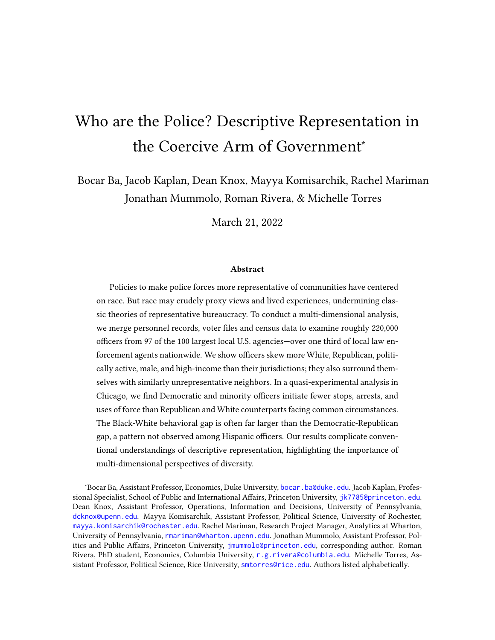# Who are the Police? Descriptive Representation in the Coercive Arm of Government<sup>∗</sup>

Bocar Ba, Jacob Kaplan, Dean Knox, Mayya Komisarchik, Rachel Mariman Jonathan Mummolo, Roman Rivera, & Michelle Torres

March 21, 2022

#### Abstract

Policies to make police forces more representative of communities have centered on race. But race may crudely proxy views and lived experiences, undermining classic theories of representative bureaucracy. To conduct a multi-dimensional analysis, we merge personnel records, voter files and census data to examine roughly 220,000 officers from 97 of the 100 largest local U.S. agencies—over one third of local law enforcement agents nationwide. We show officers skew more White, Republican, politically active, male, and high-income than their jurisdictions; they also surround themselves with similarly unrepresentative neighbors. In a quasi-experimental analysis in Chicago, we find Democratic and minority officers initiate fewer stops, arrests, and uses of force than Republican and White counterparts facing common circumstances. The Black-White behavioral gap is often far larger than the Democratic-Republican gap, a pattern not observed among Hispanic officers. Our results complicate conventional understandings of descriptive representation, highlighting the importance of multi-dimensional perspectives of diversity.

<sup>∗</sup>Bocar Ba, Assistant Professor, Economics, Duke University, [bocar.ba@duke.edu](mailto:bocar.ba@duke.edu). Jacob Kaplan, Professional Specialist, School of Public and International Affairs, Princeton University, [jk7785@princeton.edu](mailto:jk7785@princeton.edu). Dean Knox, Assistant Professor, Operations, Information and Decisions, University of Pennsylvania, [dcknox@upenn.edu](mailto:dcknox@upenn.edu). Mayya Komisarchik, Assistant Professor, Political Science, University of Rochester, [mayya.komisarchik@rochester.edu](mailto:mayya.komisarchik@rochester.edu). Rachel Mariman, Research Project Manager, Analytics at Wharton, University of Pennsylvania, [rmariman@wharton.upenn.edu](mailto:rmariman@wharton.upenn.edu). Jonathan Mummolo, Assistant Professor, Politics and Public Affairs, Princeton University, [jmummolo@princeton.edu](mailto:jmummolo@princeton.edu), corresponding author. Roman Rivera, PhD student, Economics, Columbia University, [r.g.rivera@columbia.edu](mailto:r.g.rivera@columbia.edu). Michelle Torres, Assistant Professor, Political Science, Rice University, [smtorres@rice.edu](mailto:smtorres@rice.edu). Authors listed alphabetically.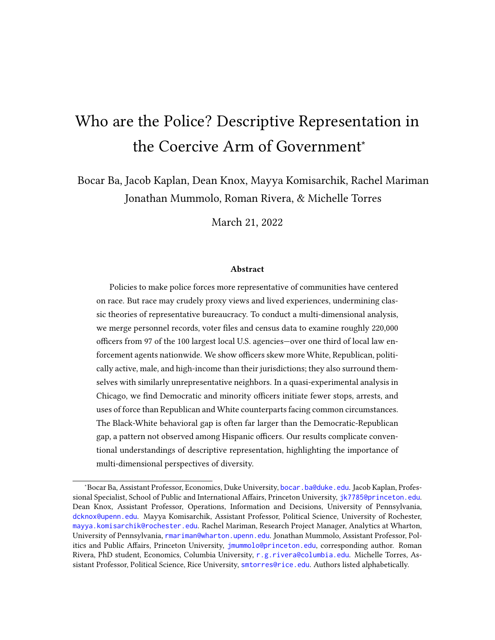A "representative bureaucracy" (Kingsley, 1944; Meier, 1975) that shares salient attributes and social identities with the population it serves has long been theorized to enhance the quality of government service, especially for marginalized groups (Dolan, 2001; Potter and Volden, 2021). The need for descriptive representation in unelected sectors of government is thought to be especially pronounced in settings where effective oversight of bureaucrats' sometimes considerable discretion is challenging, and "external controls fail" to promote desirable and fair agency outputs (Meier, 1975, 528). In the realm of policing—where agents routinely exercise discretion to protect, punish, or even kill, and where oversight and accountability are notoriously difficult (Brehm and Gates, 1999; Goldstein, 1977)—scholars have spent decades trying to assess both the prevalence and impact of descriptive representation. Due to longstanding concerns over racial discrimination in policing (Alexander, 2010; Lerman and Weaver, 2014; Glaser, 2014), the overwhelming focus of this literature has been officer race and ethnicity (Ba et al., 2021; Harvey and Mattia, 2019; McCrary, 2007; Miller and Segal, 2012, 2018; Sklansky, 2005). But as Ba et al. (2021) notes, "Officers are multidimensional, and crafting effective personnel reforms will likely require thinking beyond the coarse demographic categories typically used in diversity initiatives and consideration of how multiple attributes relate police to the civilians they serve" (p. 701).

In this paper, we analyze nearly a quarter million officers,<sup>1</sup> covering 97 of America's 100 largest local agencies<sup>2</sup> and representing over one third of all local law enforcement nationwide, to provide a comprehensive, multi-dimensional account of descriptive representation in policing. Our data contain measures of officers' race, ethnicity, gender, age, income, political affiliation, voting history, and place of residence. It draws upon numerous open records requests, data-sharing agreements, and publicly available personnel rosters, merged with voter file and U.S. Census data. The resulting data set allows us to comprehensively characterize the degree to which police resemble their communities on a host of dimensions (Hyland and Davis, 2019).

Our analysis is motivated by the fact that race and ethnicity alone may be relatively crude indicators of how officers relate to civilians or behave on the job. This is a particular concern given the politicization of policing in the United States, with Democrats and Republicans strongly disagreeing on policing policy (Eckhouse, 2019; Pew, 2017; Kim

<sup>&</sup>lt;sup>1</sup>Throughout, we use "officers" to refer to sworn employees of law enforcement agencies, including both police officers and sheriffs' deputies.

 $2W$ e have obtained commitments to provide data on the remaining three agencies but have not yet received these data.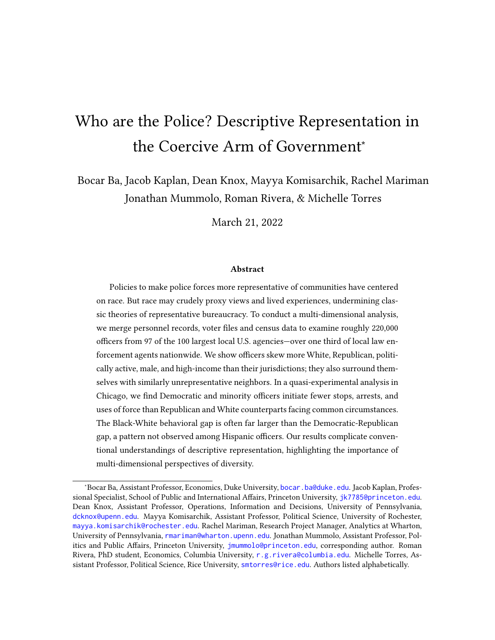Parker and Kiley Hurst, 2021). Simply put, people who identify with a particular racial or ethnic group are not monolithic, and recent evidence shows support for conservative policy is more pronounced among racial minorities than previously thought (White, Laird and Allen, 2014). The intersection of multiple identities may affect police behavior in important ways undetectable in prior work. In the words of Dolan and Rosenbloom (2003, p. 77), "a bureaucracy that looks like the population it serves may not effectively translate the policy wishes of the population into public policy" if bureaucrats do not share the public's "values, opinions, and attitudes."

Progress on this question, like many others in the study of policing, has been stymied by a scattered, incomplete and heterogeneous landscape of administrative data (Knox and Mummolo, 2020). Assembling even basic facts about law enforcement agencies, such as whom they employ, remains remarkably difficult in many jurisdictions—much less information on officers' demographics, preferences or activities. Agencies rarely share this information proactively and, in our experience, sometimes even seek to defy freedom-ofinformation laws in violation of the near-universal requirement to disclose government employee rosters upon request. National surveys of police officers offer some insights (BJS, 2016; Morin et al., 2017), but because they sample small numbers of officers from numerous locations nationwide, they preclude close examination of whether and how agencies represent their particular jurisdictions, especially in terms of political views and affiliations. Conversely, studies which closely scrutinize single jurisdictions (Ba et al., 2021; Hoekstra and Sloan, 2020) leave open questions of generalizability.

To address this gap, we first leverage our data to demonstrate that relative to civilians in their jurisdictions, police officers are more likely to be White, affiliate with the Republican Party, have higher household income, and vote more often. However, the degree of nonrepresentativeness is highly heterogeneous. Among Black individuals, officers and civilians in the same jurisdictions are both roughly 1-3% Republican while officers are nearly 52% Democrat compared to 66% among civilians.. Among White and Hispanic individuals, however, officers skew far more Republican than their respective local civilian counterparts.

Next, we broaden our notion of identity to account for the context of where officers live and work. Some scholars and political elites have claimed policing outcomes will be more equitable if officers are required to live amongst and have ties to the communities they serve, a policy which may also benefit the local economy (Eisinger, 1983) (though evidence remains mixed (Smith, 1980a; Murphy and Worrall, 1999; Hauck and Nichols,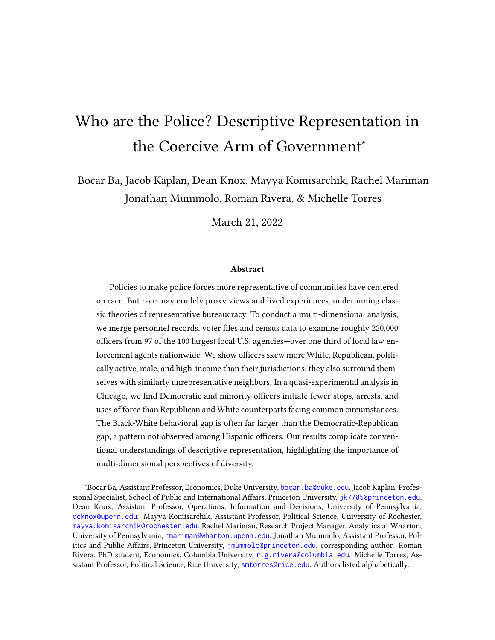2020)). In a thorough examination of personnel policies for the nation's 100 largest agencies, we find that over a quarter mandate or encourage local residency. In light of this, we examine where officers reside and find these neighborhoods also differ systematically from civilians at large. Census tracts where officers live tend to have higher shares of White residents, higher shares of Republicans, higher rates of voter turnout and higher household income than their jurisdictions writ large. In other words, officers do not only differ from their jurisdictions on a range of social identities; they also choose to surround themselves with other individuals who are closer to themselves and further from their jurisdictions, suggesting divergences in lived experiences.

To probe these patterns at a finer-grained level, we then turn to a micro-level dataset, acquired from the Chicago Police Department (CPD) after roughly 5 years of public records requests. As previous scholars have noted, Chicago represents a crucial case for the study of diversity in policing (McCrary, 2007): the agency has substantially diversified along racial, ethnic and gender lines in recent decades, the city remains a focal point for concerns over abusive policing practices, and public opinion polls show sharp divergences between racial and ethnic groups of civilians on attitudes towards police (Harris, 2021). Among numerous other features and activities, our Chicago data describe the specific police districts to which police officers are assigned to work. This allows us to evaluate whether officers resemble civilians in the specific areas where they work—that is, the civilians with whom they most frequently interact—rather than simply analyzing representation at the coarser level of jurisdictions. We find that in the vast majority of Chicago police districts, officers diverge from the civilians they serve in terms of race and ethnicity. We also see striking gaps in political affiliation: every single district in Chicago is policed by officers who skew more Republican than local residents.

Finally, having established these descriptive patterns, we conduct a deep analysis of hyper-granular CPD data to evaluate the real-world impact of the highly salient attributes of race, ethnicity, and party affiliation. Using datasets on CPD shift assignments and enforcement records—covering an eight-year period, doubling the coverage of data previously analyzed in Ba et al. (2021)—we test whether officers from various groups choose to treat civilians differently when facing common circumstances. This strategy closely mirrors the research design of Ba et al. (2021), allowing analysts to estimate what police commanders can expect when deploying an officer of one group (e.g., Democratic officers, drawn from all officers in the unit available for deployment) and how the average behavior of this group differs from another (e.g., Republican officers).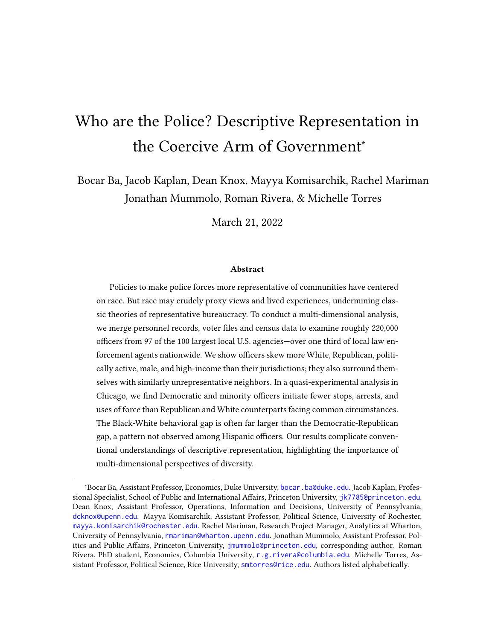Our results paint a complex portrait of the role of race, ethnicity and partisanship across officer groups. First, we find that in scenarios where both comparisons can be made, the Black-White gap in officer enforcement decisions has the same sign as the Democratic-Republican gap: When deploying either Black or Democratic officers, commanders can expect fewer stops, arrests, and uses of force (compared to White or Republican officers, respectively). However, the Black-White gap is roughly double the size of the Democratic-Republican gap—with the sole exception of force, where race- and- partybased deployment effects are similar. At first glance, these results suggest officer race is a more salient divide than personal politics, corresponding to larger differences in the treatment of civilians. However, we see a very different pattern when examining Hispanic officers, where we find the effects of ethnicity- and- party-based deployments are generally indistinguishable (at least in scenarios where both ethnic and political comparisons can be made, as before). We also find the aforementioned effects of deploying Black and (to a lesser degree) Democratic officers primarily benefits Black civilians, who are much less likely to be stopped, arrested or subject to force than when White or Republican officers are deployed.

Our analysis underscores the complex nature of descriptive representation in the bureaucracy. Police officers are as multi-faceted as the civilians they serve, and adequately assessing the status and implications of diversity in law enforcement requires more than an analysis of race alone. Our paper also illustrates that data access remains a substantial obstacle for the study of policing, but not an insurmountable one. The dataset we assembled on officers from 97 of the country's 100 largest agencies, to be made public, is a valuable resource not only for the study of bureaucracy but also for the expansion of police oversight. Police watchdog groups have long noted the difficulty of tracking officers accused of misconduct because they often quietly gain employment in different agencies in the rare occasions when they are terminated (Grunwald and Rappaport, 2019; Lalwani and Johnston, 2020). And even in the absence of misconduct, many civilians would currently find it exceedingly difficult to learn which individuals are endowed with coercive powers by their communities, even though this information is generally public by law. Our dataset offers the beginnings of a solution and, with expansion and maintenance, can facilitate the creation of a comprehensive registry that sheds light on a critically important but often opaque segment of the "second face of the American State" (Soss and Weaver, 2017).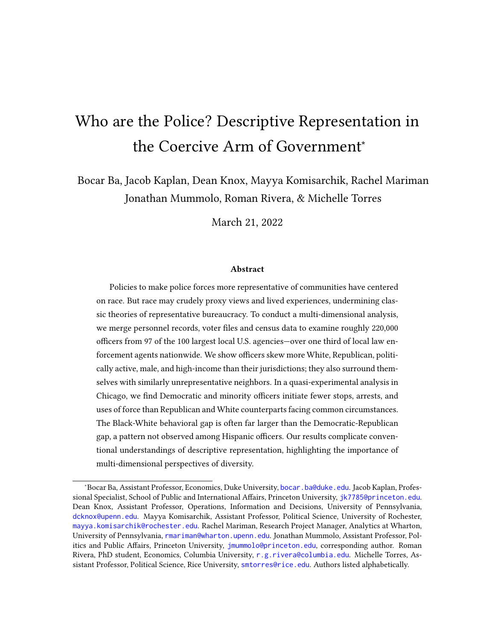## 1 Representative Bureaucracy

Since Kingsley (1944) introduced the concept of "representative bureaucracy," many scholars have extolled the theoretical virtues of staffing public agencies with workers who resemble their clients (Dolan and Rosenbloom, 2003). In general, theories of representative bureaucracy are premised on several key assertions: bureaucratic oversight is incapable of ensuring bureaucrats will exercise discretion in desirable ways (Huber and Shipan, 2002; Krause, 2010); staffing agencies with workers who share values with the population at large will promote desirable outputs (Bendor and Meirowitz, 2004); and observable worker traits, often standard demographic indicators, are useful proxies for shared values (Meier, 1975; Meier, Wrinkle and Polinard, 1999).

But do demographic indicators really convey "shared values"? There are at least two reasons for skepticism. First, bureaucratic staffing processes, which rely on self-selection and screening based on adherence to shared missions (Wilson, 1989), could easily lead to the selection of particular group members who hold atypical policy preferences relative to group members at large (Linos, 2017). This may be especially true of racial minorities in law enforcement: in order to perpetuate current norms, policing agencies may select unusually conservative members of minority communities, who tend to support statusquo policing practices more than their liberal counterparts (Eckhouse, 2019; Forman Jr., 2017; Pew, 2017; Kim Parker and Kiley Hurst, 2021). Second, recent work underscores that such conservative segments of minority communities, African Americans in particular, may be more prevalent than previously thought (White and Raganella, 2010). Of course, it is also possible White civilians are politically misrepresented by bureaucrats: they occupy substantial shares of both major parties, creating an ample pool from which to fill the relatively few positions available and potentially producing an agency that does not reflect the political views of White residents at large. If such politically atypical members of groups are disproportionately selected, the logic of representative bureaucracy may be upended. The notion of bureaucrats, "colored by their political outlook and by the climate of opinion in their social group," (Lipset, 1975, p. 80) is an incoherent concept if nonrepresentative members of each group assume government posts.

We have relatively little empirical evidence to adjudicate these possibilities in policing because most empirical studies of descriptive representation tend to focus on race and gender, which may only crudely proxy for relevant social views. Decades of empirical studies have sought to quantify the effects of racial—and to a lesser extent, gender-based—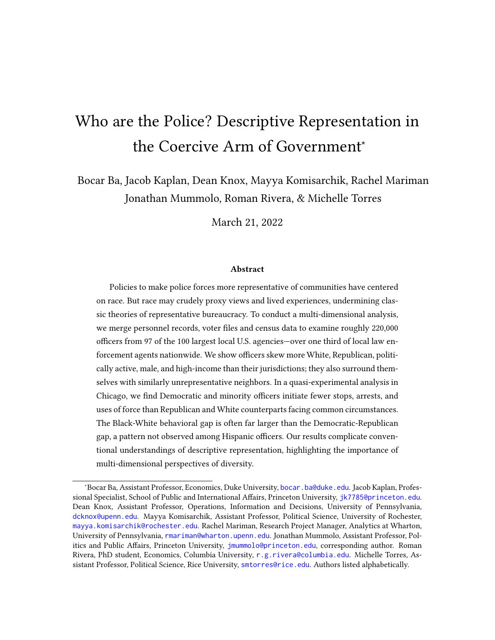diversity on the nature of police-civilian interactions. For most of that time, results have been ambiguous (Sklansky, 2005). Some provide correlational evidence consistent with the hypothesis that more diversity is associated with improvements of such interactions. For example, Meier and Nicholson-Crotty (2006) finds having more female officers is associated with more sexual assault reports and arrests. Further, Wright II and Headley (2020) finds force is more likely to be used in encounters involving White officers and Black civilians. However, others argue "occupational ethos and organizational culture" produce homogeneous behavior, regardless of officers' backgrounds and identities (Sklansky, 2005, 1225), and some correlational evidence is consistent with this claim (Fyfe, 1981; Walker, Spohn and DeLone, 2016).

In recent years, newly available granular data on police demographics and behavior, combined with more credible research designs, have provided strong evidence that diversity affects outcomes, at least in the times and places where adequate data exists. Leveraging the scattered implementation of affirmative action rulings forcing police agencies to racially diversify in the 1970s and 1980s, Harvey and Mattia (2019) finds hiring more Black police officers reduces racial disparities in crime victimization. Using micro-level data in Chicago on officer shift assignments and behavior, Ba et al. (2021) finds deploying officers of color (relative to White officers) or female officers (relative to male officers) to otherwise similar circumstances leads to substantial reductions in stops, arrests and uses of force. Using large-scale data on dispatches to 911 calls, Hoekstra and Sloan (2020) finds that, "while white and black officers use gun force at similar rates in white and racially mixed neighborhoods, white officers are five times as likely to use gun force in predominantly black neighborhoods." And leveraging the quasi-random assignment of officers to the scene of traffic accidents, West (2018) finds "officers issue significantly more traffic citations to drivers whose race differs from their own."

While a tentative empirical consensus may be forming with respect to race and gender, the political affiliations and ideologies of bureaucrats complicate these narratives. However, data limitations have stymied empirical inquiry. Studies of representative bureaucracy and political ideology have mostly focused on the executive branch of the national government (Clinton and Lewis, 2008; Clinton et al., 2012), and to a lesser extent, statelevel actors (Smith, 1980b; but see Kropf, Vercellotti and Kimball, 2013). Because such a large share of individuals' face-to-face interactions with government occur at the local level, it is critical to examine the dynamics of representation in these settings.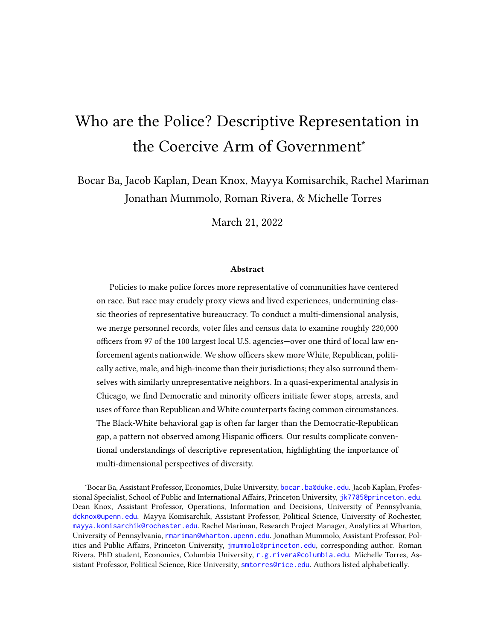## 2 Data

To move beyond single-jurisdiction analyses of descriptive representation, we sought rosters of all sworn police officers employed in the largest 100 police agencies $^3$  in the United States. We define "largest" based on the number of officers whose primary duty is patrol, as these officers are the ones most likely to have contact with members of the public (Harrell and Davis, 2020). As police departments are public institutions, police roster data, including the names of current employees, are—with the exception of certain protected units such as undercover officers—nominally a matter of public record. For 50 agencies, we acquired these data from public sources such as open data portals managed by local governments, news agencies or nonprofits, or from data previously released through public records requests on muckrock.com. We obtained the remainder from a combination of open-records requests and data-sharing agreements. Rosters from three agencies—the Detroit Police Dept. and the Oakland County Sheriff's Office, both in Michigan, and the Norfolk Police Dept. in Virginia—remain pending.

Ultimately, we received data covering roughly 220,000 officers from 97 police agencies. In 90 agencies, we also obtained employee titles, which we use to distinguish sworn police officers and unsworn civilian roles (such as lab technicians and analysts). This information allows us to subset to sworn officers for much of our analysis.

Figure 1 shows the location of each agency included in this study. Our dataset covers agencies in 38 states and the District of Columbia. In all, the roughly 218,000 officers we successfully merged with L2 voter file data represent over one third of the roughly 642,000 local police officers and sheriffs' deputies nationwide (Hyland and Davis, 2019), making this—to our knowledge—the largest-ever examination of descriptive representation in policing.

To put our dataset in context, Appendix Table B1 reports basic descriptive statistics comparing officers in our data to (1) officers nationwide and (2) the U.S. population. These statistics show our officers skew heavily male (73%) and have much higher household income than the average American household (\$114,331 vs. \$92,310, respectively). Officers in our data are more racially and ethnically diverse than both officers nationwide and

<sup>&</sup>lt;sup>3</sup>We began with agencies contained in (DOJ, 2016), then limited our sample to sheriff's departments and local or county police. We also excluded state police and sheriff's departments that do not engage in law enforcement services. The remaining agencies were then ranked by their number of full-time sworn officers according to the Census of State and Local Law Enforcement Agencies (CSLLEA), the most complete record of agency size available.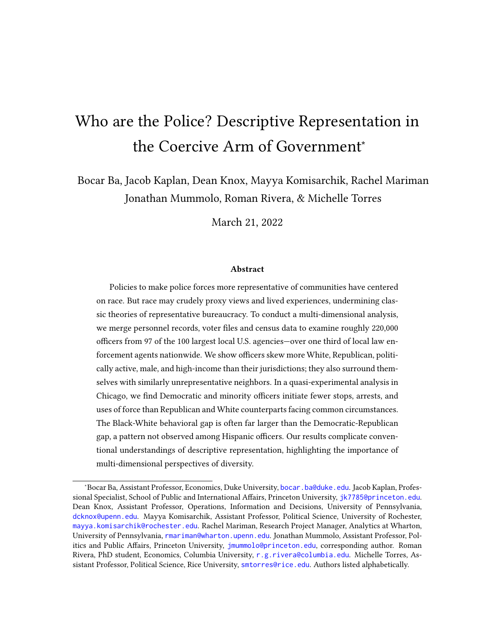

Figure 1: Agency Locations. Our agency rosters cover roughly 220,000 officers across 38 states and the District of Columbia, representing 34% of the nation's estimated 641,628 sworn local police officers and sheriffs' deputies (Hyland and Davis, 2019). Together, jurisdictions covered in our data serve 23% of the U.S. population. Each dot is scaled by the number of sworn officers.

the U.S. population, likely due to our focus on large population centers, which tend to be themselves diverse and thus constitute a diverse recruitment pool for agencies. As a result, we recommend caution in extrapolating from our study to U.S. law enforcement more generally, and we emphasize that expanding our registry and analysis is a critical direction for future research. Even so, the jurisdictions we study—which cover 23% of the U.S. population and were responsible for investigating 41% of all murders and conducting 17% of all arrests reported to the FBI in 2019 (Kaplan, 2020, 2018)—are important to study in their own right.

## 3 Measuring Officer Attributes

Each employee roster provides full officer names, with the exception of a limited number of undercover agents in certain jurisdictions, who are excluded from analysis. We merge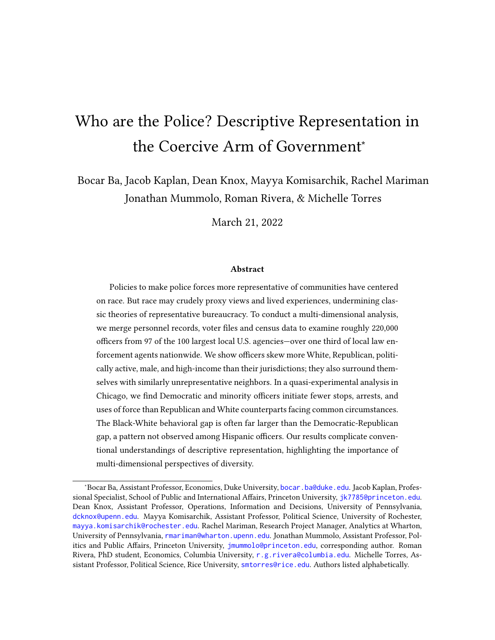these with a commercial voter file from the firm L2. To match police roster data with voting data, we employ a two-step process. First, to reduce misidentification of people with common names, we restrict candidate matches to only individuals residing in or adjacent to the county in which their agency lies, including adjacent out-of-state counties. (In cases where an agency covers multiple counties—such as the New York Police Department, which spans the city's five boroughs—the set of candidate matches covers all of the agency's counties and all their adjacent counties.) Once we identify these pools of potential matches in the voter file, we attempt to find a match for each officer in our roster based on the officer's first name, their middle initial (if available), and their last name. Rather than using exact name matches only, we employ the probabilistic technique in Enamorado, Fifield and Imai (2017b), using the fastlink R package (Enamorado, Fifield and Imai, 2017*a*)<sup>4</sup>.

The L2 voter file database contains a number of individual-level covariates including race, ethnicity, party identification, gender, age, household income, and voter turnout history. We use these covariates to compare officers to civilians in their jurisdictions using both L2 and 2015–2019 Census American Community Survey data.<sup>5</sup> We divide officers and civilians into three categories based on L2's labels: Democrat, Republican, and an aggregate of numerous other party affiliations and individuals not appearing in the L2 data. These categories rely on proprietary L2 algorithms to characterize the party affiliation of officers and civilians, which introduces potential bias due to error in machine-learning based proxies (Knox, Lucas and Cho, 2022).<sup>6</sup> While error in these imputations may result in biased estimates of mean levels of party affiliation, it is less plausible they would severely bias estimates of *dierences* between officers and civilians (our primary quantity of interest) because the same imputation method is applied to both groups. Nevertheless, we compute bounds that substitute extreme assumptions for the covariates of unobserved individuals to demonstrate the robustness of our results. As an additional check, Appendix B.1 reports similar results using only states in which both major parties held closed presidential/congressional primary elections in 2020.<sup>7</sup>

To measure the share of officers of various racial, ethic and gender identities, we rely

<sup>&</sup>lt;sup>4</sup> After matching officers to voters in the L2 database, we retain all officers with a 0.9 or greater posterior probability of a match. Alternative core results using a cutoff of 0.95 appear in Appendix B19.

 $5$ See Appendix A.1 for details on jurisdiction geography and Census merges.

<sup>&</sup>lt;sup>6</sup>See Appendix  $A.2$  for details on L2's imputation of party ID.

 $7$ Turnout analyses exclude voter turnout for agencies in Kentucky, which account for about 1% of officers, due to missing data in L2.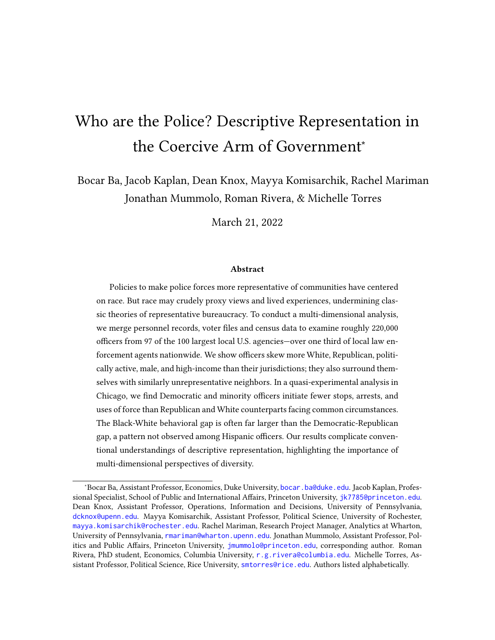on the 2020 Law Enforcement Officers Killed and Assaulted data (LEOKA Kaplan, 2021), which contains the gender breakdown for officers in each reporting agency, and the 2016 Law Enforcement Management and Administrative Statistics (LEMAS BJS, 2016), a survey of law enforcement agencies which contains the number of officers by race for a select number of agencies. These datasets contain demographic information on close to 100% and roughly 86% of the agencies in our study, respectively. For missing agencies, we rely on imputed values of race and ethnicity from the L2 data set. We similarly rely on L2 for measures of officers' household income and age. See Appendix A.3 for additional details on these measures.

We note that L2 does not cover every officer; across all agencies, we were able to match 86% of officers with at least 90% confidence. In analyses where L2 is used only as a fallback measure for agencies not appearing in alternative datasets, differential missingness is a lesser concern; in analyses of household income and age, where L2 is our sole source of information, it poses a greater threat. To ensure reported results are robust to any possible missingness pattern, we apply a simple bounding procedure across all analyses to characterize the range of possible agency-level averages on each attribute given hypothetical extreme values for the unobserved officers (e.g., reporting a series of estimates assuming all missing officers are female, male, Democratic, Republicans). We discuss these bounds below and report them in Appendix B.

## 4 Do Police Descriptively Represent Civilians?

We now present an in-depth comparison between police officers and the civilians they serve. To accomplish this, we compare the average levels of officers and civilians in their jurisdictions on the following dimensions: race, ethnicity, gender, household income, age, political party affiliation and political participation as measured by general election turnout. Civilian attributes are measured using data from L2 and 2015–2019 American Community Survey data, aggregating all tracts for which the agency has jurisdiction.<sup>8</sup> Officer attributes are measured with a multi-pronged approach. For certain analyses, we are able to use agency-level race, ethnicity, and gender information from LEMAS and LEOKA data, where missingness of officers within an agency is not a concern. However, not all of our agencies appear in LEMAS; moreover, neither source reports age, income, or political attributes. To conduct these analyses, we rely on L2 voter files—meaning key

 $8$ See Appendix A.1 for details on matching tracts to jurisdictions.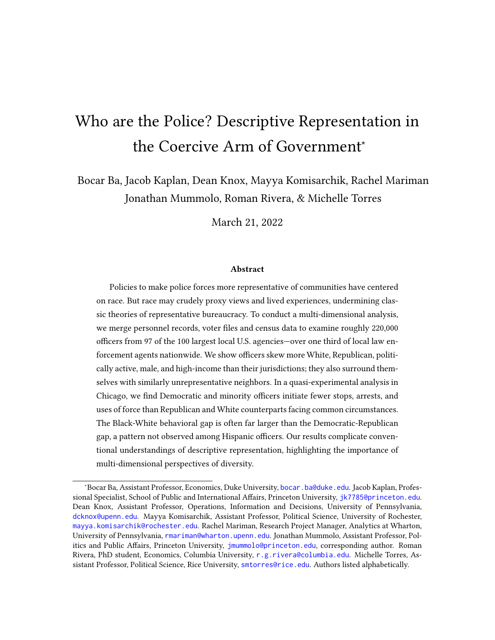variables are missing for officers who are not registered to vote. This challenge, while substantial, is less severe in our context than many voter-file analyses due to the high political engagement of police officers. We are able to match 86% of officers with high confidence (match probability exceeding 90%), meaning missingness affects at most 14% of officers (with far lower levels in many analyses due to use of LEMAS and LEOKA where possible). To probe the robustness of our results under the most extreme possible patterns of selective missingness, Appendix Section B re-computes all estimates using best- and worst-case assumptions about the characteristics of missing officers. Due to the sheer magnitude of differences between police officers and civilians, the interpretation of our results remain similar even under these extreme scenarios.

Table 1 compares officers in our data to the civilians in their jurisdictions. The left estimates correspond to officers in our data, aggregating across our 97 jurisdictions. (Because each officer is given equal weight, larger agencies account for a larger share of these aggregate statistics; results disaggregated by agency are given in Figures  $2-3$ .) The next column corresponds to the hypothetical value for perfectly representative police agencies—for example, the proportion of Republican officers or the median age that could be expected if each officer was replaced with a representative draw from their respective jurisdiction, holding the size of each agency fixed.<sup>9</sup> Subsequent columns display officer-civilian differences and 95% confidence intervals.

Results show police officers diverge from the populations they serve on every attribute we measure. Turning first to race and ethnicity, roughly 56% of officers in our data are White—an enormous overrepresentation of this group. To put this in context, note that if officers were representative of civilians in their jurisdictions, that share would fall to roughly 38%; correspondingly, the Black and Hispanic proportion would rise by 5 and 7 percentage points, respectively. Officers are also much more politically active than a representative group of civilians: 86% of officers are registered to vote (compared to 77% of voting-age civilians), and 69% of officers voted in the 2020 general election (compared to 54% of civilians).

We also find officers are markedly more likely to be Republican than civilians in their jurisdictions: as a share of the voting-age population at least 32% of officers are Republican, vs. 14% if officers represented civilians. Decades of prior research has demonstrated a

<sup>&</sup>lt;sup>9</sup>Specifically, this hypothetical value is computed as  $\frac{1}{-\frac{4}{\text{4gency }}}$ #{agency }, where indexes agencies, refers to the average civilian in the agency's jurisdiction, and #{agency } is the number of officers employed by the agency.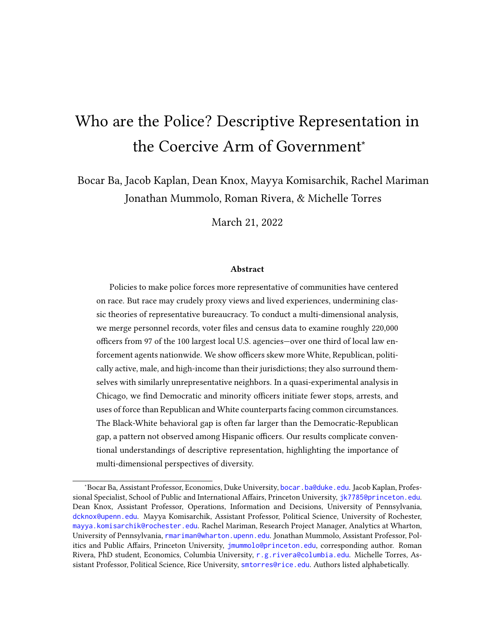robust correlation between voter turnout and the strength of party identification (Campbell et al., 1960; Prior, 2007), suggesting officers are also more likely to be strong partisans. We also find similar results when subsetting to states with closed primaries where measures of party identification are arguably more reliable (see Appendix  $B(1)$ .

Within racial and ethnic groups, politically speaking, we find Black civilians are betterrepresented by officers of their own race than are White and Hispanic civilians (see Table B2). Black officers are 52% Democratic. Among Black voting age civilians drawn from the same jurisdictions, 66% appear in L2 as Democratic (officer-to-civilian ratio of 0.79; modest underrepresentation). Black officers are also 2% Republican, versus 1% among representative Black civilians. However, White and Hispanic officers diverge more sharply from their civilian counterparts. White officers are 19% Democratic, versus 35% among a representative set of White civilians (ratio of 0.54; severe underrepresentation). They are 40% Republican, versus 22% among White civilians (ratio of 1.81; severe overrepresentation). Similarly, Hispanic officers are 43% Democratic compared to 38% among representative civilians (ratio of 1.13) and 23% Republican, compared to 7% among representative civilians (ratio of 3.28).

By far the largest representation gap pertains to gender: roughly 83% of officers in our data are male. This is perhaps unsurprising, as agencies have struggled to recruit female candidates into law enforcement (Kringen, 2014). However, this result is especially noteworthy given recent research showing that, when faced with common circumstances, female officers are far less likely to use force than their male counterparts (Ba et al., 2021). Officers are also older than the average civilian in their jurisdictions (44 vs. 37 years old), and have higher household incomes. On average, officers' households in our data make over \$114,000 a year, whereas a representative group of civilian households would earn roughly \$22,000 less.

We note some officers cannot be identified with sufficient certainty in the L2 data defined as a match probability of at least 90%—meaning some covariates are missing for these individuals. Nevertheless, most of the disparities we find are so severe that the most extreme possible missingness scenarios, substituting "best-" and "worst-case" values for missing officers, would not alter their substantive interpretation (see Appendix B.2). For example, if—implausibly—every single officer not found in L2 and from a non-BJS (2016) agency happened to be non-White, then officers would be 46.1% White (the lowest possible value under any missingness pattern). Conversely, if every missing officer were White, the highest possible value is 59.7%. Regardless, either extreme remains far higher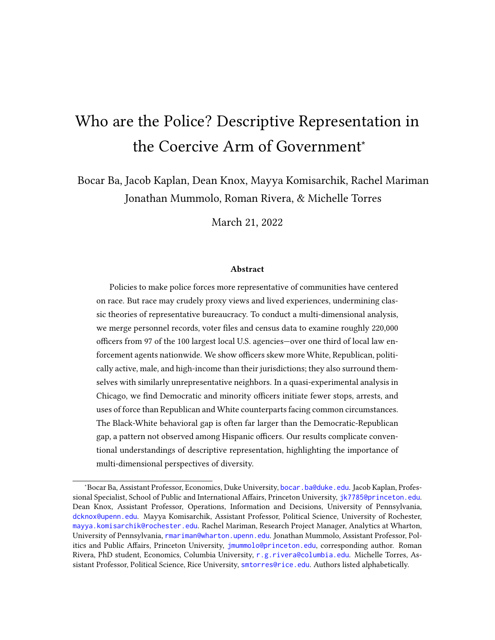than the White share of representative civilians, 37.9%. Likewise, under similarly extreme scenarios, we can conclude that between 32.4% and 46.5% of officers must be Republican; under any possible missingness pattern, this number is far larger than the 14% figure among representative civilians. Even under the wildest possible assumptions about data we cannot observe, officers substantially diverge from civilians in their jurisdictions on a host of salient social and political dimensions.<sup>10</sup>

Our pooled results provide striking evidence that police officers differ from the populations they serve, but they also mask considerable heterogeneity across agencies. To explore this variation, Figure 2 plots average officer and civilian shares of White individuals separately for each jurisdiction (the global means from Table 1 are plotted as vertical lines for reference). Consider the City of Sacramento, capital of California and home to more than half a million people, (roughly 32% White). We estimate 74% of Sacramento Police Dept. officers are White. Similarly, Figure 3 shows Rochester, N.Y., an upstate community with more than 200,000 residents, about 8% of whom are Republican. We estimate at least 56% of police officers there are Republican.

Conversely, our data also reveal some police forces are quite representative of their jurisdictions. For example, the Miami Police Dept. is 8% White (67% Hispanic), closely aligned with the composition of city residents at 11% (71%). Similarly, 13% (22%) of officers in the Honolulu Police Dept. are Republican (Democratic), close to the 12% (24%) of adult civilians there overall (see Appendix  $B.2$  for additional within-jurisdiction comparisons). However on the whole, we find police officers are very different from the civilians they are tasked with protecting, differences which classic theories of representative bureaucracy suggest could lead to subpar performance (Kingsley, 1944; Mosher, 1968).

<sup>10</sup>Exceptions include analyses of Black, Hispanic, and Asian officers, those of other or unknown race/ethnicity, and Democratic party members. For these analyses, average lower and upper bounds overlap the hypothetical shares that agencies would exhibit if officers were replaced with representative draws from their respective jurisdictions.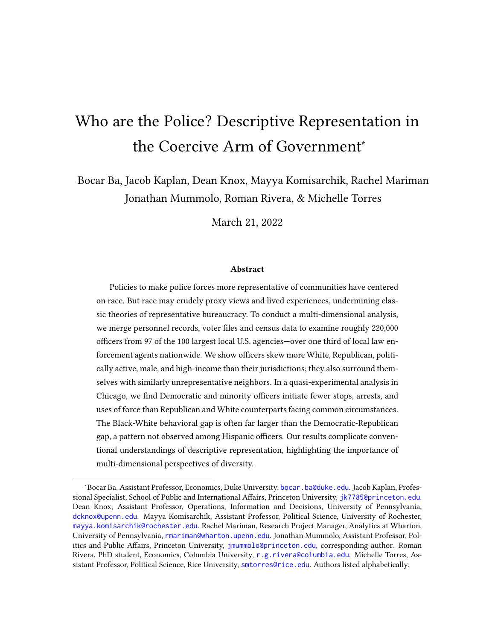| Variable                   | Value               | Actual Officer % | Officer %<br>Representative<br>Hypothetical | Difference                          | Z       |
|----------------------------|---------------------|------------------|---------------------------------------------|-------------------------------------|---------|
| Race                       | White               | 55.99            | 37.82                                       | 17.98, 18.38<br>$18.18***$          | 215,935 |
|                            | Hispanic            | 20.96            | 28.12                                       | $-7.32, -7.00$<br>$-7.16***$        | 215,935 |
|                            | <b>Black</b>        | 16.32            | 21.20                                       | $-5.03, -4.73$<br>$-4.88***$        | 215,935 |
|                            | Other/Unknown Race  | 1.83             | 3.42                                        | $-1.64, -1.53$<br>$-1.58***$        | 215,935 |
|                            | Asian               | 4.90             | 9.45                                        | $-4.64, -4.46$<br>$-4.55***$        | 215,935 |
| Party (Voting Age Pop.)    | Republican          | 32.44            | 14.00                                       | $18.44***$ 18.25, 18.64             | 218,041 |
|                            | Democratic          | 31.03            | 43.32                                       | $-12.30***$ $-12.49$ , $-12.10$     | 218,041 |
|                            | Other/Unknown Party | 36.53            | 42.92                                       | $-6.39***$ $-6.60,-6.19$            | 218,041 |
| General Turnout, 2020      | Voting Age Pop.     | 69.03            | 54.41                                       | $14.62***$ 14.43, 14.82             | 215,646 |
| Gender                     | Male                | 83.20            | 48.69                                       | 34.51*** 34.35, 34.67               | 218,041 |
|                            | Female              | 16.80            | 51.31                                       | $-34.51***$ $-34.67$ , $-34.35$     | 218,041 |
| Median Age (Years)         |                     | 44.00            | 36.85                                       | $8.03***$ 7.97, 8.10                | 185,431 |
| Mean Household Income (\$) |                     | 114330.56        | 92309.78                                    | 21730.44, 22284.80<br>$22007.62***$ | 184,844 |
|                            |                     |                  |                                             |                                     |         |

Table 1: Comparison of Average Officer and Civilian Traits. The table displays, from left to right, the actual share of officers with a given attribute; the share of officers who would have the attribute if taken as a random draw from their jurisdictions; Table 1: Comparison of Average Officer and Civilian Traits. The table displays, from left to right, the actual share of officers with a given attribute; the share of officers who would have the attribute if taken as a random draw from their jurisdictions; and the difference between the two. Stars denote \$p<.001\$; brackets contain 95% confidence intervals. and the difference between the two. Stars denote \$p<.001\$; brackets contain 95% confidence intervals.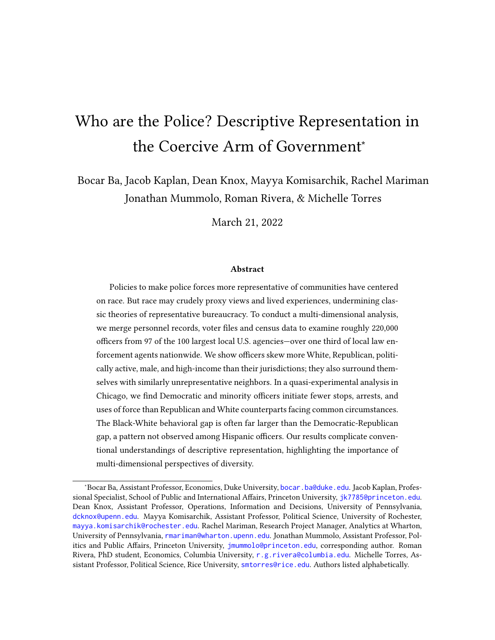

Figure 2: Average Shares of White Officers and Civilians in the Same Jurisdictions. Blue dots are officer shares from BJS (2016) with 95% confidence intervals. Red dots are civilian shares from U.S. Census. Vertical blue line is the pooled officer mean. Vertical red line is hypothetical officer mean if each officer was randomly drawn from their respective jurisdictions. See Appendix Table B11 for numeric results.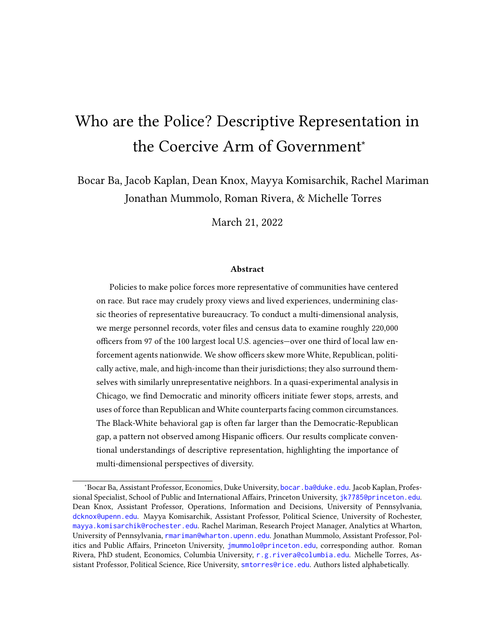

Figure 3: Average Shares of Republicans Among Officers and Civilians in the Same Jurisdictions. Blue dots are officer shares with 95% confidence intervals. Red dots are civilian Republicans from L2 as a share of voting-age population from Census ACS. Vertical blue line is the pooled officer mean. Vertical red line is hypothetical officer mean if each officer was randomly drawn from their respective jurisdictions. See Appendix Table B12 for numeric results.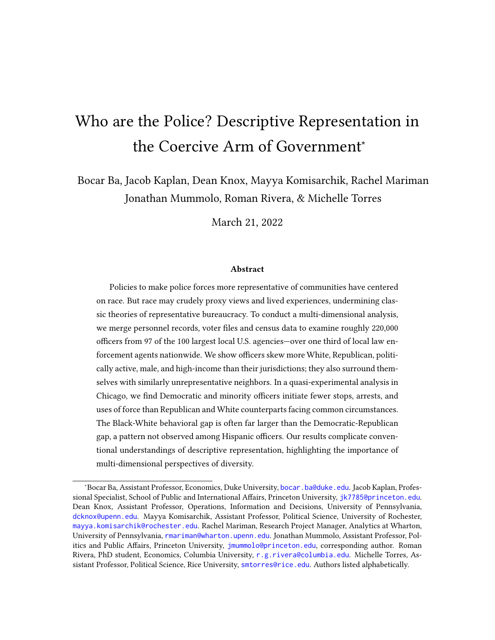#### 4.1 Officers' Places of Residence

Even if police do not themselves reflect the communities they serve, it is still possible they are rooted in those communities in ways that facilitate awareness of and empathy for the issues experienced by civilians they encounter on the job. An individual's place of residence is a close proxy for the social interactions they engage in on a day-to-day basis outside the work context, correlating strongly with social attitudes (Hopkins, 2010; Key, 1949; Oliver and Mendelberg, 2000; Oliver and Wong, 2003). Past work on intergroup contact theory has hypothesized such non-threatening interactions foster positive attitudes toward out-group members (Pettigrew, 1998). Often citing this same logic, 26 of the 100 largest agencies have adopted policies that encourage or require officers to reside inside their jurisdictions, according to a close examination of police union contracts, hiring webpages, and personnel policies for each jurisdiction. There is wide variation in these policies: the precise terms span within-city-limits requirements and home-to-work distance thresholds, and policy instruments vary from financial incentives to employment conditions (for agency-specific rules, see Appendix Table B4). Nevertheless, it is clear that numerous top agencies regard officer residency as an important consideration.

To evaluate the possibility officers live among neighbors who more or less represent their jurisdictions writ large, we used officer home addresses in the L2 database—redacted from our replication data for security reasons—to match them with U.S. Census tracts. The characteristics of these home tracts, which approximate the neighborhoods in which officers choose to live, are then compared to the overall jurisdiction. The results are displayed in Table 2. 11

As the table shows, areas in which officers live tend to have higher shares of Republicans (+9.0 percentage points, p.p. among the voting age population) and White residents (+13 p.p.). They also tend to have a higher median household annual income (+\$12,908) and participate in elections at greater rates (+9 p.p. among voting age population). In the same vein, officers tend to live in areas with lower shares of Black (-7.0 p.p.) and Hispanic (-5 p.p.) residents than the jurisdiction-wide average.

<sup>&</sup>lt;sup>11</sup>This analysis is restricted to the 86% of officers matched to the L2 database, which contains officer addresses.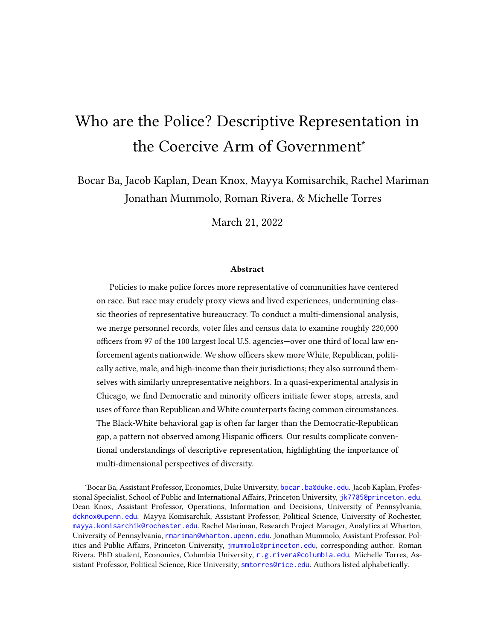| Variable                   | Value               | Actual Officer % | Representative<br>Officer %<br>Hypothetical | Difference                     | $\mathsf{z}$ |
|----------------------------|---------------------|------------------|---------------------------------------------|--------------------------------|--------------|
| Race                       | White               | 50.54            | 37.82                                       | $12.83***$ 12.71, 12.94        | 200,302      |
|                            | Hispanic            | 23.36            | 28.12                                       | $-5.06*** -5.15, -4.98$        | 200,302      |
|                            | <b>Black</b>        | 14.21            | 21.20                                       | $-6.90***$ $-6.99$ , $-6.80$   | 200,302      |
|                            | Other/Unknown Race  | 3.40             | 3.42                                        | $0.01 - 0.00, 0.02$            | 200,302      |
|                            | Asian               | 8.49             | 9.45                                        | $-0.88***$ $-0.93,-0.84$       | 200,302      |
| Party (Voting Age Pop.)    | Republican          | 23.35            | 14.00                                       | 9.31*** 9.25, 9.38             | 201,018      |
|                            | Democratic          | 38.74            | 43.32                                       | $-4.49***$ $-4.57, -4.42$      | 201,018      |
|                            | Other/Unknown Party | 39.97            | 42.92                                       | $-3.01***$ $-3.07,-2.96$       | 201,018      |
| General Turnout, 2020      | Voting Age Pop.     | 63.77            | 54.41                                       | $9.43***$ 9.35, 9.50           | 198,780      |
| Gender                     | Male                | 48.82            | 48.69                                       | $0.13***$ 0.11, 0.14           | 201,033      |
|                            | Female              | 51.18            | 51.31                                       | $-0.13***$ $-0.14$ , $-0.11$   | 201,033      |
| Median Age (Years)         |                     | 38.80            | 36.87                                       | $2.33***$ 2.30, 2.36           | 201,030      |
| Mean Household Income (\$) |                     | 105215.82        | 92628.27                                    | 12908.40*** 12716.03, 13100.77 | 201,004      |
|                            |                     |                  |                                             |                                |              |

Table 2: Average Attributes of Officers' Home Census Tracts Relative to their Jurisdictions. The table displays the<br>average characteristics of the U.S. Census Tracts in which police officers reside, the average characteris Table 2: Average Attributes of Officers' Home Census Tracts Relative to their Jurisdictions. The table displays the average characteristics of the U.S. Census Tracts in which police officers reside, the average characteristics of their jurisdictions, and the difference between the two.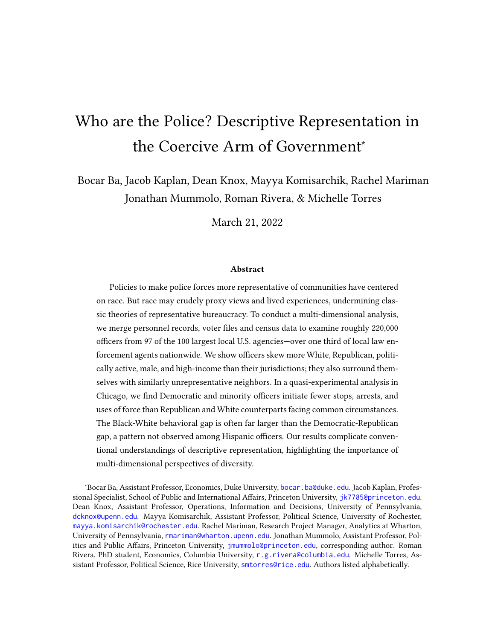## 5 The Chicago Police Dept.: A Micro-Level Case Study

The officer-level analyses presented above paint a broad portrait of the state of descriptive representation across America's largest law-enforcement agencies. However, certain aspects of descriptive representation cannot be studied without more granular information. In this section, we consider two such questions using rare micro-level data on officer shift assignments and behavior, obtained via years of records requests in Chicago.

First, to account for enormous variation within each jurisdiction—both in terms of local resident traits and in agencies' deployment of officers—we conduct a disaggregated analysis of representation across precincts ("districts") of the Chicago Police Department (CPD). Past work has shown Black and Hispanic officers disproportionately serve in Blackand Hispanic-majority parts of Chicago (Ba et al., 2021), respectively, suggesting failures in citywide representation may be in part blunted by allocating police officers to precincts where they resemble the local population. On the other hand, on a per-capita basis, police agencies often allocate greater numbers of officers to policing minority communities (Kane, 2003; Briggs and Keimig, 2017), which may exacerbate representational gaps between predominantly White police officers and the civilians with whom they most frequently interact. In Section 5.1, we use detailed precinct-level staffing rosters to probe this important question in terms of racial and ethnic representation and political party affiliation.

Second, while some have advanced normative justifications for descriptively representative police forces—reasons that hold regardless of representation's ultimate impact many proponents of diversification ground their advocacy in assertions that representation would lead to tangible benefits for civilians, such as reductions in the use of force (Sklansky, 2005; Legewie and Fagan, 2016). After decades of mixed empirical results, several recent studies using careful causal designs and newly available data have supported these assertions with respect to race, ethnicity and gender (Harvey and Mattia, 2019; Hoekstra and Sloan, 2020; West, 2018). However, despite the strong link between political ideology and policing philosophy, prior work has not assessed whether conservative officers in fact choose to enforce the law differently than liberal officers faced with similar circumstances. In Section 5.2, we use newly expanded data on micro-level shift assignments and officer behavior to estimate the magnitude of these enforcement gaps and place them in context with comparisons along other dimensions of officer identity.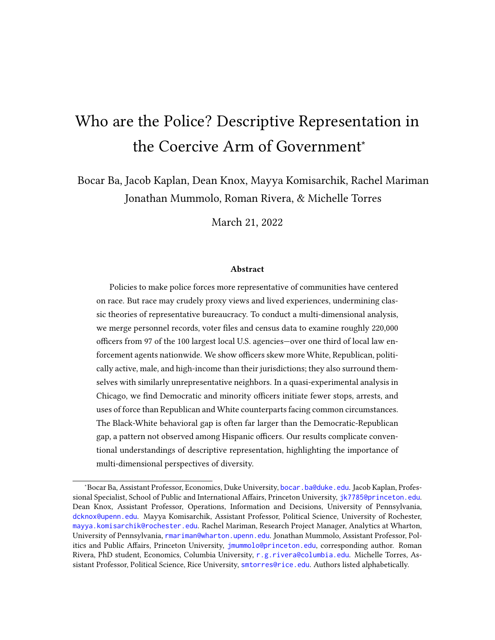#### 5.1 Representation in Police-Civilian Interactions

Much of our analysis is based on one reasonable definition of descriptive representation in policing: the degree to which officers resemble civilians residing in their agency's jurisdiction, broadly defined. However, at least one meaningful alternative definition exists: the degree to which officers resemble the civilians with whom they interact. Unfortunately, the vast majority of police-civilian interactions go undocumented (Knox, Lowe and Mummolo, 2020), making it impossible to directly evaluate this alternative form of representation. However, using our micro-level data in Chicago, we can provide a detailed examination of the degree to which officers resemble a set of civilians that they frequently encounter.

To do this, we associated each officer in the Chicago data set with the district, or precinct, in which they most frequently worked, as measured in month-level unit assignment data. We then used our CPD data, along with the Census and L2 data discussed in Section 4, to characterize officers and civilians in those districts. Figure 4 shows the share of officers assigned to each district who are White (blue dots), according to CPD personnel records, as well as the share of civilians who are White in those same districts (red dots), based on Census data. The vertical blue line shows that, aggregating over all CPD districts, 52% of officers are White according to CPD personnel records. If officers perfectly matched civilians in their districts, however, that figure would be 33%.

The vast majority of CPD districts are policed by officers who skew more White than the local population, often by a substantial margin. Residents of Chicago's "Austin" District, located on the west side of the city, are 87% Black and 9% Hispanic. Yet about 56% of officers assigned to this area are White. In contrast, the "Shakespeare" district—located only slightly to the northeast—is a mixed-race area in which the estimated share of officers identifying as White diverges from local residents by only a few percentage points.

Figure 5 shows another striking mismatch. Overall, 15% of CPD officers are Republican. If each officer was replaced with a representative draw from the local district population, this group would be 3% Republican. However, even in the most right-leaning district civilians are no more than 9% Republican; in more than half of districts, this figure is below 3%. Strikingly, as Figure 5 shows, Republican partisans are overrepresented among police officers in every district in Chicago. In Appendix Figure B12, we present additional results showing Democrats are underrepresented in almost every district, indicating these results are not simply driven by increased political engagement and lower rates of nonpartisanship among officers. (See Appendix B for robustness tests).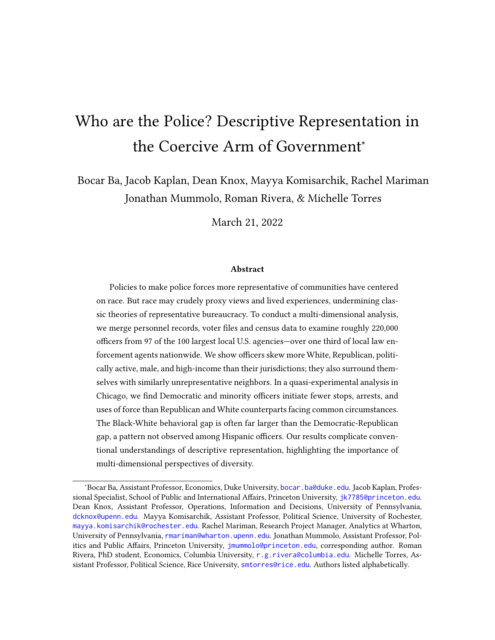

Figure 4: Average Shares of White Chicago Officers and Civilians in Officers' Assigned Districts. Blue dots are officer shares with 95% confidence intervals. Red dots are civilian shares from U.S. Census. Vertical blue line is the pooled officer mean. Vertical red line is hypothetical officer mean if each officer was randomly drawn from their respective district. See Appendix B13 for numeric results.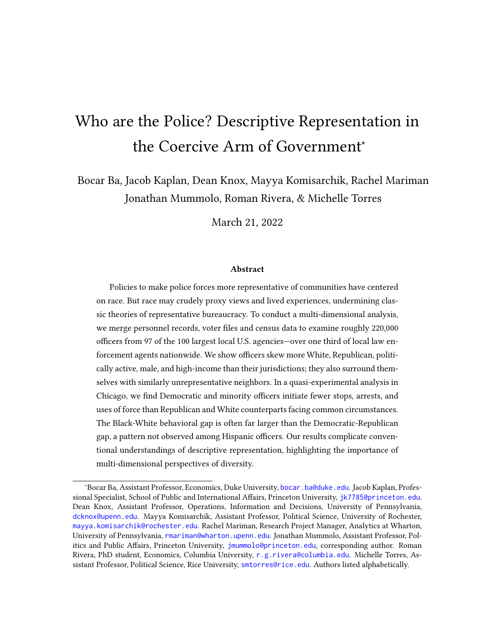

Figure 5: Average Shares of Republican Chicago Officers and Civilians in Officers' Assigned Districts. Blue dots are officer shares with 95% confidence intervals. Red dots are civilian Republicans from L2 as a share of voting-age population from Census ACS. Vertical blue line is the pooled officer mean. Vertical red line is hypothetical officer mean if each officer was randomly drawn from their respective district. See Appendix Table B14 for numeric results. 22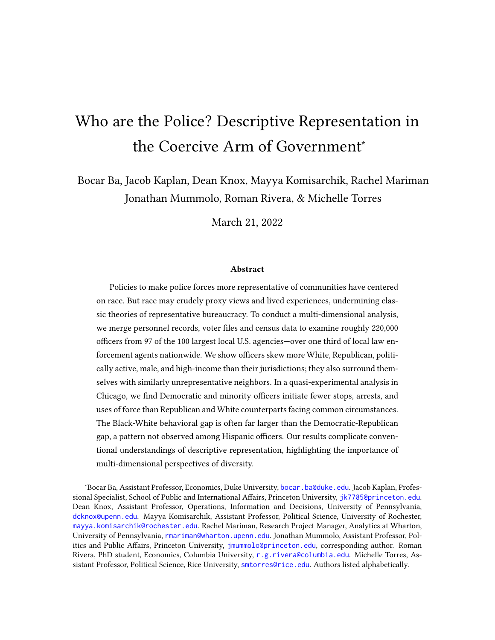As this analysis shows, not only do officers diverge from their jurisdictions as a whole, they also substantially diverge from civilians living in the areas of the city they are assigned to serve—at least, in Chicago. At multiple institutional layers, descriptive representation in policing appears deficient.

### 5.2 Deploying Officers of Different Racial and Political Groups

In this section, we use micro-level data on officer decisions to stop, arrest, and use force against Chicago civilians to study the impact of descriptive representation. To do so, we leverage fine-grained information on officer shift assignments to compare officers in similar times and places, ensuring external circumstances, including civilian behavior, are held fixed. This research design, first developed by Ba et al. (2021), allows us to compare groups of officers and attribute differences in their enforcement patterns to differences in their decision-making. We analyze CPD shift-assignment and enforcement records covering the years 2012–2019, using extensive new data collection that doubles the temporal coverage of Ba et al. (2021), which spanned 2012–2015. Table 3 describes our sample for this analysis. As the table shows, our data include observations on the behavior of more than 12,000 officers across more than 7 million shifts. Using new data on officer-level partisan affiliation, we probe "deployment effects"—the differences in behavior police commanders can expect when assigning Republican and Democratic officers to conduct the same task, based on how these individuals exercise the considerable discretion officers possess—and contrast these with previously demonstrated race- and ethnicity-based effects.

|          | White          | Black   | Hispanic Male |         |         |         |         | Female Republican Democrat Other Party |
|----------|----------------|---------|---------------|---------|---------|---------|---------|----------------------------------------|
| Stops    | 1096510 377310 |         | 553736        | 1630886 | 396670  | 360515  | 1160143 | 506898                                 |
| Arrests  | 248327         | 88222   | 142373        | 392220  | 86702   | 80407   | 262776  | 135739                                 |
| Force    | 11143          | 3739    | 5566          | 17566   | 2882    | 3620    | 11419   | 5409                                   |
| Shifts   | 3489841        | 1697719 | 1842828       | 5458569 | 1571819 | 1144951 | 4173863 | 1711574                                |
| Officers | 6215           | 2859    | 3354          | 9296    | 3132    | 1891    | 7168    | 3373                                   |

Table 3: Summary of data on officer behavior (counts), 2012-2019.

Our analyses compare officers working in the same month-year (e.g. January 2012), day of week, 8-hour shift, and beat (a specific task or assignment, often a small patrol area typically about one square mile in area), units dubbed MDSBs for short. Within each MDSB, we compute differences in discretionary enforcement between officer groups of various profiles, then aggregate these to an overall deployment effect estimate by taking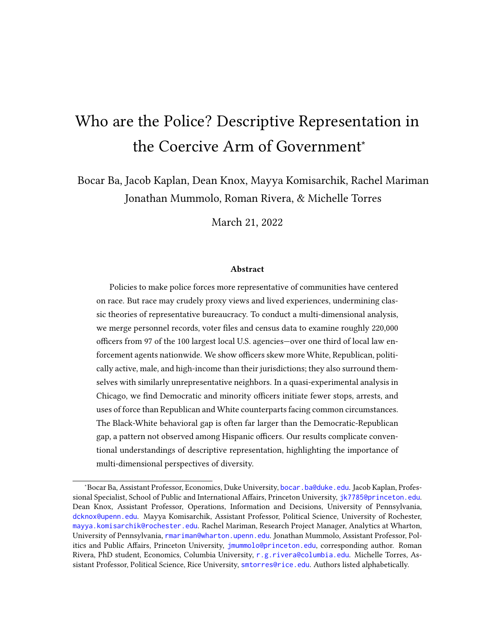the weighted average according to the number of patrol slots within each MDSB (see Appendix A.4 for additional details on estimation). Among the pool of officers eligible to work a beat and shift, predetermined "day-off group" rotations create exogeneous variation in the specific individuals available on any particular date. Thus, within these small slivers of time and space, we can plausibly assume officers are facing common circumstances, and therefore differences in policing outcomes can be attributed to differences in how two groups of officers exercise discretion.

Importantly, this research design estimates the effects of "bundled" treatments. When commanders deploy a Black officer, for example, they deploy that individual along with all their other identities and beliefs. Our analysis therefore does not offer us purchase on the precise mechanism driving behavioral differences. For example, if we observe Black and White officers make different numbers of arrests when facing common circumstances, we cannot conclude that difference is due to an officer's race rather than some officer-level correlate of race. Rather, we simply estimate differences in what commanders can expect when deploying members of each group to the same environment. As Ba et al. (2021) explain, this is the policy-relevant quantity of interest, since commanders must deploy whole officers, not isolated officer attributes net of their correlates.

To facilitate comparison between political deployment effects with previously demonstrated racial/ethnic effects, we focus on scenarios in which both contrasts can be made. For example, we first present results based on the subset of MDSBs in which Black, White, Democratic, and Republican officers appear.<sup>12</sup> This ensures comparisons are based on the same sets of times and places. A second set of analyses subsets to MDSBs with Hispanic, White, Democratic, and Republican officers. We caution these two sets of times and places can differ substantially, meaning that effects should not be directly compared.

Figures 6–7 display the results of these behavioral analyses (see Appendix B.4 for full numeric results; all -values adjusted for multiple testing using the Benjamini-Hochberg procedure (Ferreira and Zwinderman, 2006)). Turning first to Figure 6, we find Democratic officers detain 3.8 fewer civilians, make 0.77 fewer arrests and engage in 0.09 fewer uses of force per 100 shifts, compared to Republican officers faced with the same circumstances (all adjusted -values<0.01). To put their magnitude in perspective, these effects represent reductions equal to 12%, 11% and 28% of the citywide average volume of stops, arrests and uses of force among Republican officers per 100 shifts citywide, respectively (see

 $12$ This can occur with as few as two officers in an MDSB, e.g. if one is a Black Democrat and another is a White Republican.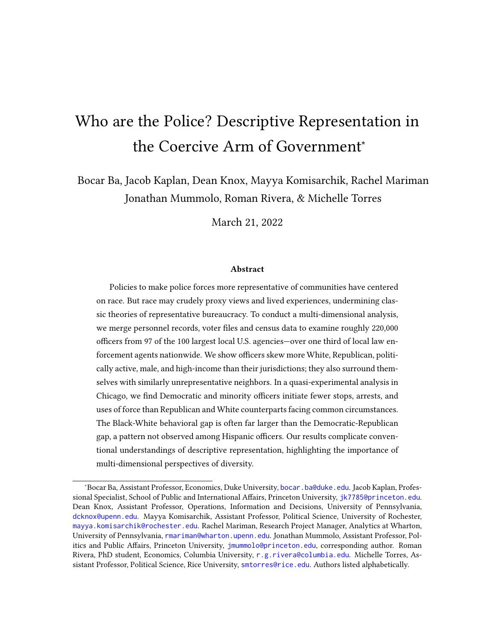Appendix Tables B8-B10). While substantial, these Democrat-Republican officer gaps in discretionary policing are smaller than the corresponding Black-White officer gaps for stops (by a factor of roughly 2.1x) and arrests (1.6x; adjusted -values of both differences < 0.012). They are comparable in size for use of force. When examining all combinations of race and party, we see a similar dynamic: Black officers tend to make fewer stops and arrests than White officers of the same political party.

We next turn to scenarios where Democratic-Republican officer deployment effects can be contrasted with Hispanic-White officer differences, estimated in MDSBs where at least one individual in each group was present. In these circumstances—which we emphasize can differ substantially from those considered above—Democratic officers are not significantly different from their Republican counterparts in terms of stops, arrests and uses of force. As Figure 7 shows, the deployment effects associated with ethnicity and party are, in this case, quite comparable in magnitude.

To investigate how different groups of civilians are impacted by these deployments, Figures B13 and B14 display results broken out by civilian race/ethnicity. In MDSBs where Black, White, Democratic and Republican officers all worked at least one shift, both raceand- party-based deployments yield significant reductions which are concentrated on encounters with Black civilians. Specifically, deploying a Black officer yields reductions of 6.0 and 0.8 stops and arrests of Black civilians per 100 shifts, and deploying a Democratic officer yields reductions of 3.2 and 0.6 stops and arrests of Black civilians per 100 shifts, respectively (all marginal  $_{\text{adj}}$  < 0.01; of differences in effects < 0.001 for stops and 0.036 for arrests). As in the previous analysis, race and party-based deployments yield very similar effects when it comes to the use of force, though again, effects are most pronounced in interactions with Black civilians. Deploying a Black (relative to White) officer or a Democratic (relative to a Republican) officer produces an expected reduction in 0.07–0.08 force per 100 shifts (both  $_{\rm adj}$  < 0.01). We also see significant reductions in stops and arrests of Hispanic and White civilians when deploying Black officers, but they are much smaller in magnitude (1.1 and 0.3 fewer stops and arrests of Hispanic civilians per 100 shifts when deploying Black officers; 0.7 and 0.1 fewer stops and arrests of White civilians per 100 shifts;  $\leq 0.01$  in all cases.) However, deploying a Democrat rather than a Republican yields no significant effects on enforcement for these groups, apart from a reduction of 0.2 Hispanic-civilian arrests per 100 shifts ( $_{\text{adj}}$  < 0.01).

Consistent with the results in the previous section, we see a different pattern when comparing Hispanic and White officers. For all outcomes involving Hispanic officers,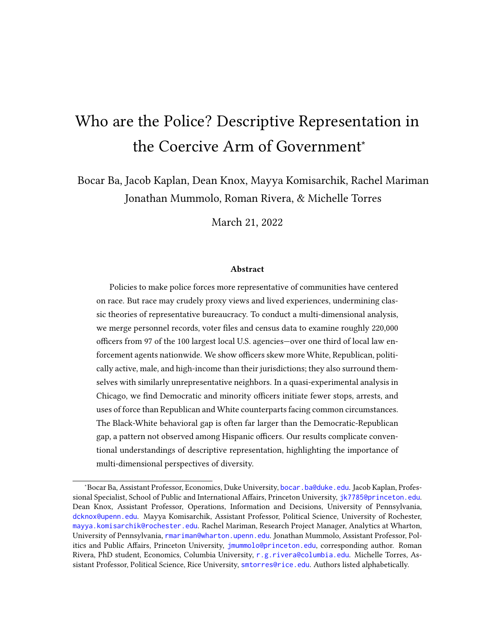

Change in Force per 100 Shifts

Figure 6: Race and Party Deployment Effects, Black v. White Officers. The figure displays the average effects of deploying Black officers (relative to White); Democratic officers (relative to Republican); and race-party combinations (relative to White Republicans) to otherwise common circumstances. Estimates computed using only places and times where at least one Black, White, Republican and Democratic officer was deployed. See Appendix Table B15 for numeric results.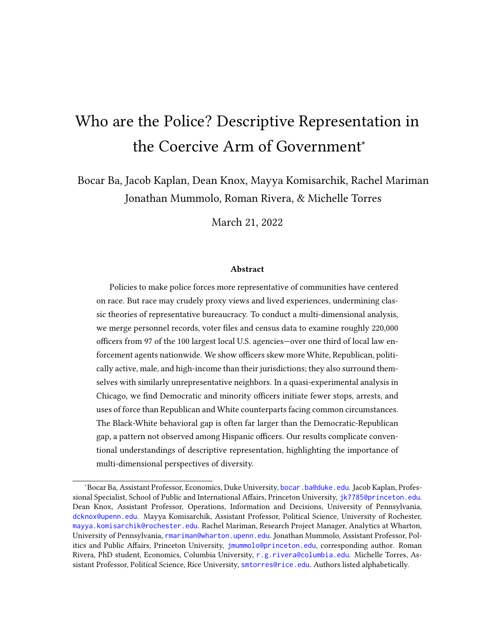

Change in Force per 100 Shifts

Figure 7: Race and Party Deployment Effects, Hispanic v. White Officers. The figure displays the average effects of deploying Hispanic officers (relative to White); Democratic officers (relative to Republican); and race-party combinations (relative to White Republicans) to otherwise common circumstances. Estimates computed using only places and times where at least one Hispanic, White, Republican and Democratic officer was deployed. See Appendix Table B16 for numeric results.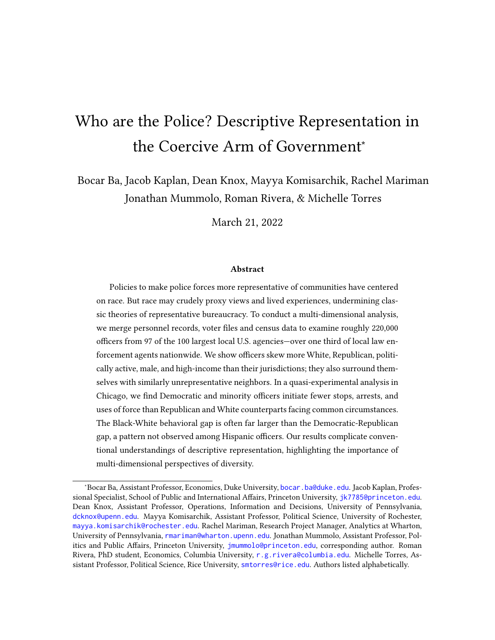while significant reductions manifest for stops of Black civilians, after multiple-testing corrections we see no other statistically significant changes in police behavior, including outcomes involving Hispanic civilians.

## 6 Discussion and Conclusion

Scholars and activists have asserted for decades that a representative bureaucracy which resembles the civilians it serves would promote competence and fairness in government. But assessing the prevalence of such descriptive representation in the context of policing remains a challenging task due to data constraints. This is especially true at the subnational level, where a large and scattered network of agencies with different record keeping and sharing policies poses a substantial obstacle to both scholarship and oversight. In this paper, we draw on an original data set containing information on police officers from 97 of the 100 largest local law enforcement agencies in the U.S., as well as micro-level behavioral data in Chicago, to assess the prevalence and consequences of diversity in the critical area of policing. Improving on prior work in this area that tends to focus on just one or two officer traits, we present a multi-dimensional analysis that allows us to characterize the degree to which officers share common demographic, political, and experiential attributes with the civilians in their jurisdictions.

Our results confirm civilians differ systematically from police in their communities in every way we can measure. Officers are much more likely to be White, male, Republican and have higher household income than the average civilian in their jurisdiction, and tend to live in sections of localities that also exhibit higher levels of these features. Police are also much more politically active than civilians, turning out to vote at extremely high rates. By analyzing political affiliations within racial groups, we also find the political mismatch between officers and civilians is much more pronounced among White and Hispanic individuals than among Black individuals, with White and Hispanic officers identifying as Republican at levels far higher than those of their civilian counterparts.

To assess the relative importance of these traits for police behavior, we turn to a microlevel analysis in Chicago where detailed data on officer shift assignments and enforcement activities allow us to compare officers from different groups who are facing common circumstances. Our results paint a complex portrait of the consequences of diversity in law enforcement that varies with the race/ethnicity of officers and with the outcome being studied. We first show deploying a Black officer (relative to White) to otherwise similar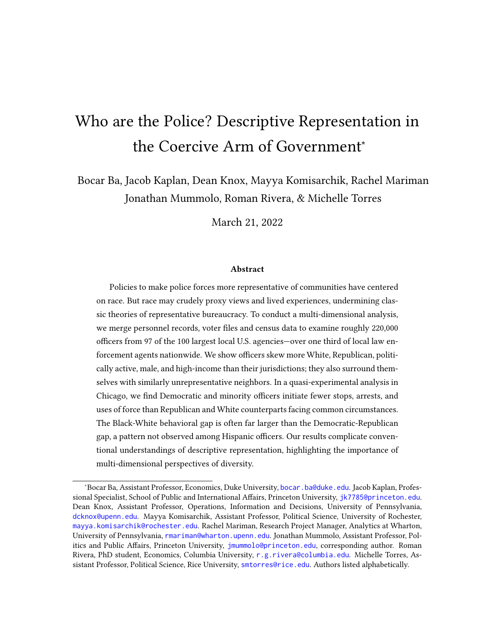circumstances yields much larger reductions in stops and arrests than deploying a Democrat (relative to a Republican), but the two effects are very similar in magnitude in terms of reductions in the use of force. However, we also find deploying a Hispanic officer (relative to White) yields effects very similar in magnitude to deploying a Democrat (relative to a Republican). These results complicate conventional narratives surrounding diversity initiatives, and illustrate how race and ethnicity are imperfect proxies for the political orientations of officers.

In addition to providing valuable empirical evidence to the study of representative bureaucracy, our paper also illustrates the feasibility of enhanced data collection efforts on the personal attributes of bureaucrats. This is especially important in the context of law enforcement, where a lack of data on law enforcement personnel has not only stymied the study of policing, but public oversight. Because law enforcement agencies operate independently, it is often the case that police officers fired for misconduct are rehired by other agencies (Grunwald and Rappaport, 2019; Lalwani and Johnston, 2020). A registry of the officers working in the 100 largest U.S. police agencies, which we will release publicly, provides a template for needed data collection efforts, and with some expansion can seed a national registry of officers vital for accountability.

Using these records, our study provides one of the most comprehensive answers to date to a basic question: who are the police? But important questions remain. For one, due to the difficulty of obtaining shift assignment data, our analysis of how officer attributes map to officer behavior is limited to a single city. Much more research is needed before we can generalize broadly about how deploying officers from different groups affects the nature and volume of police-civilian interactions. In addition, more research is needed on the causes of the disparities we observe between the features of civilian populations and the police who patrol them. Disentangling the complex processes of recruitment strategy and self-selection which dictate the staffing of public agencies represents an important frontier in the study of representative bureaucracy.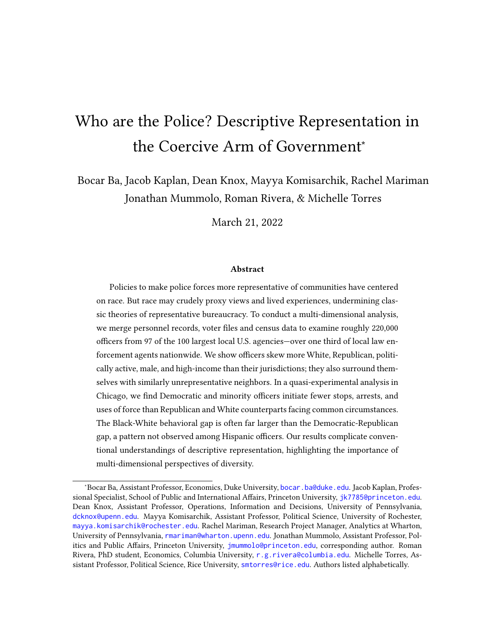## References

- Alexander, Michelle. 2010. The New Jim Crow: Mass Incarceration in the Age of Colorblindness. New York: The New Press.
- Ba, Bocar A., Dean Knox, Jonathan Mummolo and Roman G. Rivera. 2021. "The Role of Officer Race and Gender in Police-Civilian Interactions in Chicago." Science 371(6530):696– 702.
- Bendor, Jonathan and Adam Meirowitz. 2004. "Spatial models of delegation." American Political Science Review 98(2):293–310.
- BJS. 2016. Law Enforcement Management and Administrative Statistics. Technical report United States Department of Justice. Office of Justice Programs. Bureau of Justice Statistics. Inter-university Consortium for Political and Social Research Maryland: . URL: https://doi.org/10.3886/ICPSR37323.v1
- Brehm, John and Scott Gates. 1999. Working, Shirking, and Sabotage: Bureaucratic Response to a Democratic Public. University of Michigan Press.
- Briggs, Steven J and Kelsey A Keimig. 2017. "The impact of police deployment on racial disparities in discretionary searches." Race and Justice 7(3):256–275.
- Campbell, Angus, Philip E. Converse, Warren E. Miller and Donald E. Stokes. 1960. The American Voter. University of Chicago Press.
- Clinton, Joshua D., Anthony Bertelli, Christian R. Grose, David E. Lewis and David C. Nixon. 2012. "Separated powers in the United States: The ideology of agencies, presidents, and congress." American Journal of Political Science 56(2):341–354.
- Clinton, Joshua D. and David E. Lewis. 2008. "Expert opinion, agency characteristics, and agency preferences." Political Analysis 16(1):3–20.
- DOJ. 2016. Law Enforcement Agency Roster (LEAR), 2016. Technical report United States Department of Justice. Office of Justice Programs. Bureau of Justice Statistics. [http:](http://doi.org/10.3886/ICPSR30766.v1) [//doi.org/10.3886/ICPSR30766.v1](http://doi.org/10.3886/ICPSR30766.v1).
- Dolan, Julie. 2001. "Political appointees in the United States: Does gender make a difference?" Political Science & Politics 34.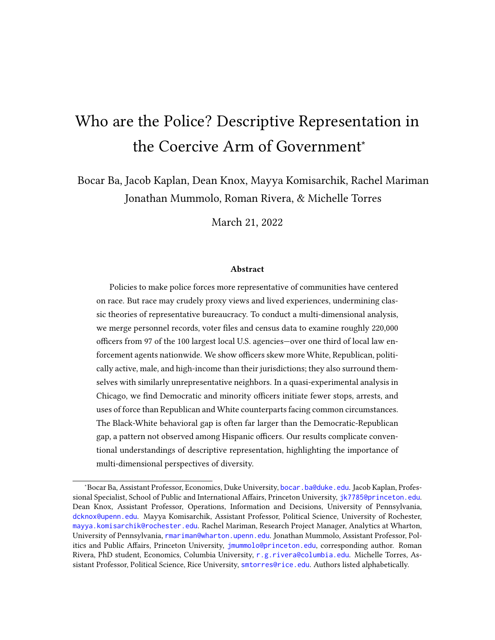- Dolan, Julie and David H. Rosenbloom. 2003. Representative bureaucracy: Classic readings and continuing controversies. Routledge.
- Eckhouse, Laurel. 2019. "Race, party, and representation in criminal justice politics." The Journal of Politics 81(3):1143–1152.
- Eisinger, Peter K. 1983. "Municipal residency requirements and the local economy." Social Science Quarterly 64(1):85.
- Enamorado, Ted, Benjamin Fifield and Kosuke Imai. 2017a. "fastLink: Fast Probabilistic Record Linkage with Missing Data.". URL: https://github.com/kosukeimai/fastLink
- Enamorado, Ted, Benjamin Fifield and Kosuke Imai. 2017b. "Using a Probabilistic Model to Assist Merging of Large-scale Administrative Records." Working Paper .
- Ferreira, JA and AH Zwinderman. 2006. "On the benjamini–hochberg method." The Annals of Statistics 34(4):1827–1849.
- Forman Jr., James. 2017. Locking up our own: Crime and punishment in Black America. Farrar, Straus and Giroux.
- Fyfe, James J. 1981. "Who shoots? A look at officer race and police shooting." Journal of Police Science & Administration .
- Glaser, Jack. 2014. Suspect Race: Causes and Consequences of Racial Pro ling. Oxford University Press.
- Goldstein, Herman. 1977. Policing a Free Society. Ballinger Pub. Co.
- Grunwald, Ben and John Rappaport. 2019. "The Wandering Officer." Yale Law Journal 129.
	- URL: https://www.washingtonpost.com/politics/2020/06/16/what-happens-when-policeo cer-gets-red-very-often-another-police-agency-hires-them/
- Hainmueller, Jens, Daniel J Hopkins and Teppei Yamamoto. 2014. "Causal inference in conjoint analysis: Understanding multidimensional choices via stated preference experiments." Political analysis 22(1):1–30.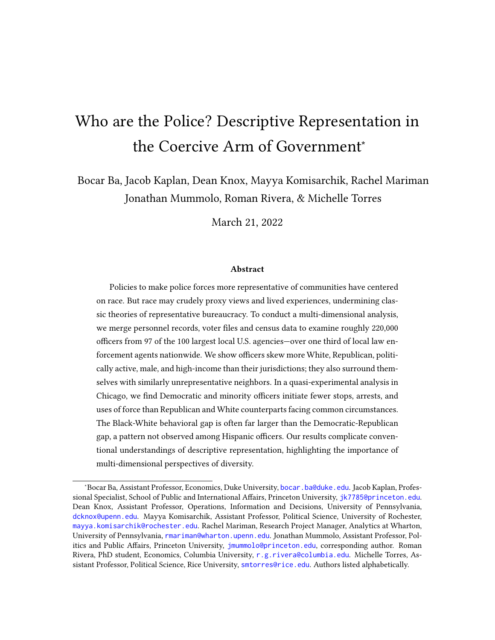- Harrell, Erika and Elizabeth Davis. 2020. "Contacts between police and the public, 2018– statistical tables." Bureau of Justice Statics Report, NCJ 255730.
- Harris. 2021. Reimagining Chicago's Public Safety. Technical report. URL: https://theharrispoll.com/reimagining-chicago-public-safety-macarthurfoundation/
- Harvey, Anna and Taylor Mattia. 2019. "Reducing Racial Disparities in Crime Victimization." Working Paper . URL: https://s18798.pcdn.co/annaharvey/wp-content/uploads/sites/ 6417/2019/12/Victimization
- Hauck, Grace and Mark Nichols. 2020. "Should police officers be required to live in the cities they patrol? There's no evidence it matters." USA TODAY .
	- URL: https://www.usatoday.com/story/news/nation/2020/06/13/police-residencydata/5327640002/
- Hoekstra, M. and C. Sloan. 2020. "Does Race Matter for Police Use of Force? Evidence from 911 Calls." National Bureau of Economic Research, Working Paper (26774) . URL: https://econrails.uzh.ch/api/agenda/event /269
- Hopkins, Daniel J. 2010. "Politicized Places: Explaining Where and When Immigrants Provoke Local Opposition." American Political Science Review 104(1):40–60.
- Huber, John D. and Charles R. Shipan. 2002. Deliberate Discretion? The Institutional Foundations of Bureaucratic Autonomy. Cambridge University Press.
- Hyland, Shelley S and Elizabeth Davis. 2019. "Local police departments, 2016: Personnel." Washington, DC: Bureau of Justice Statistics (BJS) US Dept of Justice, O ce of Justice Programs, Bureau of Justice Statistics .
- Kane, Robert J. 2003. "Social control in the metropolis: A community-level examination of the minority group-threat hypothesis." Justice Quarterly 20(2):265–295.
- Kaplan, Jacob. 2018. "Jacob Kaplan's Concatenated Files: Uniform Crime Reporting (UCR) Program Data: Arrests by Age, Sex, and Race, 1974-2020." Ann Arbor, MI: Inter-university Consortium for Political and Social Research [distributor] pp. 12–29.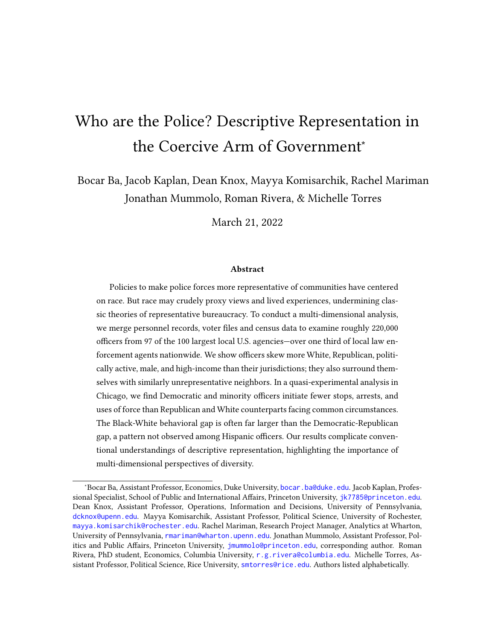- Kaplan, Jacob. 2020. "Jacob Kaplan's Concatenated Files: Uniform Crime Reporting Program Data: Offenses Known and Clearances by Arrest, 1960-2020." Ann Arbor, MI: Interuniversity Consortium for Political and Social Research [distributor] .
- Kaplan, Jacob. 2021. "Uniform Crime Reporting Program Data: Law Enforcement Officers Killed and Assaulted (LEOKA) 1960-2020." Ann Arbor, MI: Inter-university Consortium for Political and Social Research .
- Key, V.O. 1949. Southern Politics in State and Nation. A.A. Knopf.
- Kim Parker and Kiley Hurst. 2021. "Growing share of Americans say they want more spending on police in their area.". URL: https://www.pewresearch.org/fact-tank/2021/10/26/growing-share-of-americans-

say-they-want-more-spending-on-police-in-their-area/

- Kingsley, Donald. 1944. Representative Bureaucracy. Antioch Press.
- Knox, Dean, Christopher Lucas and Wendy K Tam Cho. 2022. "Testing Causal Theories with Learned Proxies." Annual Review of Political Science 25.
- Knox, Dean and Jonathan Mummolo. 2020. "Toward a general causal framework for the study of racial bias in policing." Journal of Political Institutions and Political Economy 1(3):341–378.
- Knox, Dean, Will Lowe and Jonathan Mummolo. 2020. "Administrative records mask racially biased policing." American Political Science Review 114(3):619–637.
- Krause, George A. 2010. Legislative delegation of authority to bureaucratic agencies. In The Oxford handbook of American Bureaucracy.
- Kringen, Anne Li. 2014. Understanding barriers that  $a$  ect recruiting and retaining female police o cers: A mixed method approach. Texas State University-San Marcos.
- Kropf, Martha, Timothy Vercellotti and David C. Kimball. 2013. "Representative bureaucracy and partisanship: The implementation of election law." Public Administration Review 73:242–252.
- Lalwani, Nikita and Mitchell Johnston. 2020. "What happens when a police officer gets fired? Very often another police agency hires them." The Washington Post.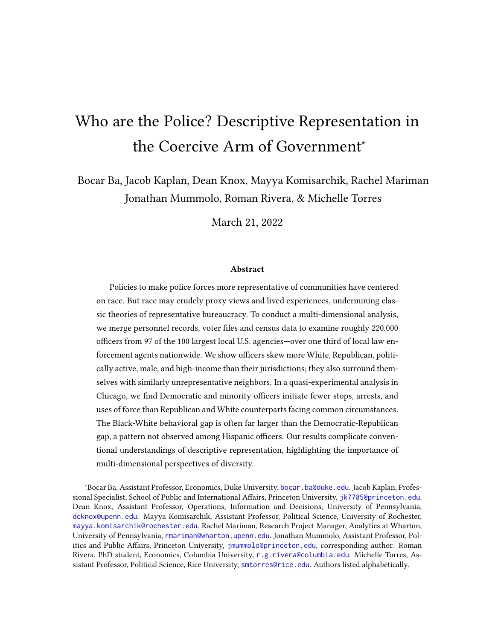URL: https://www.washingtonpost.com/politics/2020/06/16/what-happens-when-policeo cer-gets-red-very-often-another-police-agency-hires-them/

- Legewie, Joscha and Jeffrey Fagan. 2016. "Group threat, police officer diversity and the deadly use of police force." Columbia Public Law Research Paper (14-512).
- Lerman, Amy and Vesla Weaver. 2014. Arresting Citizenship: The Democratic Consequences of American Crime Control. University of Chicago Press.
- Linos, Elizabeth. 2017. "More Than Public Service: A Field Experiment on Job Advertisements and Diversity in the Police." Journal of Public Administration Research and Theory  $28(1):67-85.$

URL: https://doi.org/10.1093/jopart/mux032

- Lipset, Seymour Martin. 1975. Representative Bureaucracy: Classic Readings and Continuing Controversies. Routledge chapter Bureaucracy and Social Change, pp. 80–84.
- McCrary, Justin. 2007. "The effect of court-ordered hiring quotas on the composition and quality of police." American Economic Review 97(1):318–353.
- Meier, Kenneth J and Jill Nicholson-Crotty. 2006. "Gender, representative bureaucracy, and law enforcement: The case of sexual assault." Public Administration Review 66(6):850– 860.
- Meier, Kenneth J, Robert D Wrinkle and Jerry L Polinard. 1999. "Representative bureaucracy and distributional equity: Addressing the hard question." The Journal of Politics 61(4):1025–1039.
- Meier, Kenneth John. 1975. "Representative bureaucracy: An empirical analysis." American Political Science Review 69(2):526–542.
- Miller, Amalia R and Carmit Segal. 2012. "Does temporary affirmative action produce persistent effects? A study of black and female employment in law enforcement." Review of Economics and Statistics 94(4):1107–1125.
- Miller, Amalia R and Carmit Segal. 2018. "Do Female Officers Improve Law Enforcement Quality? Effects on Crime Reporting and Domestic Violence." The Review of Economic Studies 86(5):2220–2247.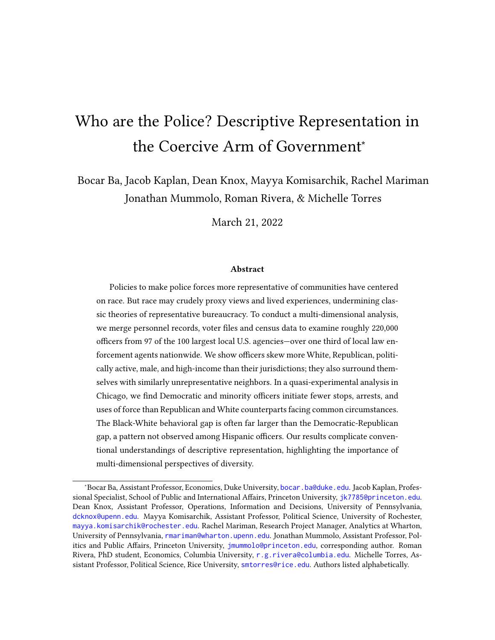- Morin, Rich, Kim Parker, Renee Stepler and Andrew Mercer. 2017. Behind the Badge: Amid protests and calls for reform, how police view their jobs, key issues and recent fatal encounters between blacks and police. Technical report Pew Research Center.
- Mosher, Frederick Camp. 1968. Democracy and the public service. Vol. 53 New York: Oxford University Press.
- Murphy, David W and John L Worrall. 1999. "Residency requirements and public perceptions of the police in large municipalities." Policing: An international journal of police strategies & management .
- Oliver, J. Eric and Janelle Wong. 2003. "Intergroup Prejudice in Multiethnic Settings." American Journal of Political Science 47(4):567–82.
- Oliver, J. Eric and Tali Mendelberg. 2000. "Reconsidering the Environmental Determinants of White Racial Attitudes." American Journal of Political Science 44(3):574–89.
- Pettigrew, Thomas F. 1998. "Intergroup contact theory." Annual review of psychology 49(1):65–85.
- Pew. 2017. "Republicans more likely than Democrats to have confidence in police.". URL: https://www.pewresearch.org/fact-tank/2017/01/13/republicans-more-likely-thandemocrats-to-have-con dence-in-police/
- Potter, Rachel and Craig Volden. 2021. "A Female Policy Premium? Agency Context and Women's Leadership in the U.S. Federal Bureaucracy." Journal of Public Administration Research and Theory 31:91–107.
- Prior, Markus. 2007. Post-Broadcast Democracy. Cambridge University Press.
- Sen, Maya and Omar Wasow. 2016. "Race as a bundle of sticks: Designs that estimate effects of seemingly immutable characteristics." Annual Review of Political Science 19:499– 522.
- Sklansky, David Alan. 2005. "Not your father's police department: Making sense of the new demographics of law enforcement." J. Crim. L. & Criminology 96:1209–1244.
- Smith, Dennis C. 1980a. "Police attitudes and performance: The impact of residency." Urban a airs quarterly  $15(3):317-334$ .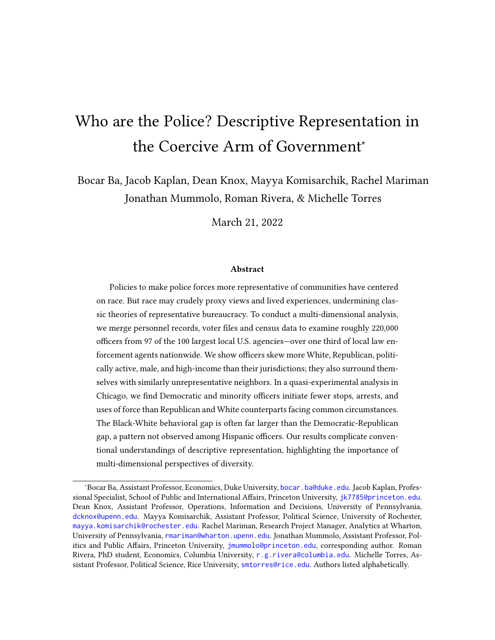- Smith, Russell L. 1980b. "Representative bureaucracy: A research note on demographic representation in state bureaucracies." Review of Public Personnel Administration 1(1):1– 13.
- Soss, Joe and Vesla Weaver. 2017. "Police are our government: Politics, political science, and the policing of race–class subjugated communities." Annual Review of Political Science 20:565–591.
- Walker, Samuel, Cassia Spohn and Miriam DeLone. 2016. The color of justice: Race, ethnicity, and crime in America. Cengage Learning.
- West, Jeremy. 2018. "Racial Bias in Police Investigations.". Working Paper. URL: https://people.ucsc.edu/ jwest1/articles/West
- White, Ismail K, Chryl N Laird and Troy D Allen. 2014. "Selling Out?: The politics of navigating conflicts between racial group interest and self-interest." American Political Science Review 108(4):783–800.
- White, Michael D., Jonathon A. Cooper Jessica Saunders and Anthony J. Raganella. 2010. "Motivations for becoming a police officer: Re-assessing officer attitudes and job satisfaction after six years on the street." Journal of Criminal Justice 38(4):520–530.

Wilson, James Q., ed. 1989. Bureaucracy: What government agencies do and why they do it.

Wright II, James E. and Andrea M. Headley. 2020. "Police Use of Force Interactions: Is Race Relevant or Gender Germane?" The American Review of Public Administration 50(8):851–864. URL: https://doi.org/10.1177/0275074020919908

36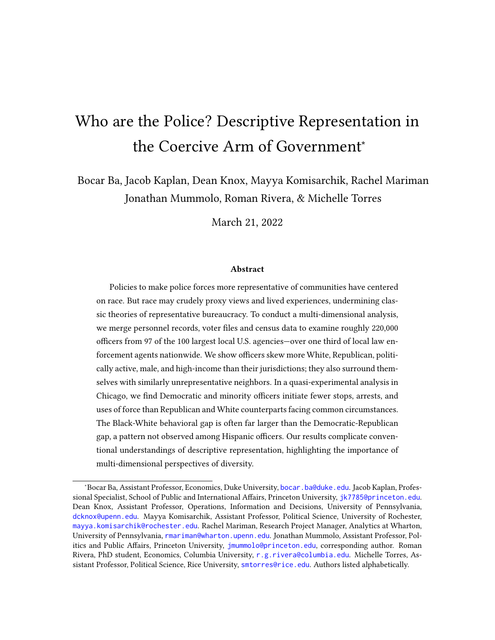Online Appendix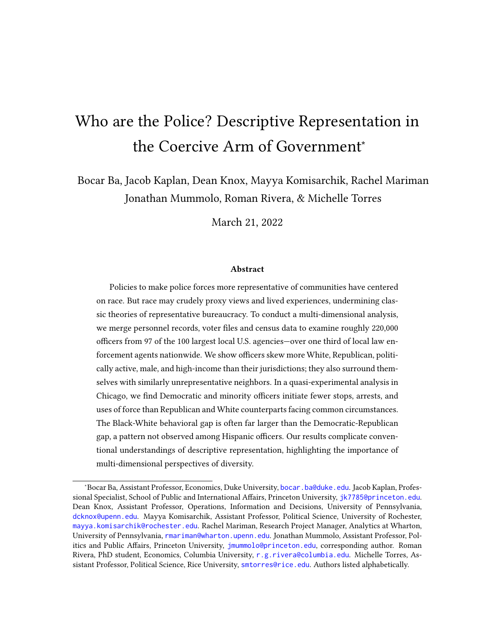# A Additional Details on Data and Estimation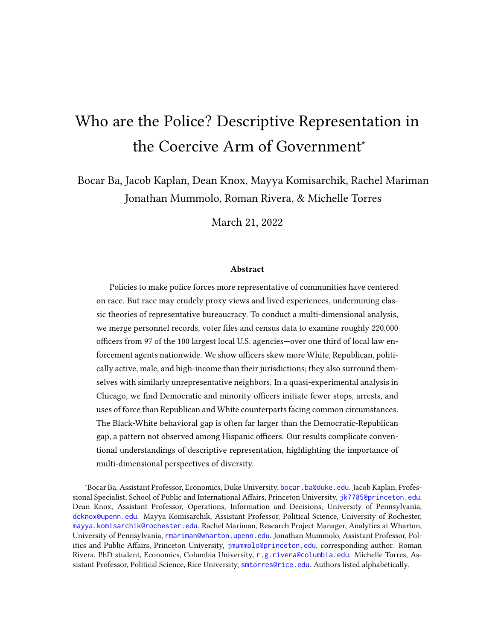#### A.1 Civilian comparison data

We compare officers to civilians who live in their agency's jurisdiction. For individuallevel data on officers and civilians registered to vote, data comes from L2. This data contains the same variables as those used for officers: political party, race/ethnicity, gender, age, and household income. For data on all residents of the jurisdiction we use data from the American Community Survey (ACS)  $2015-2019$  data.<sup>13</sup> The ACS surveys approximately 1% of the US population each year, meaning that this data is a Census estimate of the true population.

To obtain officer-level data, we matched each officer to L2 records for individuals living in the agency's county and any neighboring counties, due to the possibility that officers may commute from outside the jurisdiction. For civilian data, however, we only include people who live within the jurisdiction of each agency. We define a jurisdiction as the area for which each agency claims primary responsibility. More specifically, the area is the county or Census Place (typically a city) where the agency claims authority. In the case of city police departments, this is the city itself. The jurisdiction for the Philadelphia Police Department, for example, is the census place called the City of Philadelphia. For sheriffs' offices, we use self-described jurisdictions per official websites. For example, Wayne County Sheriff's Office in Michigan defines their jurisdiction as "unincorporated villages and townships within Wayne County"  $14$  meaning that incorporated places in the county—such as Detroit, the seat of Wayne County—are not included. Sheriffs' offices variously cover only unincorporated places in a county, specific parts of the county including both incorporated and unincorporated places, or all of a county.

For both L2- and Census-based comparison groups, we used all people who reside in a Census tract within the agency's jurisdiction. A Census tract is a small geographic unit that covers an average of 4,000 people and in urban areas is the Census's rough approximation of a neighborhood.<sup>15</sup> Census tracts are fully contained within counties, but can extend to cover multiple Census Places (e.g. cities, towns) meaning that different parts of a single tract may lie inside and outside of an agency's jurisdiction. This is rare and occurs primarily in extremely rural areas with low population density.

Each individual in the L2 data is associated with an address (including tract, county

<sup>&</sup>lt;sup>13</sup>While the 2020 decennial Census is complete, currently available data does not contain all of the variables that we use.

<sup>14</sup><https://waynecountysheriff.com/about/>

<sup>15</sup>urlhttps://www2.census.gov/geo/pdfs/reference/GARM/Ch1GARM.pdf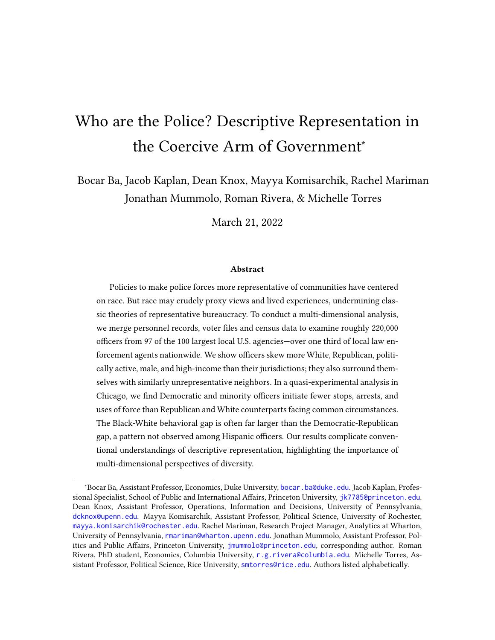and state). For computational efficiency, we operate at the tract level when processing L2 data. Tracts with fewer than 100 entries in L2 were excluded. We spatially join the remaining L2 tracts with Census Place shapefiles from the US Census. Tracts that were not in any Place were considered to be in an unincorporated part of that county. We then used the jurisdiction for each agency, as defined above, to identify all tracts for which an agency has at least partial jurisdiction. For example, an agency whose jurisdiction is only a single Census Place (e.g. City of Philadelphia) will be assigned every tract in that Place. An agency whose jurisdiction is an entire county, excluding certain Places, will be assigned all tracts in that county other than those in the excluded Places. We used the same tract-based operationalization of jurisdiction when analyzing both L2 and Census data.

#### A.2 Imputed Data on Party ID

L2 describes their method for labeling party ID as follows: "L2 has partnered with academic analysts to create party models for states lacking such registration information. The modeling is based on a great many public and private data sources including demographics available through the voter file, exit polling from presidential elections, commercial lifestyle indicators, census data, self-reported party preferences from private polling and more. Combining all of these data sets through Bayesian analysis and other statistical techniques has resulted in the 'likely' party affiliations we have applied to the voter files in these states. L2 cannot guarantee that any single voter will self-identify as being associated with the assigned 'likely' party. We believe that the accuracy level is 85% or better but make no guarantees. Users of the data should remember that this is a probabilityonly indicator of preferences. L2 is offering these probability indicators at no additional charge and we hope that you'll find them useful in your targeting. We invite customers' comments about their experiences with the accuracy of the models so that the feedback can be used in future refinements."

See Section B.1 for estimates of core results after subsetting to states with closed primary elections in 2020.

#### A.3 Data on Officer Race/Ethnicity and Gender

As explained in the main text, we rely on 2019 LEOKA data (Kaplan, 2021) for gender data on agencies, due to its near-complete coverage. Two exceptions are the Columbus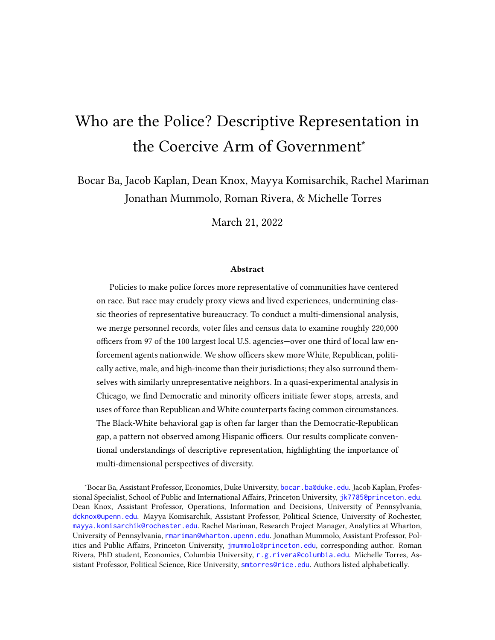Police Department, in Ohio, and the Jefferson Parish Sheriff's Office, in Louisiana, which do not report officer gender in 2019; here we use 2018 LEOKA data which did include officer gender. In addition, because LEOKA data does not contain racial/ethnic measures, we obtain those from the 2016 LEMAS data for 86% of agencies, and use L2 estimates of officers' racial and ethnic identities for the remaining agencies.

#### A.4 Estimation of Behavioral Differences

Our approach to estimating multi-dimensional behavioral differences is based on an extension of Ba et al. (2021). We index MDSBs by  $\quad$  F, where F is the set of MDSBs in some feasible set of interest (i.e., MDSBs in which officers with minority, White, Democratic, and Republican identities appear; note that depending on the analysis, "minority" can denote either Black or Hispanic identity). Patrol assignment slots within an MDSB are indexed by  $\{1, \ldots, \}$ . We denote shift-level outcomes—stop, arrest, and force counts, potentially broken out by civilian category—as  $\quad \,$  . For each slot, the officer's multi-dimensional demographic profile (including race, ethnicity, and party) is  $\quad$  , which can potentially take on as many values as there are officers available for deployment in a particular MDSB. We assume that is exogeneously selected within the pool of officers eligible for deployment to each MDSB (importantly, the distribution of  $\;\;\;$  , is not assumed to be constant across MDSBs, as different officer types can select into differing districts or shifts). This relaxes the stable unit treatment value assumption of Ba et al. (2021) to allow for officer profiles that share a common dimension of interest, , but vary on other dimensions. It implicitly assumes stability of potential outcomes across officers sharing identical profiles, though we note that these profiles can be made arbitrarily rich.

Our estimands are defined in terms of aggregations of and contrasts between MDSBlevel attribute-specific potential outcomes,  $[$   $($   $)$ |  $]$ , where indicates that multi-dimensional identity includes aspect, which can take on the values Black, Hispanic, Democratic, or Republican. Here, the expectation is taken over officer profiles that are available for assignment, indicating the average potential outcome when deploying a randomly drawn -type officer into the slot.

We study estimands of the following form:

 $\Box$ ,  $\Box$ ,  $\Box$ ,  $\Box$ ,  $\Box$ ,  $\Box$ ,  $\Box$ ,  $\Box$ ,  $\Box$ ,  $\Box$ 

The inner expectation is what we refer to as the within-MDSB deployment effect. This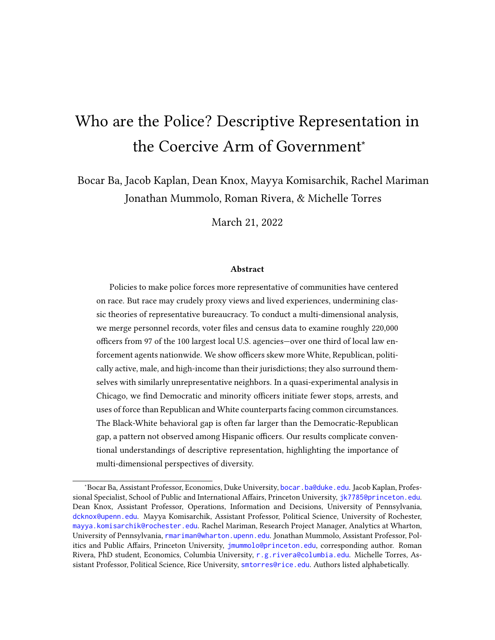quantity is the difference in enforcement volume that a commander can expect when deploying a single randomly drawn officer from the pool available into the MDSB, if that pool is first subset to officer type as opposed to type . The outer expectation aggregates these within-MDSB effects over all MDSBs in CPD and patrol slots in the MDSB (i.e., over and ). This estimand marginalizes over the "bundle of sticks" associated with identities and (Sen and Wasow, 2016), much as marginalization occurs in the average marginal component effects studied in conjoint analyses (AMCE, Hainmueller, Hopkins and Yamamoto, 2014).

An important challenge is that, due to the granularity at which we define MDSBs, not every MDSB is served by officers of every identity group of interest. Given this fundamental limitation, and the need to compare differences between political and racial/ethnic deployment effects, we therefore restrict ourselves to studying the feasible set of MDSBs, F, in which all officer groups of interest appear. We then examine three estimands:

$$
\begin{bmatrix} 1 & 0 & 0 \\ 0 & 0 & 0 \end{bmatrix} = \begin{bmatrix} 1 & 0 & 0 \\ 0 & 0 & 0 \end{bmatrix} = \begin{bmatrix} 1 & 0 & 0 \\ 0 & 0 & 0 \end{bmatrix} \quad \text{Then,} \quad \begin{bmatrix} \text{Rep.} \\ \text{Rep.} \end{bmatrix} = \begin{bmatrix} 1 & 0 & 0 \\ 0 & 1 & 0 \end{bmatrix}
$$

$$
\text{minimize} \quad \text{minimize} \quad \text{minimize} \quad \text{minimize} \quad \text{sum value} \quad \text{sum value} \quad \text{sum value} \quad \text{sum value} \quad \text{sum value} \quad \text{sum value} \quad \text{max value} \quad \text{max value} \quad \text{max value} \quad \text{max value} \quad \text{max value} \quad \text{max value} \quad \text{max value} \quad \text{max value} \quad \text{max value} \quad \text{max value} \quad \text{max value} \quad \text{max value} \quad \text{max value} \quad \text{max value} \quad \text{max value} \quad \text{max value} \quad \text{max value} \quad \text{max value} \quad \text{max value} \quad \text{max value} \quad \text{max value} \quad \text{max value} \quad \text{max value} \quad \text{max value} \quad \text{max value} \quad \text{max value} \quad \text{max value} \quad \text{max value} \quad \text{max value} \quad \text{max value} \quad \text{max value} \quad \text{max value} \quad \text{max value} \quad \text{max value} \quad \text{max value} \quad \text{max value} \quad \text{max value} \quad \text{max value} \quad \text{max value} \quad \text{max value} \quad \text{max value} \quad \text{max value} \quad \text{max value} \quad \text{max value} \quad \text{max value} \quad \text{max value} \quad \text{max value} \quad \text{max value} \quad \text{max value} \quad \text{max value} \quad \text{max value} \quad \text{max value} \quad \text{max value} \quad \text{max value} \quad \text{max value} \quad \text{max value} \quad \text{max value} \quad \text{max value} \quad \text{max value} \quad \text{max value} \quad \text{max value} \quad \text{max value} \quad \text{max value} \quad \text{max value} \quad \text{max value} \quad \text{max value} \quad \text{max value} \quad \text{max value} \quad \text{max value} \quad \text{max value} \quad \text{max value} \quad \text{max value} \quad \text{max value} \quad \text{max value} \quad \text{max value} \quad \text{max value} \quad \text{max value} \quad \text{max value} \quad \text{max value} \quad \text{max value} \quad \text{max value} \quad \text{max value} \quad \text{max value} \quad \text{max value} \quad \text{max value} \quad
$$

𝑖,𝑗 , [ 𝑖,𝑗( 𝑖,𝑗) − 𝑖,𝑗( 𝑖,𝑗 )| 𝑖,𝑗 Dem., 𝑖,𝑗 Rep.] ∣ F (3) − 𝑖,𝑗 , [ 𝑖,𝑗( 𝑖,𝑗) − 𝑖,𝑗( 𝑖,𝑗 )| 𝑖,𝑗 minority, 𝑖,𝑗 White] ∣ F .

An key consideration in consistently estimating the above quantities is that in the presence of heterogeneous within-MDSB deployment effects, ordinary least squares (OLS) will not consistently recover the causal quantities defined above. Rather, it will produce the weighted average of within-MDSB deployment effects, with weights corresponding to the variance of group identities. Importantly, these variance weights differ when examining political divides and racial/ethnic divides. As a result, OLS estimates for the Democratic-Republican deployment effect and the minority-White deployment effect cannot be directly compared, even when restricted to the same set of jointly feasible MDSBs, because the implicit weights on those MDSBs will generally differ. To address this issue, we employ the following simple and direct estimator

$$
\frac{-1}{\sqrt{1-\frac{1}{2}}}\frac{1}{\sqrt{1-\frac{1}{2}}}\frac{1}{\sqrt{1-\frac{1}{2}}}\frac{1}{\sqrt{1-\frac{1}{2}}}\frac{1}{\sqrt{1-\frac{1}{2}}}\frac{1}{\sqrt{1-\frac{1}{2}}}\frac{1}{\sqrt{1-\frac{1}{2}}}\frac{1}{\sqrt{1-\frac{1}{2}}}\frac{1}{\sqrt{1-\frac{1}{2}}}\frac{1}{\sqrt{1-\frac{1}{2}}}\frac{1}{\sqrt{1-\frac{1}{2}}}\frac{1}{\sqrt{1-\frac{1}{2}}}\frac{1}{\sqrt{1-\frac{1}{2}}}\frac{1}{\sqrt{1-\frac{1}{2}}}\frac{1}{\sqrt{1-\frac{1}{2}}}\frac{1}{\sqrt{1-\frac{1}{2}}}\frac{1}{\sqrt{1-\frac{1}{2}}}\frac{1}{\sqrt{1-\frac{1}{2}}}\frac{1}{\sqrt{1-\frac{1}{2}}}\frac{1}{\sqrt{1-\frac{1}{2}}}\frac{1}{\sqrt{1-\frac{1}{2}}}\frac{1}{\sqrt{1-\frac{1}{2}}}\frac{1}{\sqrt{1-\frac{1}{2}}}\frac{1}{\sqrt{1-\frac{1}{2}}}\frac{1}{\sqrt{1-\frac{1}{2}}}\frac{1}{\sqrt{1-\frac{1}{2}}}\frac{1}{\sqrt{1-\frac{1}{2}}}\frac{1}{\sqrt{1-\frac{1}{2}}}\frac{1}{\sqrt{1-\frac{1}{2}}}\frac{1}{\sqrt{1-\frac{1}{2}}}\frac{1}{\sqrt{1-\frac{1}{2}}}\frac{1}{\sqrt{1-\frac{1}{2}}}\frac{1}{\sqrt{1-\frac{1}{2}}}\frac{1}{\sqrt{1-\frac{1}{2}}}\frac{1}{\sqrt{1-\frac{1}{2}}}\frac{1}{\sqrt{1-\frac{1}{2}}}\frac{1}{\sqrt{1-\frac{1}{2}}}\frac{1}{\sqrt{1-\frac{1}{2}}}\frac{1}{\sqrt{1-\frac{1}{2}}}\frac{1}{\sqrt{1-\frac{1}{2}}}\frac{1}{\sqrt{1-\frac{1}{2}}}\frac{1}{\sqrt{1-\frac{1}{2}}}\frac{1}{\sqrt{1-\frac{1}{2}}}\frac{1}{\sqrt{1-\frac{1}{2}}}\frac{1}{\sqrt{1-\frac{1}{2}}}\frac{1}{\sqrt{1-\frac{1}{2}}}\frac{1}{\sqrt{1-\frac{1}{2}}}\frac{1}{\sqrt{
$$

.

where = Democratic and = Republican for political deployment effects, and =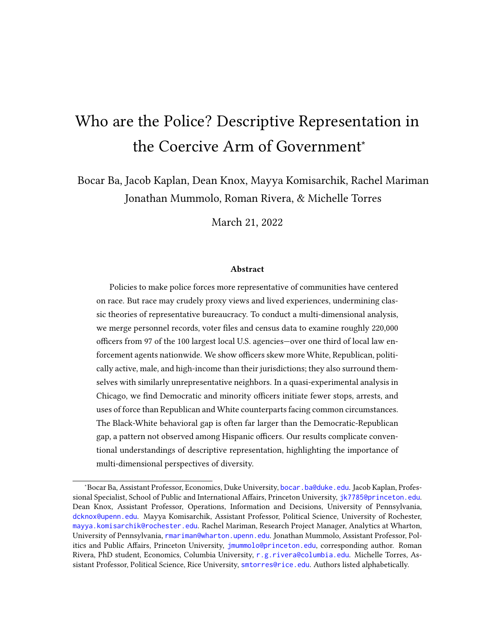minority and = White for racial/ethnic deployment effects (where "minority" can indicate Black or Hispanic, depending on the analysis). This approach computes within-MDSB means for each identity group, takes the within-MDSB difference between identity groups, and then averages these across MDSBs with weights based on the number of patrol slots for each MDSB. Finally, differences between the above deployment effects are taken.

We report 95% confidence intervals based on block bootstrapping at the officer level, ensuring that inferences are robust to arbitrary within-officer dependence, including the following: overwork in one shift leading to less effort exerted in the following shift, life events leading to fluctuation in officer behavior on a timescale of a few months, or discontinuous life events like birth of a child leading to long-term changes in officer behavior. In each block bootstrap draw, we recompute the feasible set, ensuring that deployment effects are always based on within-MDSB comparisons.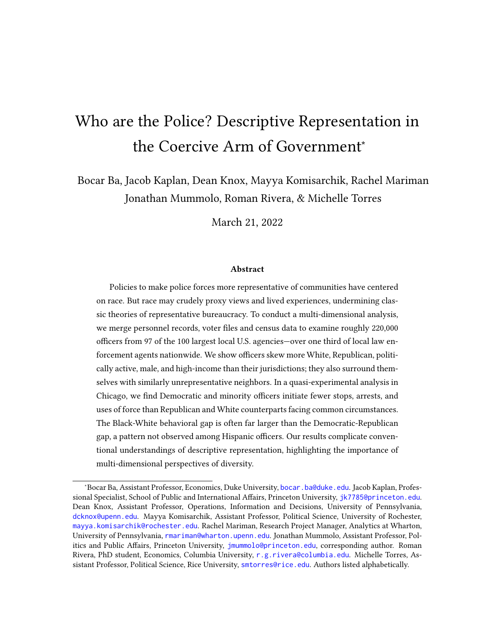# B Additional Results

| Variable                       | Values        | Police in Data | All U.S. Police | All U.S. Pop. |
|--------------------------------|---------------|----------------|-----------------|---------------|
| Race $(\%)$                    | White         | 56.0           | 71.5            | 60.7          |
|                                | Hispanic      | 21.0           | 12.5            | 18.0          |
|                                | <b>Black</b>  | 16.3           | 11.4            | 12.3          |
|                                | Other/Unknown | 1.8            | 4.7             | 3.6           |
|                                | Asian         | 4.9            |                 | 5.5           |
| Party (% of Registered Voters) | Republican    | 37.7           |                 | 31.5          |
|                                | Democratic    | 36.1           |                 | 34.7          |
|                                | Other Party   | 26.2           |                 | 33.7          |
| Gender                         | Male          | 83.2           | 87.7            | 49.2          |
|                                | Female        | 16.8           | 12.3            | 50.8          |
| Median Age (Years)             |               | 44             |                 | 38.1          |
| Mean Household Income (\$)     |               | 114,331        |                 | 62,843        |
| N                              |               | 218,041        | 701,000         | 330,000,000   |

### B.1 Descriptive Statistics

Table B1: Police Officers in Our Data, Compared to All U.S. Officers and U.S. Population. Estimates for officers in our data are obtained from various sources described in Section 2. Estimates for police nationwide are from Hyland and Davis(2019). National political affiliation estimates are from the 2020 American National Election Studies; "other" includes partisan leaners. National race, gender, age, and income averages are based on American Community Survey 2015–2019 estimates.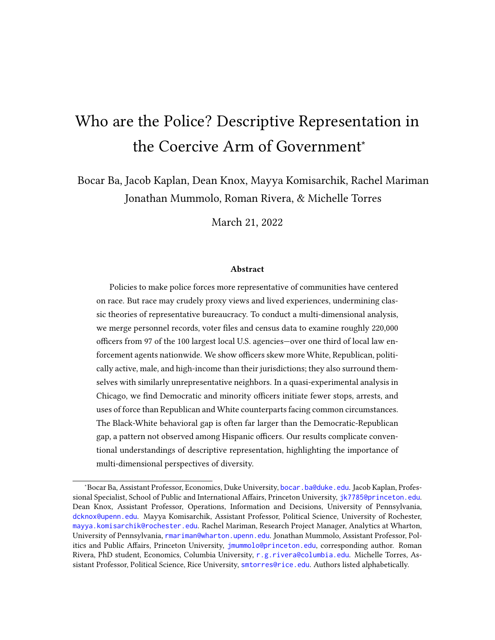| Z                                           | 111,282                | 11,282                           | 42,012                 | 42,012              | 33,374               | 33,374                        |
|---------------------------------------------|------------------------|----------------------------------|------------------------|---------------------|----------------------|-------------------------------|
| Difference                                  | 18.26 *** 17.98, 18.54 | $-15.46$ *** $-15.69$ , $-15.23$ | 15.62 *** 15.23, 16.02 | 5.06 *** 4.60, 5.52 | $0.84***$ 0.68, 0.99 | $-14.47$ *** $-15.01, -13.94$ |
| Officer %<br>Representative<br>Hypothetical | 21.83                  | 34.58                            | 7.44                   | 37.83               | 1.35                 | 66.09                         |
| Actual Officer %                            | 40.09                  | 19.12                            | 23.06                  | 42.89               | 2.18                 | 51.61                         |
| Party                                       | epublican              | emocrat                          | epublican<br>∝         | emocrat             | epublican<br>≆       | emocrat                       |
| Race                                        | Vhite                  |                                  | Hispanic               |                     | Black                |                               |

jurisdictions; and the differences between this hypothetical share and the officer share. Officer values are generated by the number of officers in each race that are Republican or Democrat, based on L2 data, out of the total number of officers of that Among the 83 jurisdictions used for the officers data, hypothetical officer shares are generated by taking the number of civilians of each race that are Republican or Democrat, based on L2 data, then dividing by the number of adults in these jurisdictions known issue with voter files that are only periodically cleaned-in five jurisdictions (accounting for 2.5% of officers in the 83 agencies, finding similar results.) White and Black refer to non-Hispanic White and non-Hispanic Black, respectively. Stars Table B2: Average officer and civilian party membership by race. The table displays, from left to right, the share of officers that are Republicans or Democrats; the share of officers who would have the attribute if taken as a random draw from their race according to LEMAS 2016 data. This is a subset of the total data and includes the 83 agencies in our data that are in LEMAS. of each race, according to American Community Survey 5-year 2015-2019 Census data. Likely due to "dead wood" in L2-a LEMAS agencies), this number exceeds 100% by no more than 2 percentage points. In these jurisdictions, we manually cap party shares to 100%, a workaround that we viewed as preferable to excluding the far larger portion of unregistered voting-age residents from the denominator of these shares. (In Table B3, we conduct an additional robustness test that excludes these Table B2: Average officer and civilian party membership by race. The table displays, from left to right, the share of officers that are Republicans or Democrats; the share of officers who would have the attribute if taken as a random draw from their jurisdictions; and the differences between this hypothetical share and the officer share. Officer values are generated by the number of officers in each race that are Republican or Democrat, based on L2 data, out of the total number of officers of that Among the 83 jurisdictions used for the officers data, hypothetical officer shares are generated by taking the number of civilians of each race that are Republican or Democrat, based on L2 data, then dividing by the number of adults in these jurisdictions of each race, according to American Community Survey 5-year 2015-2019 Census data. Likely due to "dead wood" in L2—a known issue with voter files that are only periodically cleaned—in five jurisdictions (accounting for 2.5% of officers in the 83 LEMAS agencies), this number exceeds 100% by no more than 2 percentage points. In these jurisdictions, we manually cap party shares to 100%, a workaround that we viewed as preferable to excluding the far larger portion of unregistered voting-age residents from the denominator of these shares. (In Table B3, we conduct an additional robustness test that excludes these agencies, finding similar results.) White and Black refer to non-Hispanic White and non-Hispanic Black, respectively. Stars race according to LEMAS 2016 data. This is a subset of the total data and includes the 83 agencies in our data that are in LEMAS. denote  $p < .001$ denote  $p < .001$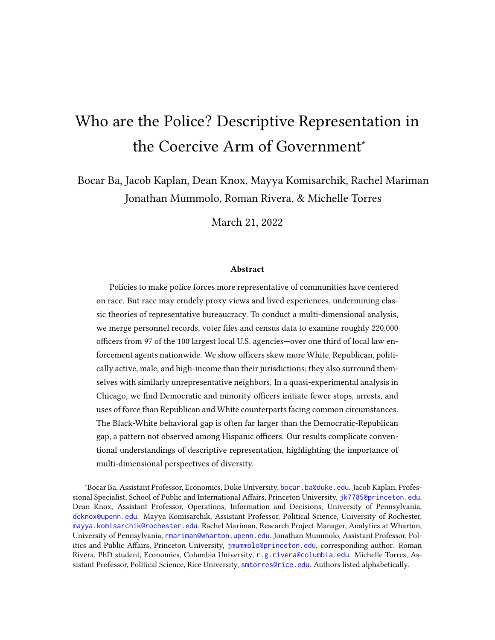| z                                           | 107,702                | 107,702                       | 41,652                 | 41,652                 | 32,639               | 32,639                        |
|---------------------------------------------|------------------------|-------------------------------|------------------------|------------------------|----------------------|-------------------------------|
| Difference                                  | 18.64 *** 18.35, 18.92 | $-15.71$ *** $-15.95, -15.48$ | 15.56 *** 15.16, 15.95 | $4.97***$ $4.51, 5.44$ | $0.80***$ 0.64, 0.96 | $-15.46$ *** $-15.99, -14.92$ |
| Officer %<br>Representative<br>Hypothetical | 21.48                  | 34.92                         | 7.39                   | 37.85                  | 1.33                 | 66.13                         |
| Actual Officer %                            | 40.11                  | 19.21                         | 22.94                  | 42.82                  | 2.13                 | 50.67                         |
| Party                                       | Republican             | <b>Democrat</b>               | Republican             | <b>Democrat</b>        | Republican           | Democrat                      |
| Race                                        | White                  |                               | Hispanic               |                        | Black                |                               |

of registered Black or Hispanic officers, based on L2 data, exceeded the number of officers of that race as measured by LEMAS data. The table displays, from left to right, the share of officers that are Republicans or Democrats; the share of officers who and includes the 83 agencies in our data that are in LEMAS. Hypothetical officer shares are generated by taking the share of 2015-2019 Census data. White and Black refer to non-Hispanic White and non-Hispanic Black, respectively. Stars denote p < 2015-2019 Census data. White and Black refer to non-Hispanic White and non-Hispanic Black, respectively. Stars denote p < Table B3: Average officer and civilian party membership by race, subset of agencies. This table follows the same format and data processing as Table B2 but excludes data from five agencies-Baton Rouge City Police, Honolulu Police Department, Jefferson Parish Sheriff's Office, St. Louis County Police Department, and Ventura County Sheriff's Office-where the number 2016 data. These agencies accounted for approximately 2.5% of all officers included among the 83 agencies that are in LEMAS would have the attribute if taken as a random draw from their jurisdictions; and the differences between this hypothetical share and the officer share. Officer values are generated by the number of officers in each race that are Republican or Democrat, based on L2 data, out of the total number of officers of that race according to LEMAS 2016 data. This is a subset of the total data and includes the 83 agencies in our data that are in LEMAS. Hypothetical officer shares are generated by taking the share of civilians of each race that are Republican or Democrat, based on L2 data, among the 83 jurisdictions used for the officers data and dividing it by the number of adults in these jurisdictions of each race, according to American Community Survey 5-year Table B3: Average officer and civilian party membership by race, subset of agencies. This table follows the same format and data processing as Table B2 but excludes data from five agencies—Baton Rouge City Police, Honolulu Police Department, Jefferson Parish Sheriff's Office, St. Louis County Police Department, and Ventura County Sheriff's Office—where the number of registered Black or Hispanic officers, based on L2 data, exceeded the number of officers of that race as measured by LEMAS 2016 data. These agencies accounted for approximately 2.5% of all officers included among the 83 agencies that are in LEMAS data. The table displays, from left to right, the share of officers that are Republicans or Democrats; the share of officers who would have the attribute if taken as a random draw from their jurisdictions; and the differences between this hypothetical share and the officer share. Officer values are generated by the number of officers in each race that are Republican or Democrat, based on L2 data, out of the total number of officers of that race according to LEMAS 2016 data. This is a subset of the total data civilians of each race that are Republican or Democrat, based on L2 data, among the 83 jurisdictions used for the officers data and dividing it by the number of adults in these jurisdictions of each race, according to American Community Survey 5-year .001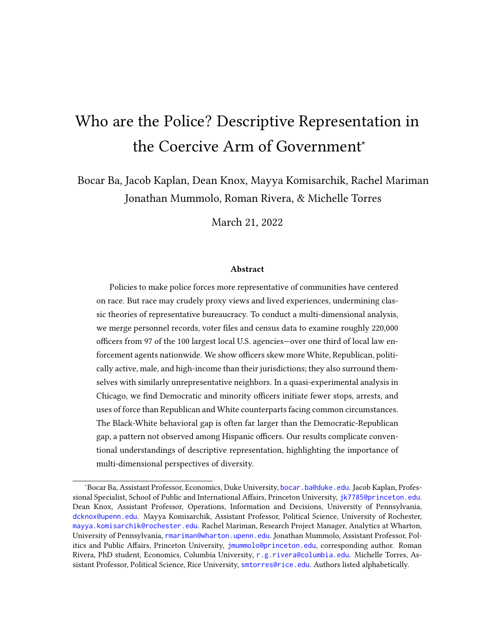Table B4: Residency Requirements and Incentives by Agency. Based on a close review of 229 hyperlinked sources. "Incentive" indicates that residency in the jurisdiction is incentivized but not mandated (coded as "yes"). "State" indicates that residency in the state is required (coded as "no"). Ambiguous cases with conflicting sources are adjudicated by majority rule. We code Kansas City P.D. as "yes," per the agency's hiring statement, but we note that a bill lifting residency requirements was signed into law by the governor on July 14, 2021. We code Las Vegas Metro P.D. as "yes" based on the union's collective bargaining agreement, which describes an incentive, but note that agency's stated conditions of employment (the sole other source identified) does not mention residency.

| Agency                         | Res.        | Sources          | <b>Notes</b>                   |
|--------------------------------|-------------|------------------|--------------------------------|
| NEW YORK CITY P.D.             | Y           | Sources: 1, 2, 3 | Or neighboring county          |
| CHICAGO P.D.                   | Y           | Sources: 1, 2, 3 |                                |
| LOS ANGELES P.D.               | ${\bf N}$   | Sources: 1, 2, 3 |                                |
| LOS ANGELES COUNTY S.D.        | N           | Sources: 1       |                                |
| PHILADELPHIA CITY P.D.         | Y           | Sources: 1, 2, 3 |                                |
| COOK COUNTY S.O.               | Y           | Sources: 1       |                                |
| HOUSTON P.D.                   | N           | Sources: 1, 2, 3 |                                |
| METROPOLITAN P.D., DC          | $\mathbf N$ | Sources: 1, 2, 3 |                                |
| DALLAS P.D.                    | N           | Sources: 1, 2, 3 |                                |
| PHOENIX P.D.                   | $\mathbf N$ | Sources: 1, 2, 3 |                                |
| MIAMIDADE P.D.                 | N           | Sources: 1, 2    | State                          |
| <b>BALTIMORE CITY POLICE</b>   | N           | Sources: 1, 2, 3 |                                |
| LAS VEGAS METRO P.D.           | Y           | Sources: 1, 2    | Incentive, state               |
| NASSAU COUNTY P.D.             | Y           | Sources: 1, 2    | Or neighboring county          |
| SUFFOLK COUNTY P.D.            | N           | Sources: 1, 2, 3 | State                          |
| HARRIS COUNTY S.O.             | ${\rm N}$   | Sources: 1       |                                |
| DETROIT P.D.                   | N           | Sources: 1, 2, 3 |                                |
| <b>BOSTON P.D.</b>             | Y           | Sources: 1, 2, 3 |                                |
| RIVERSIDE COUNTY S.O.          | $\mathbf N$ | Sources: 1       |                                |
| SAN ANTONIO P.D.               | N           | Sources: 1, 2, 3 | State                          |
| MILWAUKEE P.D.                 | Y           | Sources: 1, 2, 3 | Within 15 miles of city limits |
| SAN DIEGO P.D.                 | $\mathbf N$ | Sources: 1, 2, 3 | State                          |
| SAN FRANCISCO P.D.             | ${\bf N}$   | Sources: 1, 2, 3 |                                |
| HONOLULU P.D.                  | N           | Sources: 1, 2    |                                |
| <b>BALTIMORE COUNTY POLICE</b> | N           | Sources: 1       |                                |
| <b>COLUMBUS P.D.</b>           | $\mathbf N$ | Sources: 1, 2, 3 |                                |
| SAN BERNARDINO COUNTY S.O.     | ${\rm N}$   | Sources: 1       |                                |
| ORANGE COUNTY S.D.             | N           | Sources: 1       | <b>State</b>                   |
| ATLANTA P.D.                   | ${\bf N}$   | Sources: 1, 2, 3 |                                |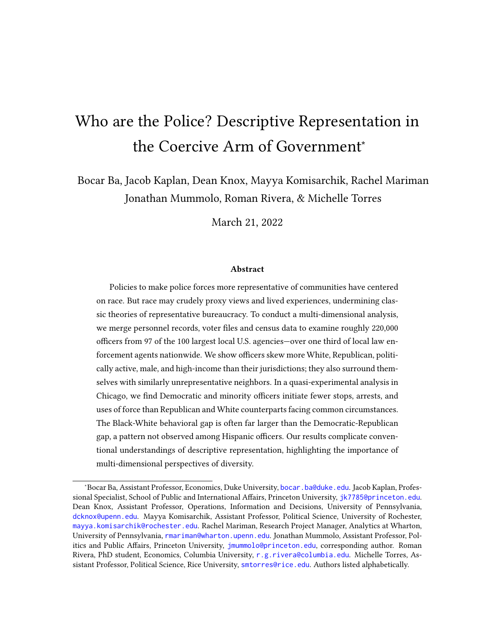| CHARLOTTEMECKLENBURG P.D.    | Y         | Sources: 1, 2, 3 | Within 45 miles of CMPD headquarters    |
|------------------------------|-----------|------------------|-----------------------------------------|
| JACKSONVILLE S.O.            | N         | Sources: 1, 2    |                                         |
| BROWARD COUNTY S.O.          | N         | Sources: 1       |                                         |
| CLEVELAND P.D.               | N         | Sources: 1, 2    |                                         |
| <b>INDIANAPOLIS POLICE</b>   | Y         | Sources: 1, 2    | Within 50 miles of city limits          |
| PRINCE GEORGES COUNTY POLICE | N         | Sources: 1, 2    |                                         |
| MEMPHIS P.D.                 | Y         | Sources: 1, 2, 3 | Within shelby county                    |
| DENVER P.D.                  | N         | Sources: 1, 2, 3 | State                                   |
| AUSTIN P.D.                  | Y         | Sources: 1, 2, 3 | Incentive                               |
| FORT WORTH P.D.              | Y         | Sources: 1, 2, 3 | Within 30 minutes of report-in station  |
| PALM BEACH COUNTY S.O.       | N         | Sources: 1       |                                         |
| NEW ORLEANS P.D.             | N         | Sources: 1, 2, 3 |                                         |
| KANSAS CITY P.D.             | Y         | Sources: 1, 2, 3 |                                         |
| FAIRFAX COUNTY P.D.          | N         | Sources: 1, 2, 3 |                                         |
| SACRAMENTO COUNTY S.O.       | N         | Sources: 1, 2    |                                         |
| ORANGE COUNTY S.O.           | N         | Sources: 1       |                                         |
| SAN JOSE P.D.                | N         | Sources: 1, 2, 3 |                                         |
| SAINT LOUIS METRO P.D.       | N         | Sources: 1, 2, 3 |                                         |
| SAN DIEGO COUNTY S.O.        | N         | Sources: 1, 2    | <b>State</b>                            |
| METRO NASHVILLE P.D.         | N         | Sources: 1, 2, 3 |                                         |
| NEWARK POLICE                | ${\bf N}$ | Sources: 1, 2    |                                         |
| SEATTLE P.D.                 | N         | Sources: 1, 2, 3 |                                         |
| HILLSBOROUGH COUNTY S.O.     | Y         | Sources: 1       | Within 50 miles of Falkenburg Road Jail |
| MONTGOMERY COUNTY POLICE     | ${\bf N}$ | Sources: 1, 2, 3 |                                         |
| LOUISVILLE METRO P.D.        | N         | Sources: 1, 2, 3 |                                         |
| EL PASO P.D.                 | N         | Sources: 1, 2, 3 |                                         |
| MIAMI P.D.                   | N         | Sources: 1       |                                         |
| CINCINNATI P.D.              | Y         | Sources: 1, 2, 3 | Or neighboring county                   |
| DEKALB COUNTY P.D.           | N         | Sources: 1, 2    |                                         |
| WAYNE COUNTY S.O.            | ${\bf N}$ | Sources: 1       |                                         |
| OKLAHOMA CITY P.D.           | N         | Sources: 1, 2, 3 | State                                   |
| TUCSON P.D.                  | N         | Sources: 1, 2    |                                         |
| ALBUQUERQUE P.D.             | ${\rm N}$ | Sources: 1, 2, 3 |                                         |
| TAMPA P.D.                   | N         | Sources: 1, 2    |                                         |
| LONG BEACH P.D.              | ${\bf N}$ | Sources: 1, 2, 3 |                                         |
| ALAMEDA COUNTY S.D.          | N         | Sources: 1       |                                         |
| PORTLAND POLICE BUREAU       | N         | Sources: 1, 2    |                                         |
| MINNEAPOLIS P.D.             | N         | Sources: 1, 2    |                                         |
| JERSEY CITY P.D.             | Y         | Sources: 1, 2, 3 |                                         |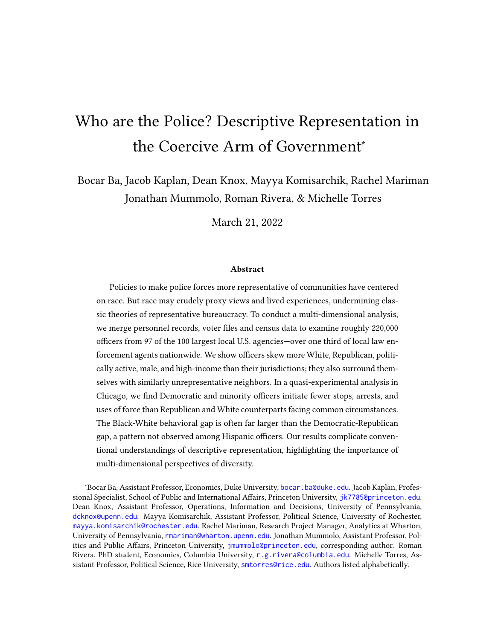| PITTSBURGH CITY P.D.           | Y         | Sources: 1, 2, 3 | Within 25 miles of downtown      |
|--------------------------------|-----------|------------------|----------------------------------|
| PINELLAS COUNTY S.O.           | Y         | Sources: 1       | Or neighboring county            |
| MESA P.D.                      | N         | Sources: 1, 2, 3 | <b>State</b>                     |
| FRESNO P.D.                    | N         | Sources: 1, 2, 3 |                                  |
| TULSA P.D.                     | Y         | Sources: 1, 2, 3 |                                  |
| JEFFERSON PARISH S.O.          | N         | Sources: 1       |                                  |
| BIRMINGHAM P.D.                | N         | Sources: 1, 2    | <b>State</b>                     |
| VIRGINIA BEACH P.D.            | N         | Sources: 1, 2, 3 | <b>State</b>                     |
| OAKLAND COUNTY S.O.            | N         | Sources: 1       |                                  |
| BUFFALO CITY P.D.              | Y         | Sources: 1, 2, 3 |                                  |
| SAINT LOUIS COUNTY P.D.        | N         | Sources: 1, 2    |                                  |
| OAKLAND P.D.                   | N         | Sources: 1, 2, 3 | Incentive, state                 |
| NORFOLK P.D.                   | N         | Sources: 1, 2, 3 |                                  |
| MARICOPA COUNTY S.O.           | N         | Sources: 1       |                                  |
| ORLANDO P.D.                   | Y         | Sources: 1, 2    | Within 35 miles of downtown      |
| VENTURA COUNTY S.O.            | N         | Sources: 1       |                                  |
| RICHMOND P.D.                  | N         | Sources: 1, 2    |                                  |
| OMAHA P.D.                     | N         | Sources: 1, 2, 3 |                                  |
| KING COUNTY S.O.               | N         | Sources: 1       |                                  |
| ROCHESTER CITY P.D.            | Y         | Sources: 1, 2, 3 | Or neighboring county            |
| RALEIGH P.D.                   | ${\bf N}$ | Sources: 1, 2    |                                  |
| SACRAMENTO P.D.                | Y         | Sources: 1, 2, 3 | Incentive                        |
| GWINNETT COUNTY P.D.           | N         | Sources: 1       |                                  |
| CONTRA COSTA COUNTY S.O.       | N         | Sources: 1       |                                  |
| COLORADO SPRINGS P.D.          | N         | Sources: 1, 2, 3 |                                  |
| WICHITA P.D.                   | Y         | Sources: 1, 2, 3 | Within 30 minutes of city limits |
| YONKERS CITY P.D.              | Y         | Sources: 1, 2    | Or neighboring county            |
| TOLEDO P.D.                    | ${\bf N}$ | Sources: 1, 2    |                                  |
| ANNE ARUNDEL COUNTY POLICE     | N         | Sources: 1       |                                  |
| <b>BATON ROUGE CITY POLICE</b> | N         | Sources: 1, 2, 3 |                                  |
| <b>COLLIER COUNTY S.O.</b>     | N         | Sources: 1       |                                  |
| AURORA P.D.                    | N         | Sources: 1, 2, 3 |                                  |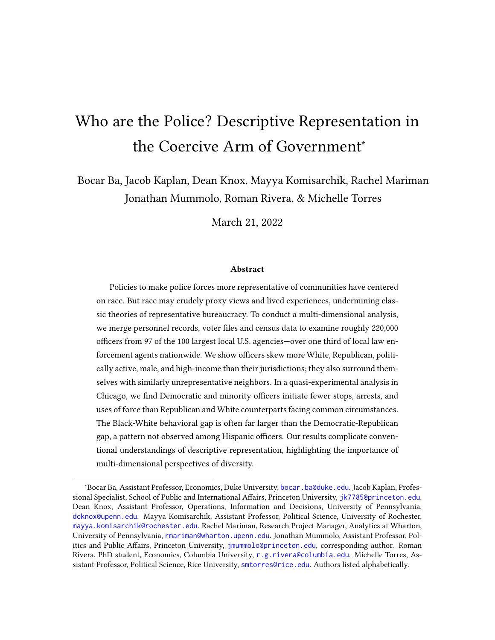| Variable                   | Value               | Actual Officer % | Representative<br>Officer %<br>Hypothetical | Difference                          | Z       |
|----------------------------|---------------------|------------------|---------------------------------------------|-------------------------------------|---------|
| Race                       | White               | 55.99            | 38.01                                       | 17.78, 18.18<br>$17.98***$          | 207,961 |
|                            | Hispanic            | 20.74            | 27.33                                       | $-6.75, -6.43$<br>$-6.59***$        | 207,961 |
|                            | <b>Black</b>        | 16.73            | 21.77                                       | $-5.20, -4.89$<br>$-5.04***$        | 207,961 |
|                            | Other/Unknown Race  | 1.58             | 3.42                                        | $-1.89, -1.79$<br>$-1.84***$        | 207,961 |
|                            | Asian               | 4.96             | 9.47                                        | $-4.60, -4.41$<br>$-4.51***$        | 207,961 |
| Party (Voting Age Pop.)    | Republican          | 25.39            | 14.00                                       | 11.39*** 11.22, 11.57               | 218,041 |
|                            | Democratic          | 22.34            | 43.32                                       | $-20.99***$ $-21.16, -20.82$        | 218,041 |
|                            | Other/Unknown Party | 52.27            | 42.92                                       | $9.35***$ $9.14, 9.55$              | 218,041 |
| General Turnout, 2020      | Voting Age Pop.     | 51.24            | 54.41                                       | $-3.17***$ $-3.38$ , $-2.96$        | 215,646 |
| Gender                     | Male                | 83.20            | 48.69                                       | 34.51*** 34.35, 34.67               | 218,041 |
|                            | Female              | 16.80            | 51.31                                       | $-34.51***$ $-34.67$ , $-34.35$     | 218,041 |
| Median Age (Years)         |                     | 44.00            | 36.95                                       | 7.86*** 7.78, 7.93                  | 136,392 |
| Mean Household Income (\$) |                     | 115337.32        | 92174.92                                    | 22833.70, 23473.75<br>$23153.72***$ | 135,932 |
|                            |                     |                  |                                             |                                     |         |

| Table B5: Comparison of Average Officer and Civilian Traits: 0.95 Match Probability Threshold. The table displays,                   |
|--------------------------------------------------------------------------------------------------------------------------------------|
| from left to right, the actual share of officers with a given attribute; the share of officers who would have the attribute if taken |
| as a random draw from their jurisdictions; and the difference between the two. Stars denote \$p<.001\$; brackets contain 95%         |
| confidence intervals.                                                                                                                |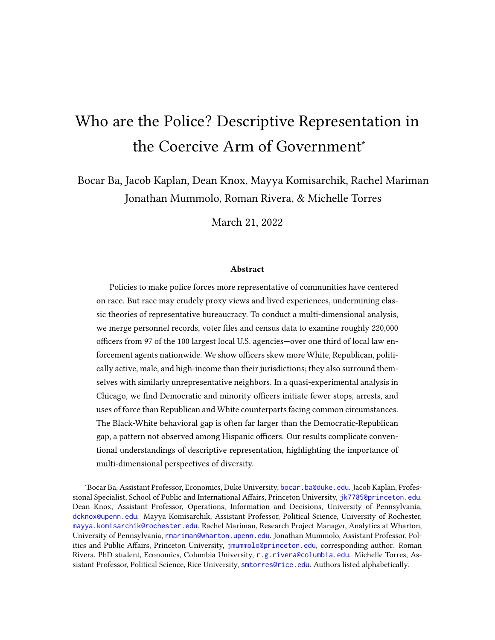| Variable               | Description                 | N              | Percent |
|------------------------|-----------------------------|----------------|---------|
| <b>Political Party</b> | Republican                  | 70,734         | 37.74   |
|                        | Democratic                  | 67,654         | 36.10   |
|                        | Non-Partisan                | 43,332         | 23.12   |
|                        | American Independent        | 1,507          | 0.80    |
|                        | Independence                | 960            | 0.51    |
|                        | Libertarian                 | 817            | 0.44    |
|                        | Conservative                | 684            | 0.36    |
|                        | Registered Independent      | 575            | 0.31    |
|                        | Other                       | 485            | 0.26    |
|                        | Unknown                     | 204            | 0.11    |
|                        | Green                       | 179            | 0.10    |
|                        | Peace And Freedom           | 130            | 0.07    |
|                        | <b>Working Family Party</b> | 68             | 0.04    |
|                        | Constitution                | 20             | 0.01    |
|                        | Reform                      | 16             | 0.01    |
|                        | Natural Law                 | 13             | 0.01    |
|                        | Socialist                   | 8              | 0.00    |
|                        | Women's Equality Party      | 8              | 0.00    |
|                        | Constitutional              | 6              | 0.00    |
|                        | Worker's Party              | 4              | 0.00    |
|                        | <b>Bread And Roses</b>      | $\overline{2}$ | 0.00    |
|                        | <b>Independent Democrat</b> | 1              | 0.00    |
|                        | Independent Republican      | 1              | 0.00    |
|                        | Liberal                     | $\mathbf{1}$   | 0.00    |
|                        | Progressive                 | 1              | 0.00    |
|                        | Tea                         | 1              | 0.00    |
|                        |                             |                |         |

Table B6: Distribution of Political Party Affiliation Among Officers in L2. Among officers registered to vote this shows the number and percent of these officers in every political party available in L2 data.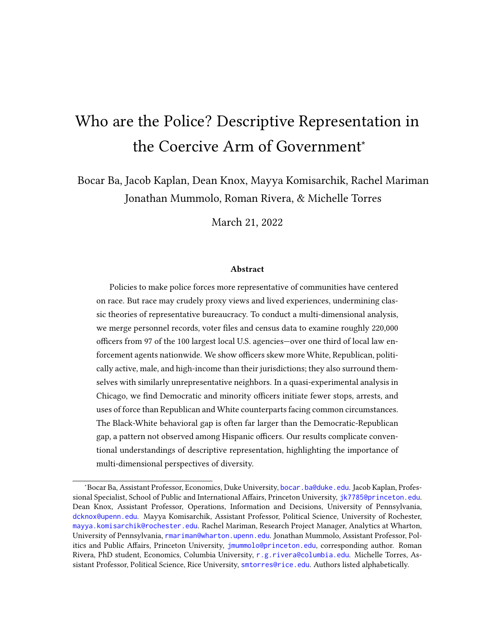| Agency                                   | % Republican | % Democratic | % Other | % Registered |
|------------------------------------------|--------------|--------------|---------|--------------|
| Alameda County Sheriff                   | 40.34        | 32.93        | 26.72   | 85.42        |
| Albuquerque Police Department            | 62.83        | 18.41        | 18.76   | 92.93        |
| Anne Arundel County Police               | 51.63        | 28.88        | 19.48   | 77.84        |
| Atlanta Police Department                | 19.39        | 63.28        | 17.33   | 83.61        |
| Aurora Police Department                 | 51.10        | 11.47        | 37.44   | 85.82        |
| <b>Austin Police Department</b>          | 50.07        | 36.38        | 13.55   | 88.01        |
| <b>Baltimore County Police</b>           | 60.60        | 21.01        | 18.39   | 94.38        |
| <b>Baltimore Police Department</b>       | 35.82        | 44.07        | 20.11   | 82.21        |
| <b>Baton Rouge City Police</b>           | 40.45        | 36.39        | 23.16   | 94.06        |
| Birmingham Police Department             | 32.91        | 65.04        | 2.04    | 95.98        |
| <b>Boston Police Department</b>          | 12.14        | 29.01        | 58.85   | 93.27        |
| Broward County Sheriffs Office           | 37.59        | 32.13        | 30.28   | 86.94        |
| <b>Buffalo Police Department</b>         | 28.59        | 48.56        | 22.84   | 93.17        |
| Charlotte-Mecklenburg Police Department  | 43.79        | 20.42        | 35.79   | 82.64        |
| Chicago Police Department                | 15.30        | 56.84        | 27.86   | 89.6         |
| Cincinnati Police Department             | 46.39        | 26.48        | 27.13   | 89.59        |
| <b>Cleveland Police Department</b>       | 29.25        | 35.71        | 35.04   | 91.8         |
| <b>Collier County Sheriffs Office</b>    | 67.09        | 15.19        | 17.72   | 61.24        |
| Colorado Springs Police Department       | 52.29        | 11.21        | 36.50   | 81.81        |
| Columbus Police Department               | 50.16        | 18.18        | 31.66   | 91.04        |
| Contra Costa County Sheriff              | 39.34        | 33.18        | 27.48   | 84.73        |
| Cook County Sheriffs Office              | 18.93        | 52.89        | 28.17   | 94.33        |
| Dallas Police Department                 | 44.52        | 42.62        | 12.86   | 78.45        |
| Dekalb County Police Department          | 14.15        | 67.77        | 18.08   | 82.28        |
| Denver Police Department                 | 31.85        | 26.33        | 41.81   | 77.76        |
| El Paso Police Department                | 20.11        | 75.62        | 4.27    | 93.51        |
| Fairfax County Police Department         | 31.16        | 46.63        | 22.21   | 69.9         |
| Fort Worth Police Department             | 51.10        | 33.74        | 15.16   | 92.83        |
| <b>Fresno Police Department</b>          | 59.12        | 19.58        | 21.30   | 92.42        |
| <b>Gwinnett County Police Department</b> | 37.02        | 24.17        | 38.81   | 93.18        |
| Harris County Sheriff Office             | 38.89        | 47.80        | 13.32   | 89.09        |
| Hillsborough County Sheriffs Office      | 55.86        | 17.57        | 26.58   | 69.65        |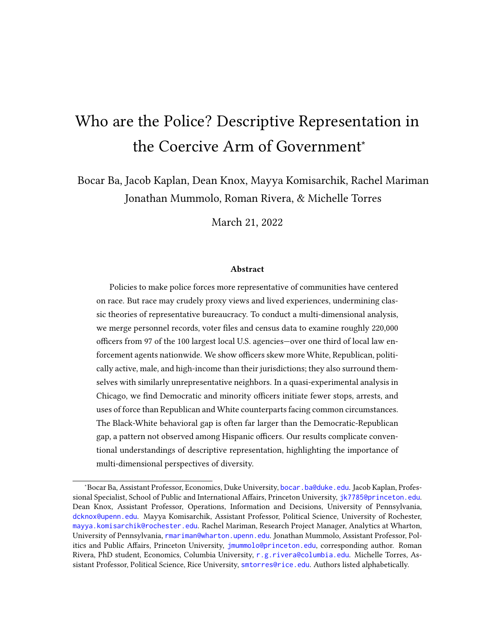| Agency                                        | % Republican | % Democratic | % Other | % Registered |
|-----------------------------------------------|--------------|--------------|---------|--------------|
| Honolulu Police Department                    | 15.99        | 26.25        | 57.76   | 83.95        |
| <b>Houston Police Department</b>              | 41.64        | 43.71        | 14.66   | 94.04        |
| Indianapolis Police Department                | 53.12        | 19.63        | 27.25   | 79.26        |
| Jacksonville County Sheriff                   | 63.57        | 18.51        | 17.92   | 82.15        |
| Jefferson Parish Sheriff's Office             | 38.64        | 36.58        | 24.78   | 86.08        |
| Jersey City Police Department                 | 16.71        | 48.12        | 35.18   | 84.49        |
| Kansas City Police Department                 | 52.50        | 25.63        | 21.86   | 92.33        |
| King County Sheriff Office                    | 37.22        | 36.79        | 25.99   | 93.74        |
| Las Vegas Metro Police Department             | 54.62        | 16.98        | 28.40   | 86.81        |
| Long Beach Police Department                  | 44.53        | 29.76        | 25.71   | 90.06        |
| Los Angeles County Sheriff                    | 44.07        | 30.89        | 25.04   | 87.72        |
| Los Angeles Police Department                 | 34.56        | 37.16        | 28.28   | 92.95        |
| Louisville Metro Police Department            | 53.59        | 32.71        | 13.70   | 92.29        |
| Maricopa County Sheriff Office                | 55.40        | 18.42        | 26.18   | 94.01        |
| Memphis Police Department                     | 26.76        | 34.56        | 38.68   | 90.86        |
| Mesa Police Department                        | 66.05        | 11.45        | 22.50   | 83.42        |
| Metro Nashville Police Department and Sheriff | 39.15        | 18.09        | 42.77   | 81.27        |
| Metropolitan Police Department, D.C.          | 10.56        | 69.08        | 20.35   | 71.26        |
| Miami Police Department                       | 34.89        | 32.26        | 32.85   | 87.87        |
| Miami-Dade Police Department                  | 40.66        | 32.20        | 27.15   | 74.01        |
| Milwaukee Police Department                   | 32.92        | 44.78        | 22.30   | 32.12        |
| Minneapolis Police Department                 | 39.41        | 25.45        | 35.14   | 85.15        |
| Montgomery County Police                      | 47.70        | 30.24        | 22.06   | 85.27        |
| Nassau County Police Department               | 53.60        | 18.99        | 27.41   | 95.78        |
| New Orleans Police Department                 | 23.65        | 48.22        | 28.13   | 85.34        |
| New York City Police Department               | 28.66        | 42.64        | 28.70   | 82.22        |
| <b>Newark Police Department</b>               | 15.42        | 44.96        | 39.62   | 83.08        |
| Oakland Police Department                     | 28.55        | 38.03        | 33.42   | 70.76        |
| Oklahoma City Police Department               | 70.67        | 16.61        | 12.72   | 90.78        |
| Omaha Police Department                       | 61.01        | 14.43        | 24.56   | 86.34        |
| Orange County Sheriff, CA                     | 53.99        | 20.54        | 25.47   | 92.12        |
| Orange County Sheriffs Office, FL             | 49.13        | 20.82        | 30.04   | 71.7         |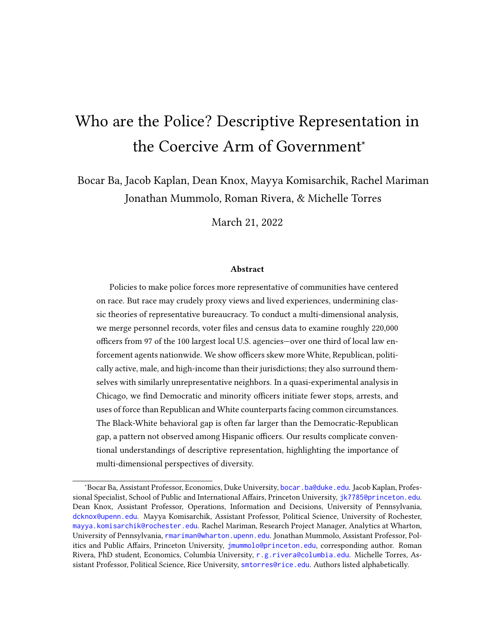| Agency                                   | % Republican | % Democratic | % Other | % Registered |
|------------------------------------------|--------------|--------------|---------|--------------|
| Orlando Police Department                | 46.55        | 23.03        | 30.42   | 74.38        |
| Palm Beach County Sheriff Office         | 47.83        | 23.91        | 28.26   | 77.04        |
| Philadelphia Police Department           | 35.70        | 49.21        | 15.09   | 94.73        |
| Phoenix Police Department                | 50.72        | 19.50        | 29.78   | 88.03        |
| <b>Pinellas County Sheriff</b>           | 54.30        | 19.37        | 26.33   | 82.23        |
| Pittsburgh Police Department             | 46.48        | 41.87        | 11.65   | 95.59        |
| Portland Police Bureau                   | 33.33        | 29.71        | 36.96   | 83.18        |
| Prince Georges County Police Department  | 29.15        | 51.09        | 19.76   | 86.88        |
| Raleigh Police Department                | 41.35        | 19.65        | 39.00   | 94.72        |
| <b>Richmond Police Department</b>        | 37.05        | 47.73        | 15.23   | 84.45        |
| Riverside County Sheriff                 | 46.65        | 24.92        | 28.42   | 93.23        |
| Rochester Police Department              | 58.30        | 14.88        | 26.82   | 95.54        |
| Sacramento County Sheriff                | 49.75        | 24.47        | 25.79   | 90.96        |
| Sacramento Police Department             | 54.20        | 18.16        | 27.65   | 90.54        |
| Saint Louis Metro Police Department      | 42.61        | 43.43        | 13.96   | 93.4         |
| San Antonio Police Department            | 43.52        | 44.96        | 11.52   | 92.79        |
| San Bernardino County Sheriff            | 46.30        | 27.34        | 26.36   | 93.1         |
| San Diego County Sheriff                 | 52.31        | 20.83        | 26.85   | 90.97        |
| San Diego Police Department              | 49.71        | 22.08        | 28.20   | 94.64        |
| San Francisco Police Department          | 25.72        | 40.21        | 34.07   | 68.5         |
| San Jose Police Department               | 30.58        | 38.77        | 30.66   | 87.33        |
| Seattle Police Department                | 43.49        | 33.77        | 22.74   | 85.08        |
| <b>St Louis County Police Department</b> | 46.09        | 34.00        | 19.91   | 95.26        |
| <b>Suffolk County Police Department</b>  | 48.26        | 15.17        | 36.57   | 97.95        |
| Tampa Police Department                  | 54.57        | 18.60        | 26.83   | 75.93        |
| Toledo Police Department                 | 36.90        | 27.09        | 36.01   | 83.61        |
| Tucson Police Department                 | 52.71        | 17.33        | 29.96   | 84.97        |
| Tulsa Police Department                  | 73.65        | 13.11        | 13.25   | 81.53        |
| Ventura County Sheriff                   | 38.79        | 33.03        | 28.18   | 94.38        |
| Virginia Beach Police Department         | 46.66        | 25.15        | 28.20   | 90.89        |
| Wayne County Sheriffs Office             | 16.67        | 68.59        | 14.74   | 93.69        |
| Wichita Police Department                | 63.22        | 11.05        | 25.72   | 76.45        |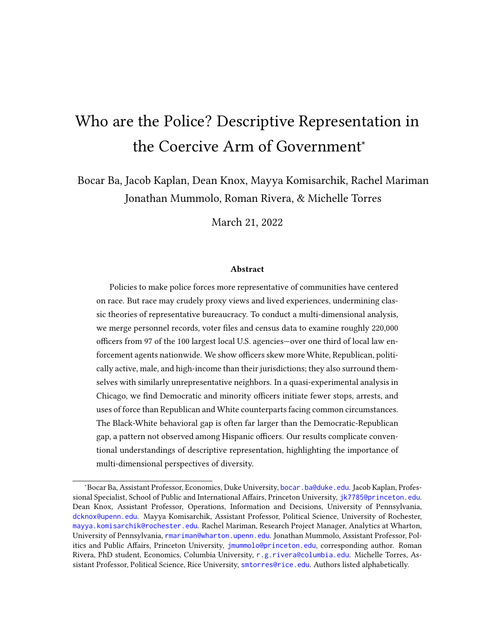| Agency                           |       | % Republican % Democratic % Other % Registered |       |       |
|----------------------------------|-------|------------------------------------------------|-------|-------|
| <b>Yonkers Police Department</b> | 38.48 | 26.85                                          | 34.67 | 76.29 |

Table B7: Political party membership by agency.The share of registered officers in each party, by agency, as well as the percent of officers that are registered to vote.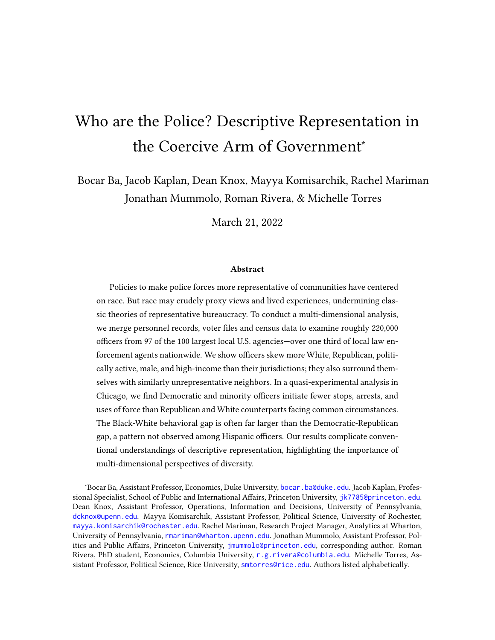|               |       |       |       |       |       |       |       |       | All Off. White Off. Black Off. Hispanic Off. Male Off. Female Off. Republican Off. Democrat Off. Other Party Off. |
|---------------|-------|-------|-------|-------|-------|-------|-------|-------|-------------------------------------------------------------------------------------------------------------------|
| Black Civ.    | 18.49 | 19.16 | 18.29 | 17.40 | 19.13 | 16.27 | 18.58 | 18.19 | 19.16                                                                                                             |
| White Civ.    | 3.70  | 4.66  | 1.84  | 3.59  | 3.75  | 3.52  | 4.73  | 3.54  | 3.41                                                                                                              |
| Hispanic Civ. | 5.46  | 6.19  | 1.38  | 7.81  | 5.79  | 4.29  | 6.63  | 4.96  | 5.88                                                                                                              |
| Total Civ.    | 28.84 | 31.42 | 22.22 | 30.05 | 29.88 | 25.24 | 31.49 | 27.80 | 29.62                                                                                                             |

### Table B8: Stops per 100 Shifts in CPD, 2012-2019

|                   | All Off. | White Off. |      |      |      |      |      |      | Black Off. Hispanic Off. Male Off. Female Off. Republican Off. Democrat Off. Other Party Off. |
|-------------------|----------|------------|------|------|------|------|------|------|-----------------------------------------------------------------------------------------------|
| <b>Black Civ.</b> | 4.66     | 4.58       | 4.48 | 4.97 | 4.90 | 3.82 | 4.43 | 4.42 | 5.38                                                                                          |
| White Civ.        | 0.71     | 0.87       | 0.30 | 0.79 | 0.74 | 0.62 | 0.84 | 0.64 | 0.80                                                                                          |
| Hispanic Civ.     | 1.38     | 1.59       | 0.38 | 1.90 | .48  | .02  | 1.67 | 1.17 | 1.69                                                                                          |
| Total Civ.        | 6.81     | 7.12       | 5.20 | 7.73 | 719  | 5.52 | 7.02 | 6.30 | 7.93                                                                                          |

Table B9: Arrest per 100 Shifts in CPD, 2012-2019.

|                   | All Off. | White Off. |           |           |      |      |      |      | Black Off. Hispanic Off. Male Off. Female Off. Republican Off. Democrat Off. Other Party Off. |
|-------------------|----------|------------|-----------|-----------|------|------|------|------|-----------------------------------------------------------------------------------------------|
| <b>Black Civ.</b> | 0.21     | 0.23       | 0.19      | $_{0.21}$ | 0.24 | 0.13 | 0.22 | 0.20 | 0.23                                                                                          |
| White Civ.        | 0.02     | 0.03       | $_{0.01}$ | 0.02      | 0.03 | 0.02 | 0.03 | 0.02 | 0.02                                                                                          |
| Hispanic Civ.     | 0.04     | 0.05       | 0.01      | $_{0.05}$ | 0.04 | 0.02 | 0.05 | 0.03 | 0.05                                                                                          |
| Total Civ.        | 0.29     | 0.32       | 0.22      | 0.30      | 0.32 | 0.18 | 0.32 | 0.27 | 0.32                                                                                          |

Table B10: Force per 100 Shifts in CPD, 2012-2019.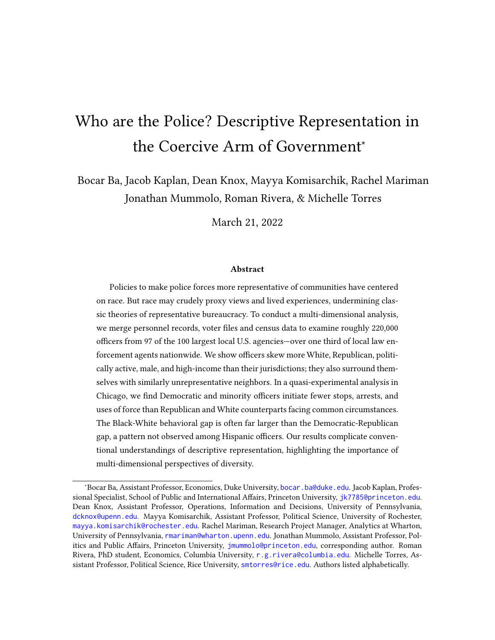## B.2 Within-Jurisdiction Comparisons

Table B11: Average Shares of White Officers and Civilians in the Same Jurisdictions. Numeric results depicted in Figure 2.

|                                 | Officer |       |              | Officer 95% CI Civilian |
|---------------------------------|---------|-------|--------------|-------------------------|
| Agency                          | Mean    | Lower | <b>Upper</b> | <b>Mean</b>             |
| Alameda County Sheriff, CA      | 62.96   | 60.39 | 65.53        | 31.50                   |
| Albuquerque PD, NM              | 56.25   | 52.31 | 60.19        | 38.80                   |
| Anne Aroundel County PD, MD     | 87.06   | 84.92 | 89.20        | 68.70                   |
| Atlanta PD, GA                  | 35.81   | 33.52 | 38.10        | 37.60                   |
| Aurora PD, CO                   | 83.79   | 81.04 | 86.54        | 46.70                   |
| Austin PD, TX                   | 67.98   | 65.69 | 70.28        | 49.10                   |
| Baltimore County PD, MD         | 82.33   | 80.48 | 84.19        | 44.70                   |
| Baltimore PD, MD                | 49.45   | 48.02 | 50.88        | 27.60                   |
| Baton Rouge City PD, LA         | 65.91   | 62.42 | 69.41        | 38.70                   |
| Birmingham PD, AL               | 40.19   | 37.25 | 43.12        | 35.40                   |
| Boston PD, MA                   | 66.58   | 64.67 | 68.50        | 44.50                   |
| Broward County Sheriff, FL      | 62.43   | 59.92 | 64.94        | 36.60                   |
| Buffalo PD, NY                  | 69.48   | 66.18 | 72.78        | 43.10                   |
| Charlotte-Mecklenburg PD, NC    | 74.51   | 72.63 | 76.40        | 42.30                   |
| Chicago PD, IL                  | 51.67   | 50.81 | 52.54        | 33.50                   |
| Cincinnati PD, OH               | 67.79   | 64.95 | 70.64        | 51.00                   |
| Cleveland PD, OH                | 65.88   | 63.67 | 68.09        | 33.70                   |
| Collier County Sheriff, FL      | 67.72   | 62.02 | 73.43        | 62.80                   |
| Colorado Springs PD, CO         | 81.25   | 78.40 | 84.10        | 69.90                   |
| Columbus PD, OH                 | 86.90   | 85.44 | 88.36        | 59.20                   |
| Contra Costa County Sheriff, CA | 70.53   | 67.75 | 73.31        | 53.50                   |
| Cook County Sheriff, IL         | 55.00   | 52.40 | 57.59        | 15.80                   |
| Dallas PD, TX                   | 50.08   | 48.35 | 51.80        | 29.30                   |
| Dekalb County PD, GA            | 37.39   | 33.98 | 40.80        | 20.70                   |
| Denver PD, CO                   | 65.72   | 63.14 | 68.30        | 54.20                   |
| El Paso PD, TX                  | 16.47   | 14.38 | 18.57        | 12.50                   |
| Fairfax County PD, VA           | 82.99   | 81.29 | 84.68        | 50.80                   |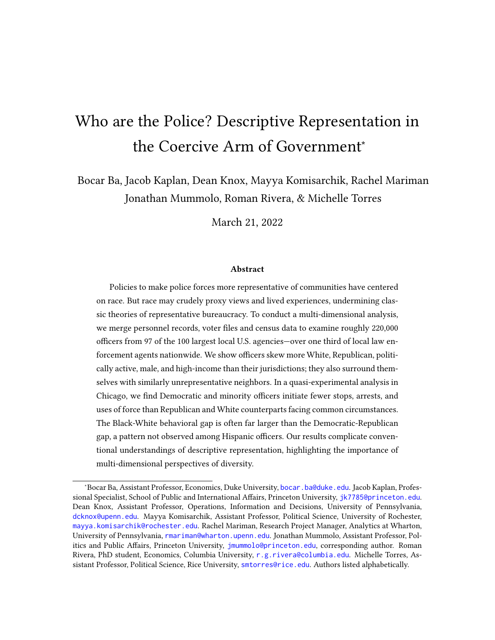| Fort Worth PD, TX                  | 67.92 | 65.80 | 70.05 | 41.80 |
|------------------------------------|-------|-------|-------|-------|
| Fresno PD, CA                      | 51.81 | 48.52 | 55.10 | 28.00 |
| Gwinnett County PD, GA             | 74.90 | 71.85 | 77.95 | 39.50 |
| Harris County Sheriff, TX          | 49.80 | 47.85 | 51.75 | 29.60 |
| Hillsborough County Sheriff, FL    | 71.92 | 69.45 | 74.39 | 49.60 |
| Honolulu PD, HI                    | 11.99 | 10.57 | 13.40 | 15.40 |
| Houston PD, TX                     | 45.84 | 44.57 | 47.10 | 27.80 |
| Indianapolis PD, IN                | 82.42 | 80.35 | 84.50 | 54.90 |
| Jacksonville County Sheriff, FL    | 69.50 | 67.28 | 71.71 | 51.70 |
| Jefferson Parish Sheriff, LA       | 74.58 | 72.61 | 76.56 | 53.60 |
| Jersey City PD, NJ                 | 39.86 | 36.84 | 42.89 | 21.90 |
| Kansas City PD, MO                 | 76.61 | 74.67 | 78.54 | 57.30 |
| King County Sheriff, WA            | 79.40 | 76.51 | 82.30 | 61.80 |
| Las Vegas Metro PD, NV             | 68.76 | 67.22 | 70.30 | 44.20 |
| Long Beach PD, CA                  | 52.78 | 49.83 | 55.73 | 28.20 |
| Los Angeles County Sheriff, CA     | 39.13 | 38.29 | 39.97 | 21.20 |
| Los Angeles PD, CA                 | 33.05 | 32.18 | 33.93 | 28.60 |
| Louisville Metro PD, KY            | 84.37 | 82.88 | 85.85 | 59.00 |
| Maricopa County Sheriff, AZ        | 72.02 | 68.85 | 75.20 | 77.60 |
| Memphis PD, TN                     | 43.86 | 41.69 | 46.04 | 27.10 |
| Mesa PD, AZ                        | 79.25 | 76.62 | 81.89 | 62.40 |
| Metro Nashville PD And Sheriff, TN | 85.36 | 83.70 | 87.02 | 56.10 |
| Miami PD, FL                       | 7.71  | 6.28  | 9.13  | 10.80 |
| Miami-Dade PD, FL                  | 20.20 | 19.01 | 21.39 | 11.60 |
| Milwaukee PD, WI                   | 66.06 | 63.85 | 68.27 | 35.80 |
| Minneapolis PD, MN                 | 76.90 | 74.16 | 79.64 | 60.00 |
| Montgomery County PD, MD           | 78.29 | 76.03 | 80.55 | 44.30 |
| Nassau County PD, NY               | 87.39 | 86.09 | 88.70 | 62.10 |
| New Orleans PD, LA                 | 34.94 | 32.45 | 37.42 | 30.80 |
| New York City PD, NY               | 50.29 | 49.74 | 50.83 | 32.10 |
| Newark PD, NJ                      | 23.87 | 21.45 | 26.29 | 10.90 |
| Oakland PD, CA                     | 39.76 | 36.83 | 42.68 | 28.30 |
| Oklahoma City PD, OK               | 83.56 | 81.50 | 85.62 | 56.40 |
| Omaha PD, NE                       | 79.34 | 76.72 | 81.97 | 68.60 |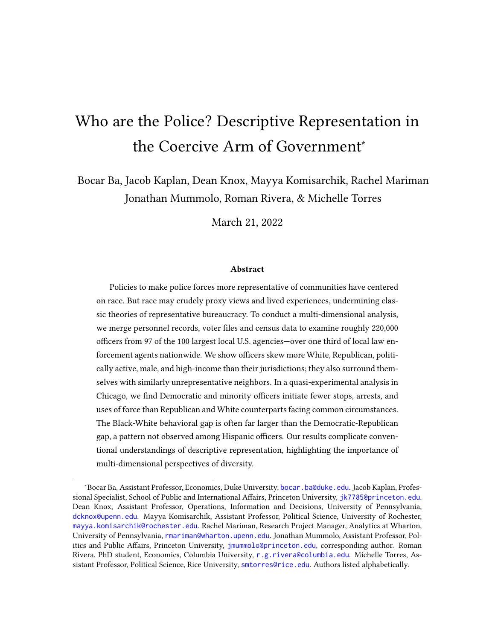| Orange County Sheriff, CA         | 63.22 | 61.23 | 65.22 | 58.00 |
|-----------------------------------|-------|-------|-------|-------|
| Orange County Sheriff, FL         | 64.70 | 62.08 | 67.31 | 38.50 |
| Orlando PD, FL                    | 63.00 | 59.65 | 66.35 | 36.40 |
| Palm Beach County Sheriff, FL     | 72.71 | 69.97 | 75.45 | 51.40 |
| Philadelphia PD, PA               | 57.20 | 55.95 | 58.46 | 34.50 |
| Phoenix PD, AZ                    | 70.73 | 69.18 | 72.28 | 42.80 |
| Pinellas County Sheriff, FL       | 80.69 | 78.77 | 82.61 | 81.40 |
| Pittsburgh PD, PA                 | 85.19 | 82.93 | 87.45 | 64.70 |
| Portland Police Bureau, OR        | 84.22 | 81.79 | 86.66 | 70.50 |
| Prince Georges County PD, MD      | 45.30 | 42.81 | 47.79 | 12.70 |
| Raleigh PD, NC                    | 84.31 | 81.65 | 86.96 | 55.20 |
| Richmond PD, VA                   | 60.65 | 56.46 | 64.85 | 40.90 |
| Riverside County Sheriff, CA      | 60.15 | 58.05 | 62.26 | 35.40 |
| Rochester PD, NY                  | 73.53 | 70.01 | 77.04 | 37.90 |
| Sacramento County Sheriff, CA     | 69.91 | 67.76 | 72.06 | 50.60 |
| Sacramento PD, CA                 | 74.47 | 71.45 | 77.49 | 31.80 |
| St. Louis Metro PD, MO            | 70.63 | 68.03 | 73.22 | 43.60 |
| San Antonio PD, TX                | 40.32 | 37.94 | 42.69 | 26.70 |
| San Bernardino County Sheriff, CA | 53.74 | 51.87 | 55.61 | 37.70 |
| San Diego County Sheriff, CA      | 66.97 | 64.71 | 69.23 | 55.00 |
| San Diego PD, CA                  | 63.29 | 61.09 | 65.49 | 42.80 |
| San Francisco PD, CA              | 50.14 | 48.59 | 51.68 | 40.50 |
| San Jose PD, CA                   | 46.72 | 44.17 | 49.28 | 27.10 |
| Seattle PD, WA                    | 73.12 | 70.76 | 75.48 | 63.70 |
| St. Louis County PD, MO           | 87.92 | 85.78 | 90.07 | 70.70 |
| Suffolk County PD, NY             | 87.03 | 85.70 | 88.37 | 67.60 |
| Tampa PD, FL                      | 69.44 | 66.37 | 72.52 | 43.70 |
| Toledo PD, OH                     | 81.22 | 78.27 | 84.18 | 60.10 |
| Tucson PD, AZ                     | 65.44 | 62.46 | 68.42 | 45.40 |
| Tulsa PD, OK                      | 75.84 | 72.98 | 78.70 | 54.90 |
| Ventura County Sheriff, CA        | 67.11 | 64.27 | 69.95 | 59.90 |
| Virginia Beach PD, VA             | 82.17 | 79.44 | 84.89 | 61.70 |
| Metropolitan PD, D.C.             | 35.71 | 34.29 | 37.14 | 36.60 |
| Wayne County Sheriff, MI          | 53.53 | 48.17 | 58.88 | 69.60 |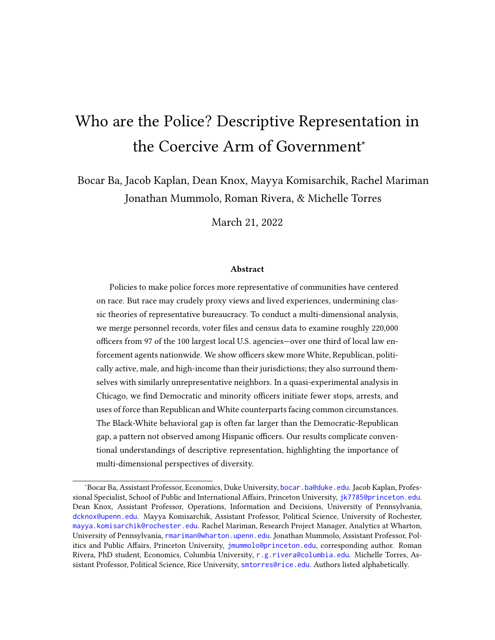| Wichita PD, KS | 83.52 | 80.81 86.22 | 64.20 |
|----------------|-------|-------------|-------|
| Yonkers PD, NY | 81.58 | 78.53 84.63 | 36.70 |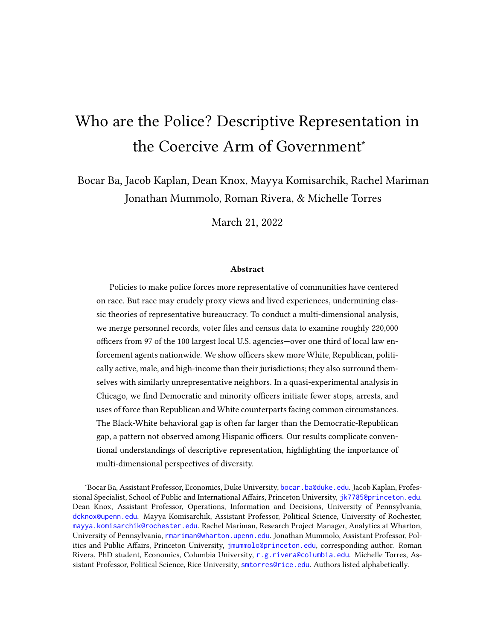|                                 | Officer |       |       | Officer 95% CI Civilian |
|---------------------------------|---------|-------|-------|-------------------------|
| Agency                          | Mean    | Lower | Upper | Mean                    |
| Alameda County Sheriff, CA      | 34.46   | 31.93 | 36.99 | 11.51                   |
| Albuquerque PD, NM              | 58.39   | 54.47 | 62.31 | 20.86                   |
| Anne Aroundel County PD, MD     | 40.19   | 37.06 | 43.32 | 30.05                   |
| Atlanta PD, GA                  | 16.21   | 14.45 | 17.97 | 7.79                    |
| Aurora PD, CO                   | 43.85   | 40.15 | 47.55 | 16.29                   |
| Austin PD, TX                   | 44.07   | 41.63 | 46.51 | 15.14                   |
| Baltimore County PD, MD         | 57.20   | 54.79 | 59.61 | 15.12                   |
| Baltimore PD, MD                | 29.45   | 28.14 | 30.75 | 5.92                    |
| Baton Rouge City PD, LA         | 38.05   | 34.47 | 41.63 | 17.41                   |
| Birmingham PD, AL               | 31.59   | 28.80 | 34.37 | 24.09                   |
| Boston PD, MA                   | 11.32   | 10.03 | 12.61 | 3.39                    |
| Broward County Sheriff, FL      | 32.68   | 30.25 | 35.11 | 16.54                   |
| Buffalo PD, NY                  | 26.64   | 23.47 | 29.81 | 7.56                    |
| Charlotte-Mecklenburg PD, NC    | 36.19   | 34.11 | 38.26 | 16.04                   |
| Chicago PD, IL                  | 13.71   | 13.11 | 14.30 | 3.73                    |
| Cincinnati PD, OH               | 41.56   | 38.56 | 44.56 | 11.96                   |
| Cleveland PD, OH                | 26.85   | 24.79 | 28.92 | 4.76                    |
| Collier County Sheriff, FL      | 41.09   | 35.08 | 47.09 | 37.99                   |
| Colorado Springs PD, CO         | 42.78   | 39.16 | 46.39 | 29.78                   |
| Columbus PD, OH                 | 45.67   | 43.51 | 47.82 | 14.81                   |
| Contra Costa County Sheriff, CA | 33.33   | 30.46 | 36.21 | 17.73                   |
| Cook County Sheriff, IL         | 17.86   | 15.86 | 19.86 | 3.03                    |
| Dallas PD, TX                   | 34.93   | 33.28 | 36.57 | 13.70                   |
| Dekalb County PD, GA            | 11.64   | 9.38  | 13.90 | 6.03                    |
| Denver PD, CO                   | 24.77   | 22.43 | 27.11 | 9.07                    |
| El Paso PD, TX                  | 18.80   | 16.59 | 21.01 | 8.47                    |
| Fairfax County PD, VA           | 21.78   | 19.92 | 23.64 | 16.94                   |
| Fort Worth PD, TX               | 47.44   | 45.17 | 49.71 | 25.53                   |
| Fresno PD, CA                   | 54.64   | 51.36 | 57.92 | 19.73                   |

Table B12: Average Shares of Republican Officers and Civilians in the Same Jurisdictions. Numeric results depicted in Figure 3.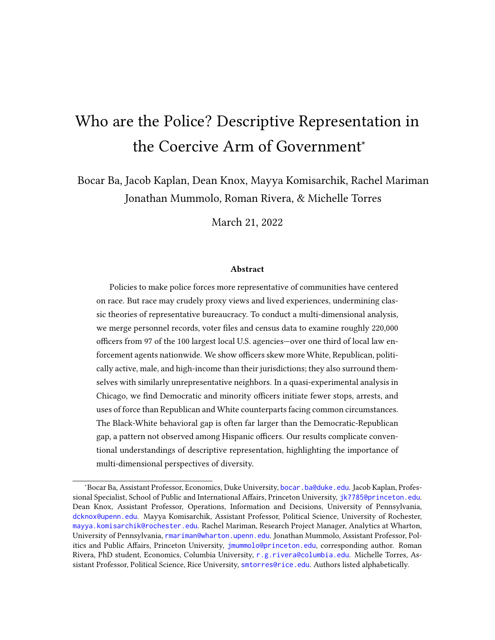| Gwinnett County PD, GA             | 34.49 | 31.15 | 37.83 | 19.09 |
|------------------------------------|-------|-------|-------|-------|
| Harris County Sheriff, TX          | 34.64 | 32.79 | 36.50 | 19.62 |
| Hillsborough County Sheriff, FL    | 38.90 | 36.23 | 41.58 | 27.36 |
| Honolulu PD, HI                    | 13.42 | 11.94 | 14.91 | 11.79 |
| Houston PD, TX                     | 39.15 | 37.91 | 40.39 | 18.25 |
| Indianapolis PD, IN                | 42.11 | 39.41 | 44.80 | 15.05 |
| Jacksonville County Sheriff, FL    | 52.22 | 49.82 | 54.62 | 30.82 |
| Jefferson Parish Sheriff, LA       | 33.26 | 31.12 | 35.40 | 25.17 |
| Jersey City PD, NJ                 | 14.12 | 11.96 | 16.27 | 5.49  |
| Kansas City PD, MO                 | 48.48 | 46.19 | 50.76 | 28.92 |
| King County Sheriff, WA            | 34.89 | 31.48 | 38.30 | 16.98 |
| Las Vegas Metro PD, NV             | 47.41 | 45.75 | 49.07 | 23.85 |
| Long Beach PD, CA                  | 40.11 | 37.21 | 43.01 | 12.63 |
| Los Angeles County Sheriff, CA     | 38.66 | 37.82 | 39.50 | 15.25 |
| Los Angeles PD, CA                 | 32.12 | 31.25 | 32.99 | 8.84  |
| Louisville Metro PD, KY            | 49.46 | 47.42 | 51.50 | 19.77 |
| Maricopa County Sheriff, AZ        | 52.08 | 48.55 | 55.62 | 42.88 |
| Memphis PD, TN                     | 24.31 | 22.43 | 26.19 | 8.82  |
| Mesa PD, AZ                        | 55.10 | 51.87 | 58.33 | 29.75 |
| Metro Nashville PD And Sheriff, TN | 31.82 | 29.62 | 34.01 | 12.94 |
| Miami PD, FL                       | 30.65 | 28.19 | 33.12 | 13.48 |
| Miami-Dade PD, FL                  | 30.09 | 28.73 | 31.45 | 22.64 |
| Milwaukee PD, WI                   | 10.57 | 9.14  | 12.01 | 11.43 |
| Minneapolis PD, MN                 | 33.55 | 30.48 | 36.62 | 5.17  |
| Montgomery County PD, MD           | 40.67 | 37.98 | 43.37 | 13.79 |
| Nassau County PD, NY               | 51.34 | 49.38 | 53.31 | 29.85 |
| New Orleans PD, LA                 | 20.18 | 18.09 | 22.28 | 8.39  |
| New York City PD, NY               | 23.56 | 23.10 | 24.03 | 7.61  |
| Newark PD, NJ                      | 12.81 | 10.92 | 14.71 | 3.08  |
| Oakland PD, CA                     | 20.20 | 17.80 | 22.61 | 3.05  |
| Oklahoma City PD, OK               | 64.15 | 61.49 | 66.82 | 31.80 |
| Omaha PD, NE                       | 52.68 | 49.44 | 55.91 | 29.05 |
| Orange County Sheriff, CA          | 49.73 | 47.67 | 51.80 | 32.56 |
| Orange County Sheriff, FL          | 35.23 | 32.61 | 37.84 | 20.51 |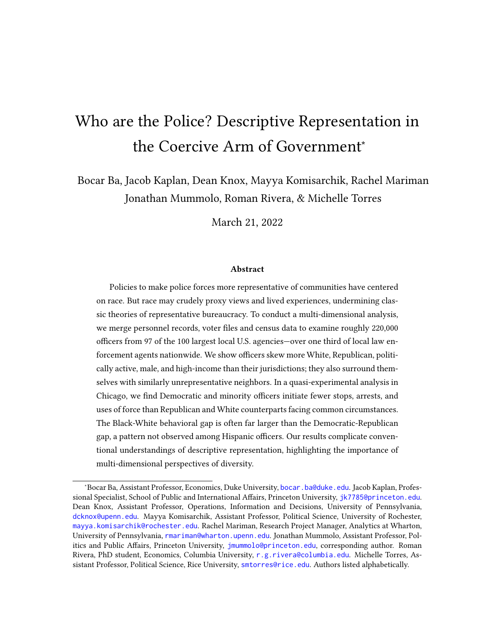| Orlando PD, FL                    | 34.62 | 31.33 | 37.92 | 17.53 |
|-----------------------------------|-------|-------|-------|-------|
| Palm Beach County Sheriff, FL     | 36.85 | 33.88 | 39.82 | 21.67 |
| Philadelphia PD, PA               | 33.82 | 32.62 | 35.02 | 9.23  |
| Phoenix PD, AZ                    | 44.65 | 42.96 | 46.34 | 19.20 |
| Pinellas County Sheriff, FL       | 44.65 | 42.23 | 47.07 | 34.91 |
| Pittsburgh PD, PA                 | 44.43 | 41.28 | 47.59 | 11.21 |
| Portland Police Bureau, OR        | 27.73 | 24.74 | 30.71 | 9.28  |
| Prince Georges County PD, MD      | 25.33 | 23.15 | 27.50 | 5.27  |
| Raleigh PD, NC                    | 39.17 | 35.60 | 42.73 | 16.46 |
| Richmond PD, VA                   | 31.29 | 27.30 | 35.27 | 7.91  |
| Riverside County Sheriff, CA      | 43.49 | 41.37 | 45.62 | 22.48 |
| Rochester PD, NY                  | 55.70 | 51.74 | 59.66 | 7.02  |
| Sacramento County Sheriff, CA     | 45.25 | 42.92 | 47.59 | 21.71 |
| Sacramento PD, CA                 | 49.07 | 45.61 | 52.52 | 10.63 |
| St. Louis Metro PD, MO            | 39.80 | 37.01 | 42.59 | 8.77  |
| San Antonio PD, TX                | 40.38 | 38.00 | 42.76 | 17.59 |
| San Bernardino County Sheriff, CA | 43.10 | 41.24 | 44.96 | 24.52 |
| San Diego County Sheriff, CA      | 47.59 | 45.19 | 49.99 | 27.62 |
| San Diego PD, CA                  | 47.05 | 44.77 | 49.33 | 15.37 |
| San Francisco PD, CA              | 17.62 | 16.44 | 18.79 | 4.44  |
| San Jose PD, CA                   | 26.70 | 24.44 | 28.97 | 11.09 |
| Seattle PD, WA                    | 37.00 | 34.43 | 39.57 | 4.48  |
| St. Louis County PD, MO           | 43.91 | 40.64 | 47.17 | 33.90 |
| Suffolk County PD, NY             | 47.27 | 45.29 | 49.25 | 27.22 |
| Tampa PD, FL                      | 41.44 | 38.15 | 44.72 | 20.27 |
| Toledo PD, OH                     | 30.85 | 27.35 | 34.34 | 10.85 |
| Tucson PD, AZ                     | 44.79 | 41.67 | 47.90 | 18.00 |
| Tulsa PD, OK                      | 60.05 | 56.77 | 63.32 | 27.91 |
| Ventura County Sheriff, CA        | 36.61 | 33.69 | 39.52 | 26.97 |
| Virginia Beach PD, VA             | 42.40 | 38.88 | 45.92 | 29.26 |
| Metropolitan PD, D.C.             | 7.53  | 6.74  | 8.31  | 4.57  |
| Wayne County Sheriff, MI          | 15.62 | 11.72 | 19.51 | 22.83 |
| Wichita PD, KS                    | 48.34 | 44.69 | 51.98 | 29.94 |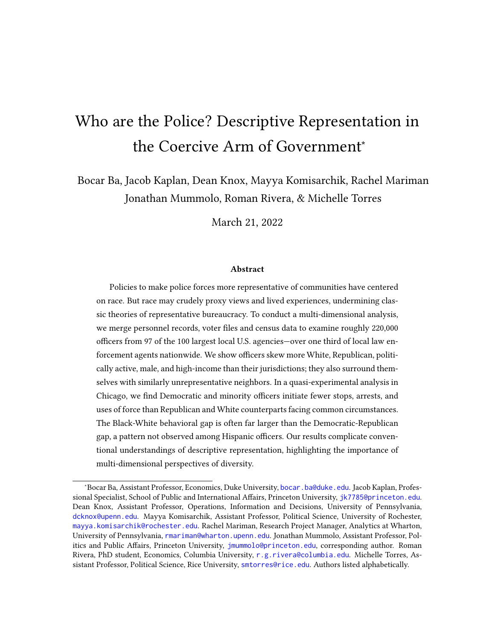

Figure B1: Average Shares of Black Officers and Civilians in the Same Jurisdictions. Blue dots are officer shares from BJS (2016) with 95% confidence intervals. Red dots are civilian shares from U.S. Census. Vertical blue line is the pooled officer mean. Vertical red line is hypothetical officer mean if each officer was randomly drawn from their respective jurisdiction.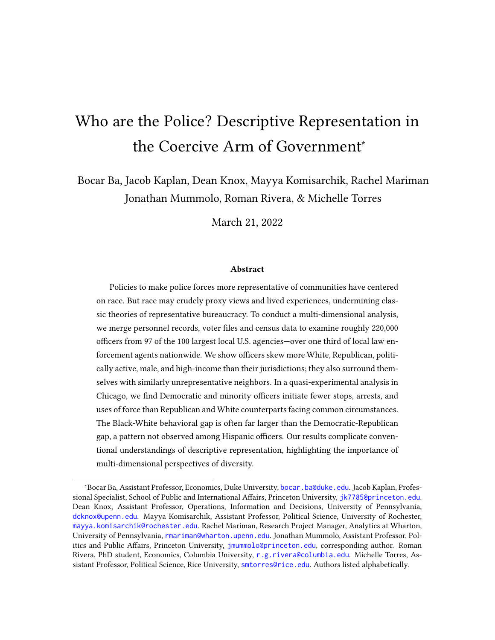

Figure B2: Average Shares of Hispanic Officers and Civilians in the Same Jurisdictions. Blue dots are officer shares from BJS (2016) with 95% confidence intervals. Red dots are civilian shares from U.S. Census. Vertical blue line is the pooled officer mean. Vertical red line is hypothetical officer mean if each officer was randomly drawn from their respective jurisdiction.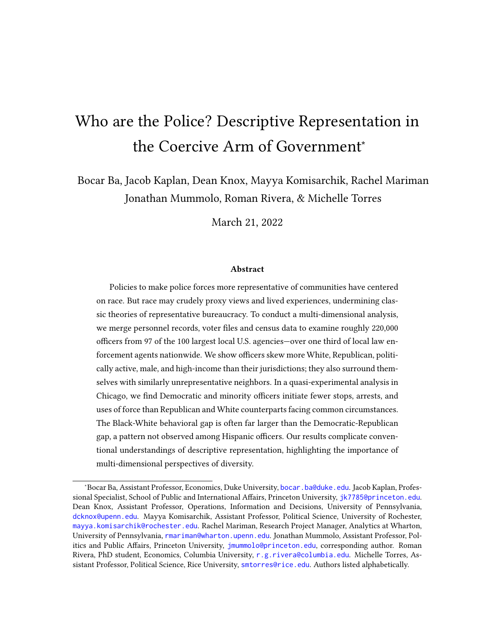

Figure B3: Average Shares of Asian Officers and Civilians in the Same Jurisdictions. Blue dots are officer shares from BJS (2016) with 95% confidence intervals. Red dots are civilian shares from U.S. Census. Vertical blue line is the pooled officer mean. Vertical red line is hypothetical officer mean if each officer was randomly drawn from their respective jurisdiction.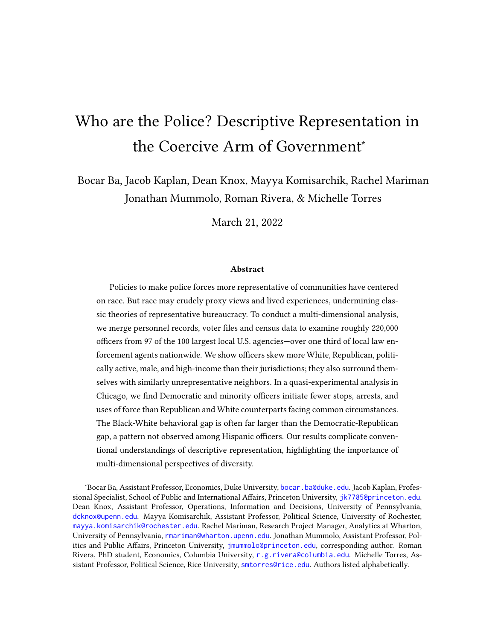

Figure B4: Average Shares of Democrats Among Officers and Civilians in the Same Jurisdictions. Blue dots are officer shares with 95% confidence intervals. Red dots are civilian shares.Red dots are civilian Republicans from L2 as a share of voting-age population from Census ACS. Vertical blue line is the pooled officer mean. Vertical red line is hypothetical officer mean if each officer was randomly drawn from their respective jurisdiction.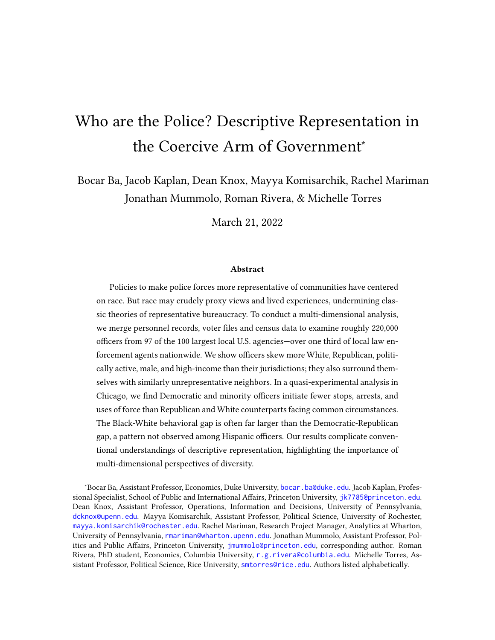

Figure B5: Average General Election Turnout in 2020 Among Officers and Civilians in the Same Jurisdictions. Blue dots are officer shares with 95% confidence intervals. Red dots are civilian Republicans from L2 as a share of voting-age population from Census ACS. Vertical blue line is the pooled officer mean. Vertical red line is hypothetical officer mean if each officer was randomly drawn from their respective jurisdiction.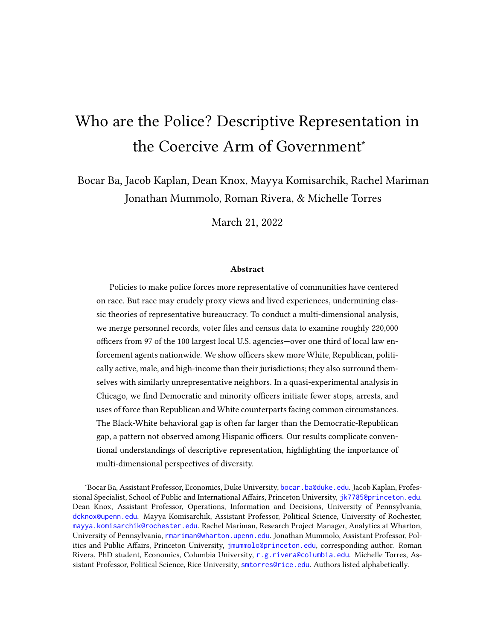

Figure B6: Average Shares of Males Among Officers and Civilians in the Same Jurisdictions. Blue dots are officer shares from LEOKA 2019 data with 95% confidence intervals. Red dots are civilian shares from U.S. Census. Vertical blue line is the pooled officer mean. Vertical red line is hypothetical officer mean if each officer was randomly drawn from their respective jurisdiction.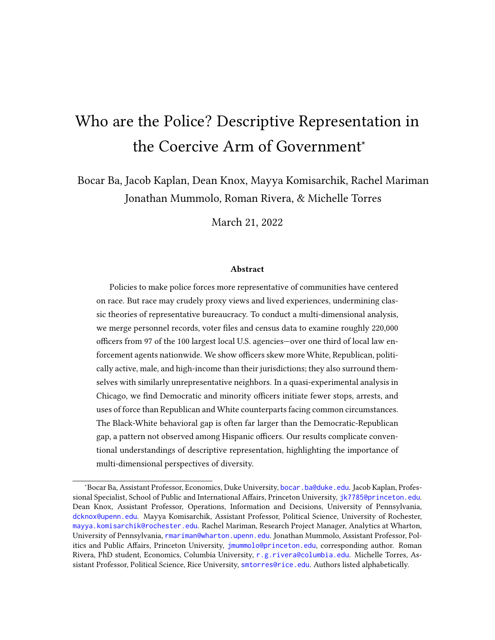

Figure B7: Median Age Among Officers and Civilians in the Same Jurisdictions. Blue dots are officer shares from L2 voter file (i.e. among registered voters) with 95% confidence intervals. Red dots are civilian shares from U.S. Census. Vertical blue line is the pooled officer mean. Vertical red line is hypothetical officer mean if each officer was randomly drawn from their respective jurisdiction.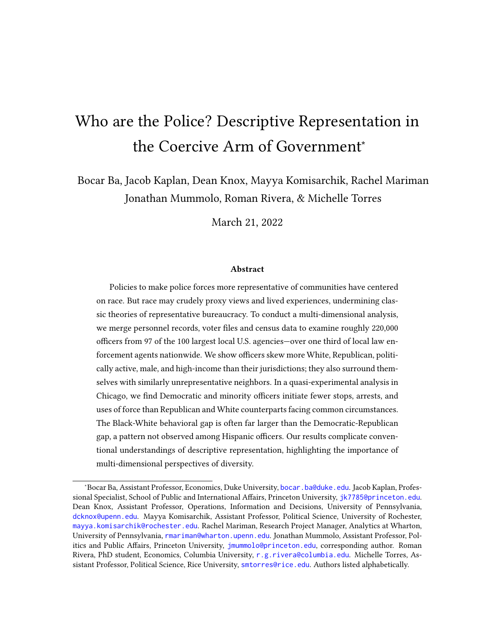

Figure B8: Median Household Income Among Officers and Civilians in the Same Jurisdictions. Blue dots are officer shares from from L2 voter file (i.e. among registered voters) with 95% confidence intervals. Red dots are civilian shares from U.S. Census. Vertical blue line is the pooled officer mean. Vertical red line is hypothetical officer mean if each officer was randomly drawn from their respective jurisdiction.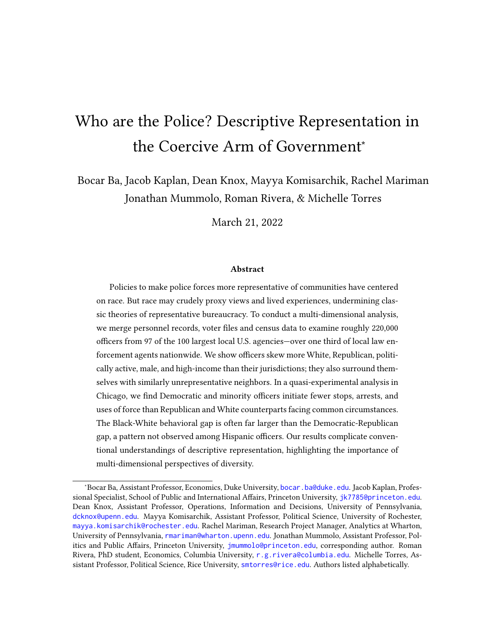| District       | District Name         | Officer | Officer Lower Bound | Officer Upper Bound | Civilian |
|----------------|-----------------------|---------|---------------------|---------------------|----------|
| $\mathbf{1}$   | Central               | 57.35   | 53.98               | 60.71               | 52.28    |
| $\overline{2}$ | Wentworth             | 21.59   | 18.85               | 24.33               | 19.06    |
| 3              | <b>Grand Crossing</b> | 27.04   | 24.05               | 30.03               | 5.64     |
| 4              | South Chicago         | 48.20   | 44.86               | 51.54               | 7.05     |
| 5              | Calumet               | 33.72   | 30.18               | 37.26               | 1.88     |
| 6              | Gresham               | 29.89   | 26.88               | 32.90               | 1.41     |
| 7              | Englewood             | 42.31   | 39.14               | 45.47               | 1.31     |
| 8              | Chicago Lawn          | 66.35   | 63.17               | 69.53               | 16.80    |
| 9              | Deering               | 64.61   | 61.14               | 68.08               | 15.44    |
| 10             | Ogden                 | 40.52   | 36.96               | 44.07               | 4.83     |
| 11             | Harrison              | 52.51   | 49.20               | 55.81               | 4.24     |
| 12             | Near West             | 53.46   | 49.92               | 56.99               | 45.29    |
| 14             | Shakespeare           | 50.73   | 46.55               | 54.91               | 52.66    |
| 15             | Austin                | 55.64   | 51.89               | 59.39               | 3.51     |
| 16             | Jefferson Park        | 80.63   | 77.47               | 83.80               | 62.91    |
| 17             | Albany Park           | 68.12   | 64.05               | 72.18               | 40.63    |
| 18             | Near North            | 61.11   | 57.86               | 64.36               | 72.61    |
| 19             | <b>Town Hall</b>      | 62.01   | 58.70               | 65.33               | 74.26    |
| 20             | Lincoln               | 69.69   | 65.60               | 73.78               | 55.40    |
| 22             | Morgan Park           | 59.87   | 55.99               | 63.75               | 34.30    |
| 24             | Rogers Park           | 72.88   | 69.17               | 76.58               | 43.70    |
| 25             | <b>Grand Central</b>  | 65.78   | 62.46               | 69.09               | 14.70    |

### B.3 District-Level Analysis in Chicago

### Table B13: Proportion White in Chicago Districts. Numeric results for Figure 4.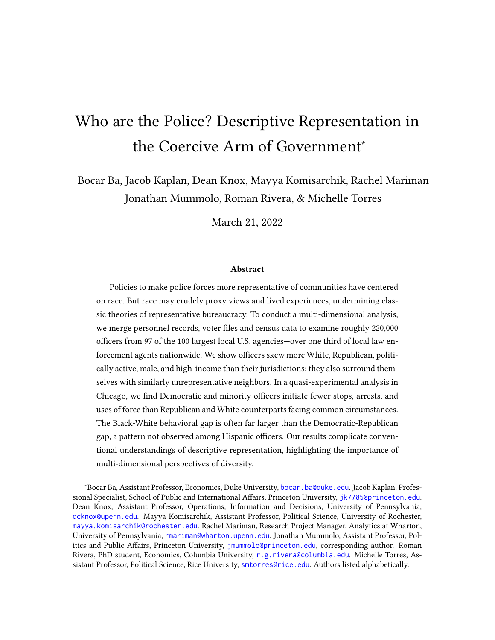| District       | District Name         | Officer | Officer Lower Bound | Officer Upper Bound | Civilian |
|----------------|-----------------------|---------|---------------------|---------------------|----------|
| $\mathbf{1}$   | Central               | 15.18   | 12.74               | 17.62               | 4.25     |
| $\overline{2}$ | Wentworth             | 7.97    | 6.16                | 9.77                | 1.32     |
| 3              | <b>Grand Crossing</b> | 9.33    | 7.37                | 11.29               | 0.89     |
| 4              | South Chicago         | 13.01   | 10.76               | 15.26               | 2.15     |
| 5              | Calumet               | 10.66   | 8.35                | 12.97               | 0.89     |
| 6              | Gresham               | 9.55    | 7.62                | 11.48               | 0.74     |
| 7              | Englewood             | 10.58   | 8.61                | 12.55               | 0.78     |
| 8              | Chicago Lawn          | 16.29   | 13.81               | 18.78               | 3.01     |
| 9              | Deering               | 19.34   | 16.47               | 22.21               | 2.21     |
| 10             | Ogden                 | 15.28   | 12.67               | 17.88               | 1.20     |
| 11             | Harrison              | 15.26   | 12.88               | 17.64               | 1.09     |
| 12             | Near West             | 15.51   | 12.95               | 18.08               | 3.95     |
| 14             | Shakespeare           | 15.64   | 12.60               | 18.67               | 3.59     |
| 15             | Austin                | 17.21   | 14.36               | 20.06               | 0.88     |
| 16             | Jefferson Park        | 25.54   | 22.05               | 29.04               | 8.86     |
| 17             | Albany Park           | 22.57   | 18.93               | 26.22               | 4.27     |
| 18             | Near North            | 14.70   | 12.34               | 17.06               | 7.85     |
| 19             | <b>Town Hall</b>      | 17.72   | 15.11               | 20.33               | 5.43     |
| 20             | Lincoln               | 18.97   | 15.48               | 22.46               | 3.96     |
| 22             | Morgan Park           | 16.97   | 13.99               | 19.94               | 4.74     |
| 24             | Rogers Park           | 19.71   | 16.39               | 23.03               | 3.48     |
| 25             | <b>Grand Central</b>  | 19.21   | 16.46               | 21.97               | 2.59     |

Table B14: Proportion Republican in Chicago Districts. Numeric results for Figure 4.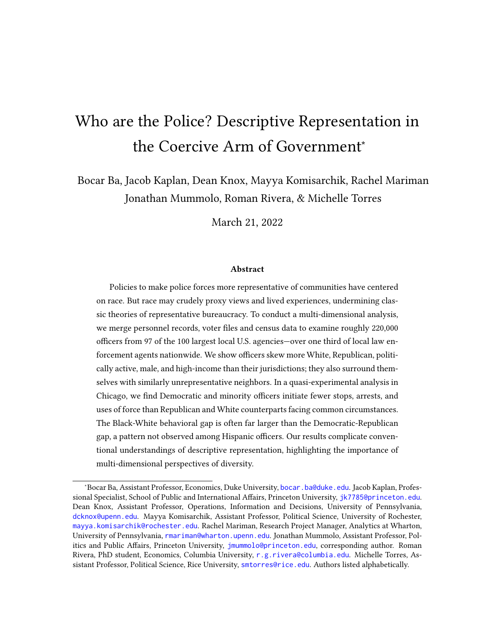

Figure B9: Average Shares of Black Chicago Officers and Civilians in Officers' Assigned Districts. Blue dots are officer shares with 95% confidence intervals. Red dots are civilian shares from U.S. Census. Vertical blue line is the pooled officer mean. Vertical red line is hypothetical officer mean if each officer was randomly drawn from their respective district.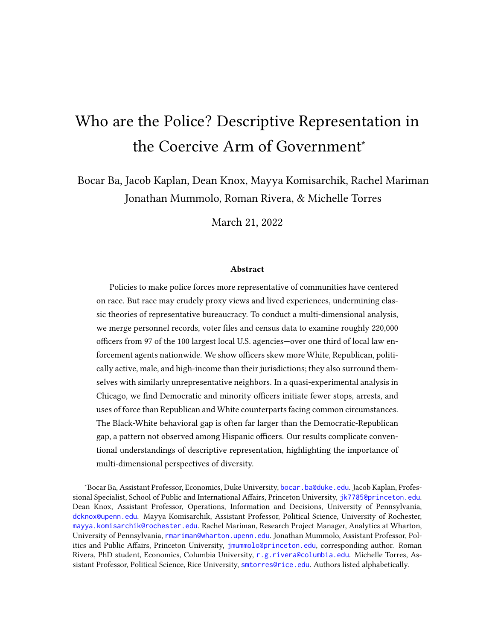

Figure B10: Average Shares of Hispanic Chicago Officers and Civilians in Officers' Assigned Districts. Blue dots are officer shares with 95% confidence intervals. Red dots are civilian shares from U.S. Census. Vertical blue line is the pooled officer mean. Vertical red line is hypothetical officer mean if each officer was randomly drawn from their respective district.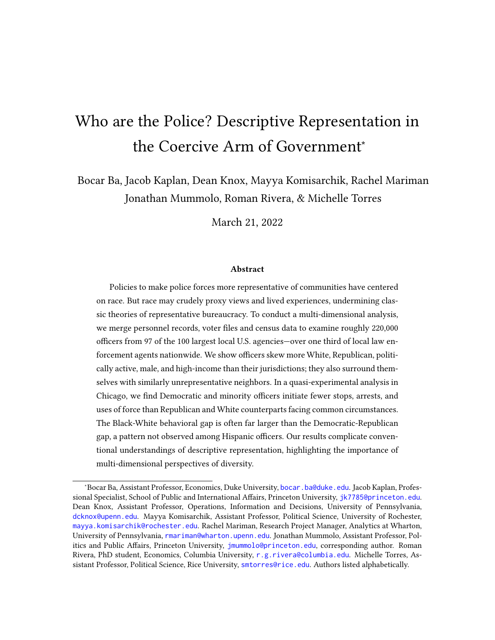

Figure B11: Average Shares of Chicago Officers of Other Race and Civilians in Officers' Assigned Districts. Blue dots are officer shares with 95% confidence intervals. Red dots are civilian shares from U.S. Census. Vertical blue line is the pooled officer mean. Vertical red line is hypothetical officer mean if each officer was randomly drawn from their respective district.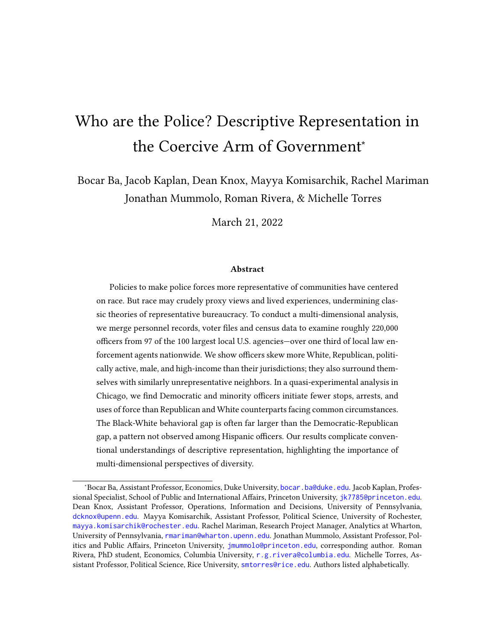

Figure B12: Average Shares of Democratic Chicago Officers and Civilians in Officers' Assigned Districts. Blue dots are officer shares with 95% confidence intervals. Red dots are civilian shares from U.S. Census. Vertical blue line is the pooled officer mean. Vertical red line is hypothetical officer mean if each officer was randomly drawn from their respective district.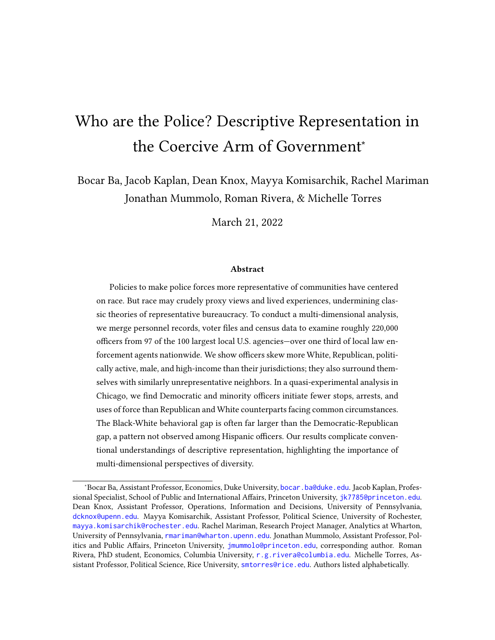#### B.4 Deployment Effects

| Officer Deployed        | Estimate | Reference Group  | Adjusted p-value | Outcome      |
|-------------------------|----------|------------------|------------------|--------------|
| <b>Black</b>            | $-7.80$  | White            | 0.00             | <b>Stops</b> |
| Democrat                | $-3.80$  | Republican       | 0.00             | <b>Stops</b> |
| <b>Black Democrat</b>   | $-7.74$  | White Republican | 0.00             | <b>Stops</b> |
| <b>Black Republican</b> | $-4.62$  | White Republican | 0.05             | <b>Stops</b> |
| <b>White Democrat</b>   | 1.09     | White Republican | 0.42             | <b>Stops</b> |
| Black                   | $-1.25$  | White            | 0.00             | Arrests      |
| Democrat                | $-0.77$  | Republican       | 0.00             | Arrests      |
| <b>Black Democrat</b>   | $-1.34$  | White Republican | 0.00             | Arrests      |
| <b>Black Republican</b> | $-0.09$  | White Republican | 0.82             | Arrests      |
| <b>White Democrat</b>   | $-0.18$  | White Republican | 0.66             | Arrests      |
| <b>Black</b>            | $-0.10$  | White            | 0.00             | Force        |
| Democrat                | $-0.09$  | Republican       | 0.00             | Force        |
| <b>Black Democrat</b>   | $-0.12$  | White Republican | 0.00             | Force        |
| <b>Black Republican</b> | $-0.05$  | White Republican | 0.66             | Force        |
| <b>White Democrat</b>   | $-0.02$  | White Republican | 0.93             | Force        |

Table B15: Deployment Effects Per 100 Shifts, Black v. White Officers. The table displays the effect per 100 shifts of deploying a given type of officer on stops, arrests, and uses of force, relative to the listed reference category. -values adjusted for multiple testing. Estimated in places and times where at least one Black, White, Democratic and Republican officer present.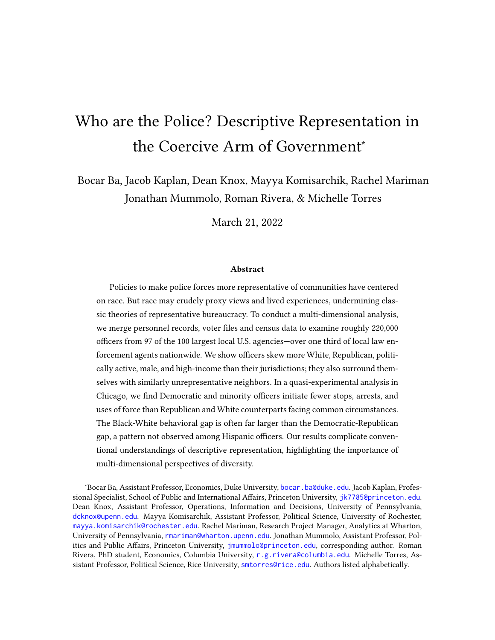| Officer Deployed      | Estimate | Reference Group  | Adjusted p-value | Outcome      |
|-----------------------|----------|------------------|------------------|--------------|
| Hispanic              | $-1.01$  | White            | 0.31             | <b>Stops</b> |
| Democrat              | 0.72     | Republican       | 0.49             | Stops        |
| Hispanic Democrat     | $-0.10$  | White Republican | 0.96             | Stops        |
| Hispanic Republican   | $-2.27$  | White Republican | 0.31             | <b>Stops</b> |
| <b>White Democrat</b> | $-0.18$  | White Republican | 0.98             | Stops        |
| Hispanic              | $-0.29$  | White            | 0.30             | Arrests      |
| Democrat              | 0.06     | Republican       | 0.76             | Arrests      |
| Hispanic Democrat     | $-0.15$  | White Republican | 0.73             | Arrests      |
| Hispanic Republican   | $-0.56$  | White Republican | 0.31             | Arrests      |
| <b>White Democrat</b> | $-0.07$  | White Republican | 0.87             | Arrests      |
| Hispanic              | $-0.04$  | White            | 0.10             | Force        |
| Democrat              | $-0.01$  | Republican       | 0.87             | Force        |
| Hispanic Democrat     | $-0.03$  | White Republican | 0.31             | Force        |
| Hispanic Republican   | $-0.05$  | White Republican | 0.66             | Force        |
| <b>White Democrat</b> | $-0.03$  | White Republican | 0.73             | Force        |

Table B16: Deployment Effects Per 100 Shifts, Hispanic v. White Officers. The table displays the effect per 100 shifts of deploying a given type of officer on stops, arrests, and uses of force, relative to the listed reference category. -values adjusted for multiple testing. Estimated in places and times where at least one Hispanic, White, Democratic and Republican officer present.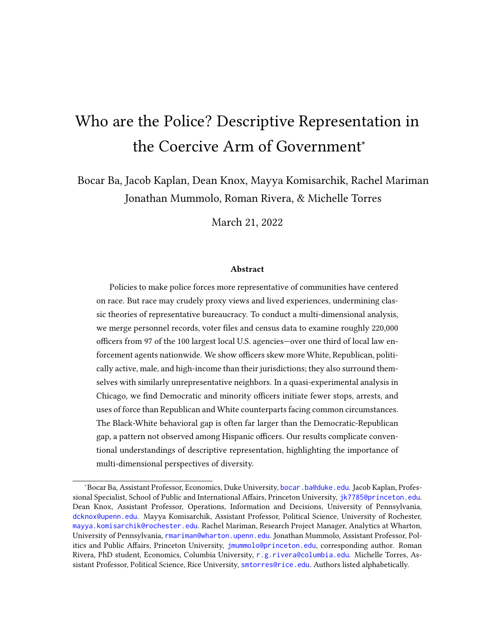| Officer Deployed | Estimate | Reference Group | Outcome                      | Adjusted p-value |
|------------------|----------|-----------------|------------------------------|------------------|
| <b>Black</b>     | $-5.99$  | White           | Stop Black Civilian          | 0.00             |
| Black            | $-1.07$  | White           | Stop Hispanic Civilian       | 0.00             |
| <b>Black</b>     | $-0.70$  | White           | Stop White Civilian          | 0.00             |
| Democrat         | $-3.23$  | Republican      | Stop Black Civilian          | 0.00             |
| Democrat         | $-0.28$  | Republican      | Stop Hispanic Civilian       | 0.08             |
| Democrat         | $-0.27$  | Republican      | Stop White Civilian          | 0.07             |
| <b>Black</b>     | $-0.83$  | White           | <b>Arrest Black Civilian</b> | 0.00             |
| <b>Black</b>     | $-0.28$  | White           | Arrest Hispanic Civilian     | 0.00             |
| Black            | $-0.14$  | White           | <b>Arrest White Civilian</b> | 0.00             |
| Democrat         | $-0.57$  | Republican      | Arrest Black Civilian        | 0.00             |
| Democrat         | $-0.17$  | Republican      | Arrest Hispanic Civilian     | 0.00             |
| Democrat         | $-0.04$  | Republican      | Arrest White Civilian        | 0.44             |
| <b>Black</b>     | $-0.08$  | White           | Force Black Civilian         | 0.00             |
| <b>Black</b>     | $-0.01$  | White           | Force Hispanic Civilian      | 0.02             |
| <b>Black</b>     | $-0.01$  | White           | Force White Civilian         | 0.04             |
| Democrat         | $-0.07$  | Republican      | Force Black Civilian         | 0.00             |
| Democrat         | $-0.01$  | Republican      | Force Hispanic Civilian      | 0.59             |
| Democrat         | $-0.01$  | Republican      | Force White Civilian         | 0.12             |

Table B17: Deployment Effects Per 100 Shifts, Black v. White Officers, by Civilian Race/Ethnicity. The table displays the effect per 100 shifts of deploying a given type of officer on stops, arrests, and uses of force, relative to the listed reference category. values adjusted for multiple testing. Estimated in places and times where at least one Black, White, Democratic and Republican officer present.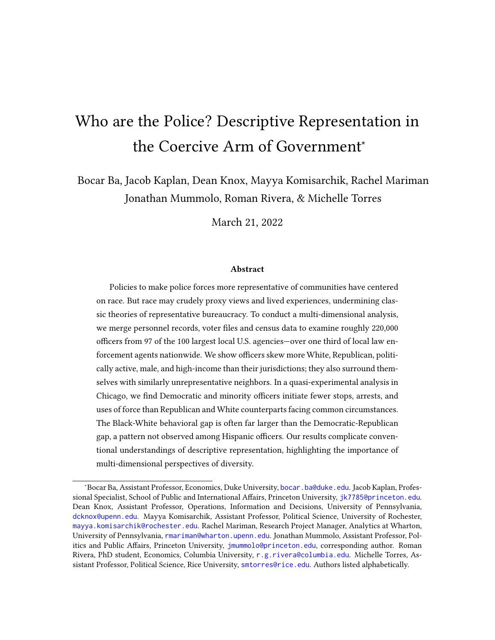| Officer Deployed | Estimate | Reference Group | Outcome                      | Adjusted p-value |
|------------------|----------|-----------------|------------------------------|------------------|
| Hispanic         | $-1.46$  | White           | Stop Black Civilian          | 0.03             |
| Hispanic         | 0.44     | White           | Stop Hispanic Civilian       | 0.10             |
| Hispanic         | 0.05     | White           | Stop White Civilian          | 0.92             |
| Democrat         | 0.47     | Republican      | Stop Black Civilian          | 0.59             |
| Democrat         | 0.19     | Republican      | Stop Hispanic Civilian       | 0.59             |
| Democrat         | 0.03     | Republican      | Stop White Civilian          | 0.89             |
| Hispanic         | $-0.21$  | White           | <b>Arrest Black Civilian</b> | 0.35             |
| Hispanic         | $-0.07$  | White           | Arrest Hispanic Civilian     | 0.59             |
| Hispanic         | $-0.02$  | White           | <b>Arrest White Civilian</b> | 0.70             |
| Democrat         | 0.04     | Republican      | Arrest Black Civilian        | 0.82             |
| Democrat         | $-0.02$  | Republican      | Arrest Hispanic Civilian     | 0.92             |
| Democrat         | 0.04     | Republican      | Arrest White Civilian        | 0.49             |
| Hispanic         | $-0.04$  | White           | Force Black Civilian         | 0.08             |
| Hispanic         | 0.00     | White           | Force Hispanic Civilian      | 0.82             |
| Hispanic         | $-0.01$  | White           | Force White Civilian         | 0.22             |
| Democrat         | $-0.01$  | Republican      | Force Black Civilian         | 0.82             |
| Democrat         | 0.01     | Republican      | Force Hispanic Civilian      | 0.48             |
| Democrat         | $-0.01$  | Republican      | Force White Civilian         | 0.58             |

Table B18: Deployment Effects Per 100 Shifts, Hispanic v. White Officers, by Civilian Race/Ethnicity. The table displays the effect per 100 shifts of deploying a given type of officer on stops, arrests, and uses of force, relative to the listed reference category. -values adjusted for multiple testing. Estimated in places and times where at least one Hispanic, White, Democratic and Republican officer present.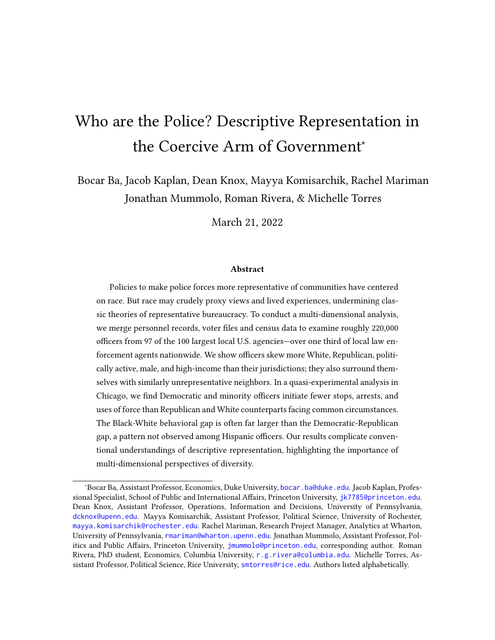

Change in Force per 100 Shifts

Figure B13: Race and Party Deployment Effects, Black v. White Officers by Civilian Race. The figure displays the average effects of deploying Black officers (relative to White); Democratic officers (relative to Republican) to otherwise common circumstances, with separate outcomes based on civilian characteristics. These estimates are computed using only places and times where at least one Black, White, Republican and Democratic officer was deployed.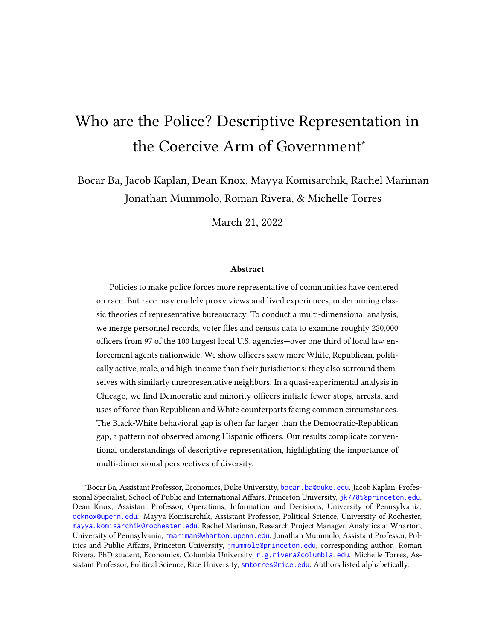

Figure B14: Race and Party Deployment Effects, Hispanic v. White Officers by Civilian Race. The figure displays the average effects of deploying Hispanic officers (relative to White); Democratic officers (relative to Republican) to otherwise common circumstances, with separate outcomes based on civilian characteristics. These estimates are computed using only places and times where at least one Hispanic, White, Republican and Democratic officer was deployed.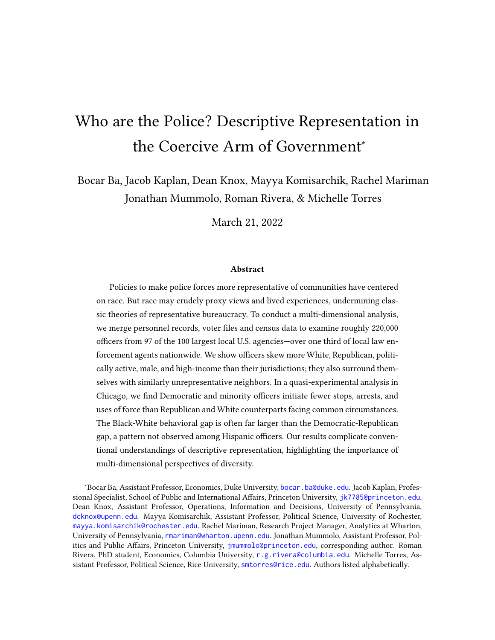## B Robustness Checks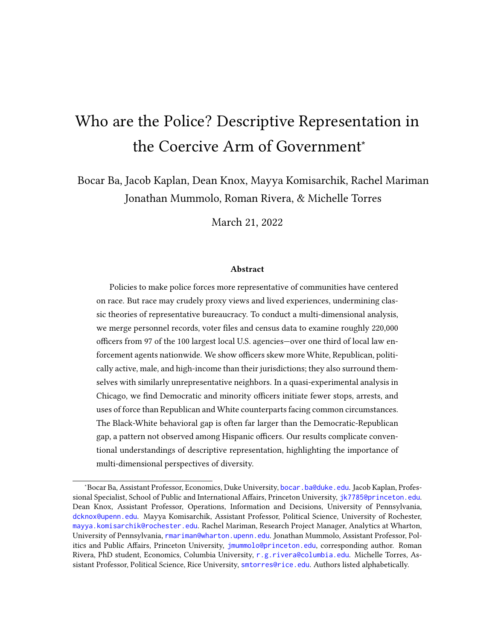| Variable                   | Value               | Actual Officer % | Representative<br>Officer %<br>Hypothetical | Difference                          | Z       |
|----------------------------|---------------------|------------------|---------------------------------------------|-------------------------------------|---------|
| Race                       | White               | 55.99            | 38.01                                       | $17.98***$ 17.78, 18.18             | 207,961 |
|                            | Hispanic            | 20.74            | 27.33                                       | $-6.75, -6.43$<br>$-6.59***$        | 207,961 |
|                            | Black               | 16.73            | 21.77                                       | $-5.20, -4.89$<br>$-5.04***$        | 207,961 |
|                            | Other/Unknown Race  | 1.58             | 3.42                                        | $-1.89, -1.79$<br>$-1.84***$        | 207,961 |
|                            | Asian               | 4.96             | 9.47                                        | $-4.60, -4.41$<br>$-4.51***$        | 207,961 |
| Party (Voting Age Pop.)    | Republican          | 25.39            | 14.00                                       | $11.39***$ $11.22$ , $11.57$        | 218,041 |
|                            | Democratic          | 22.34            | 43.32                                       | $-20.99***$ $-21.16$ , $-20.82$     | 218,041 |
|                            | Other/Unknown Party | 52.27            | 42.92                                       | $9.35***$ $9.14, 9.55$              | 218,041 |
| General Turnout, 2020      | Voting Age Pop.     | 51.24            | 54.41                                       | $-3.17***$ $-3.38, -2.96$           | 215,646 |
| Gender                     | Male                | 83.20            | 48.69                                       | 34.51*** 34.35, 34.67               | 218,041 |
|                            | Female              | 16.80            | 51.31                                       | $-34.51***$ $-34.67$ , $-34.35$     | 218,041 |
| Median Age (Years)         |                     | 44.00            | 36.95                                       | 7.86*** 7.78, 7.93                  | 136,392 |
| Mean Household Income (\$) |                     | 115337.32        | 92174.92                                    | 22833.70, 23473.75<br>$23153.72***$ | 135,932 |
|                            |                     |                  |                                             |                                     |         |

Table B19: Comparison of Average Officer and Civilian Traits: 0.95 Match Probability Threshold. The table displays, from left to right, the actual share of officers with a given attribute; the share of officers who would have the attribute if taken as a random draw from their jurisdictions; and the difference between the two. Stars denote \$p<.001\$; brackets contain 95% Table B19: Comparison of Average Officer and Civilian Traits: 0.95 Match Probability Threshold. The table displays, from left to right, the actual share of officers with a given attribute; the share of officers who would have the attribute if taken as a random draw from their jurisdictions; and the difference between the two. Stars denote \$p<.001\$; brackets contain 95% confidence intervals. confidence intervals.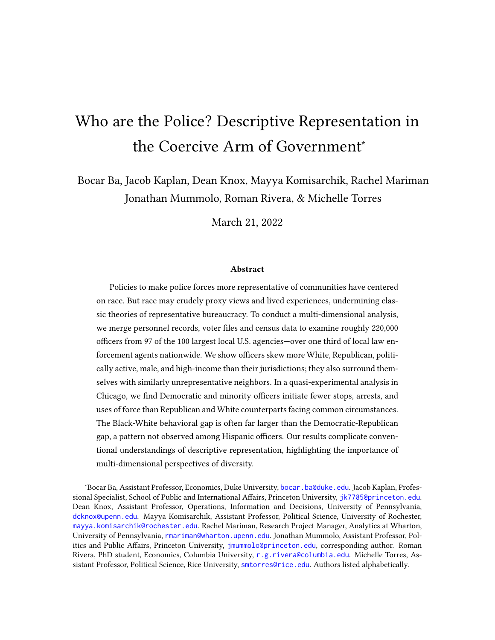#### B.1 Restricting to States with Closed Primaries

The L2 database uses modeled estimates of party identification for voters residing in states that do not require registration with a political party to participate in elections. As a robustness check, we replicate our core results from Table 1 below after subsetting to states that had closed primaries in congressional/state-level elections (Table B20) or in presidential elections (Table B21) in 2020 according to [https://ballotpedia.org/Closed\\_](https://ballotpedia.org/Closed_primary) [primary](https://ballotpedia.org/Closed_primary).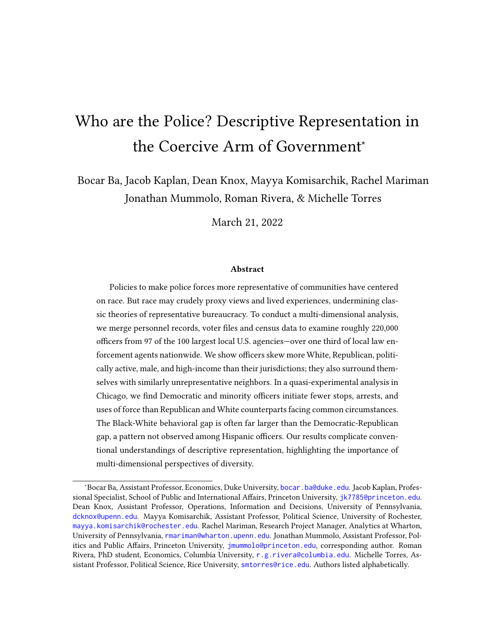| Variable                   | Value               | Actual Officer % | Representative<br>Officer %<br>Hypothetical | Difference                          | $\mathsf{z}$ |
|----------------------------|---------------------|------------------|---------------------------------------------|-------------------------------------|--------------|
| Race                       | White               | 53.42            | 37.79                                       | 15.28, 15.97<br>$15.63***$          | 71,709       |
|                            | Hispanic            | 21.78            | 25.33                                       | $-3.84, -3.27$<br>$-3.55***$        | 71,709       |
|                            | <b>Black</b>        | 20.55            | 25.55                                       | $-5.28, -4.71$<br>$-4.99***$        | 71,709       |
|                            | Other/Unknown Race  | 0.34             | 2.97                                        | $-2.68, -2.59$<br>$-2.63***$        | 71,709       |
|                            | Asian               | 3.91             | 8.37                                        | $-4.60, -4.32$<br>$-4.46***$        | 71,709       |
| Party (Voting Age Pop.)    | Republican          | 35.67            | 13.63                                       | 21.69, 22.38<br>$22.04***$          | 71,945       |
|                            | Democratic          | 34.28            | 47.97                                       | $-13.69***$ $-14.03$ , $-13.35$     | 71,945       |
|                            | Other/Unknown Party | 30.05            | 38.40                                       | $-8.35***$ $-8.68$ , $-8.02$        | 71,945       |
| General Turnout, 2020      | Voting Age Pop.     | 71.84            | 53.44                                       | 18.08, 18.75<br>$18.41***$          | 69,964       |
| Gender                     | Male                | 90.50            | 48.05                                       | 42.23, 42.66<br>$42.45***$          | 71,945       |
|                            | Female              | 9.50             | 51.95                                       | $-42.45***$ $-42.66, -42.23$        | 71,945       |
| Median Age (Years)         |                     | $41.00$          | 37.98                                       | $5.56***$ 5.45, 5.68                | 65,510       |
| Mean Household Income (\$) |                     | 114021.79        | 92974.15                                    | 20563.99, 21512.57<br>$21038.28***$ | 65,874       |
|                            |                     |                  |                                             |                                     |              |

Table B20: Comparison of Average Officer and Civilian Traits: States with Closed Congressional Primaries in 2020 Only. The table displays, from left to right, the actual share of officers with a given attribute; the share of officers who would have the attribute if taken as a random draw from their jurisdictions; and the difference between the two. Stars denote \$p<.001\$; Table B20: Comparison of Average Officer and Civilian Traits: States with Closed Congressional Primaries in 2020 Only. The table displays, from left to right, the actual share of officers with a given attribute; the share of officers who would have the attribute if taken as a random draw from their jurisdictions; and the difference between the two. Stars denote \$p<.001\$; brackets contain 95% confidence intervals. brackets contain 95% confidence intervals.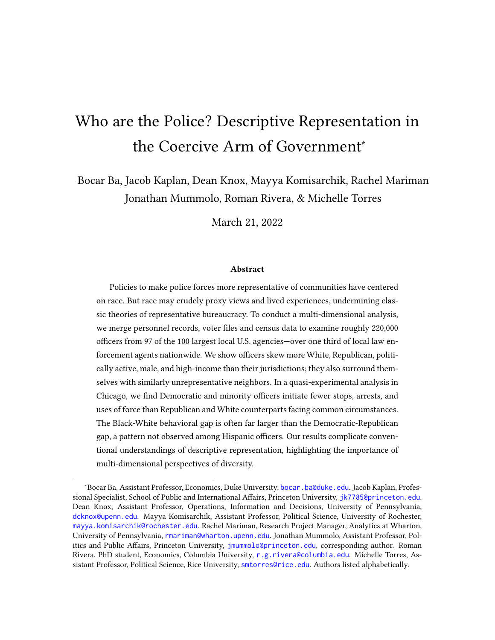| Variable                   | Value               | Actual Officer % | Representative<br>Officer %<br>Hypothetical | Difference                          | Z      |
|----------------------------|---------------------|------------------|---------------------------------------------|-------------------------------------|--------|
| Race                       | White               | 54.83            | 38.60                                       | 15.88, 16.57<br>$16.22***$          | 70,389 |
|                            | Hispanic            | 21.70            | 24.52                                       | $-3.11, -2.54$<br>$-2.82***$        | 70,389 |
|                            | <b>Black</b>        | 19.41            | 25.19                                       | $-6.06, -5.50$<br>$-5.78***$        | 70,389 |
|                            | Other/Unknown Race  | 0.44             | 3.02                                        | $-2.63, -2.53$<br>$-2.58***$        | 70,389 |
|                            | Asian               | 3.62             | 8.68                                        | $-5.19, -4.92$<br>$-5.05***$        | 70,389 |
| Party (Voting Age Pop.)    | Republican          | 35.57            | 13.10                                       | 22.13, 22.82<br>$22.48***$          | 70,624 |
|                            | Democratic          | 34.41            | 48.78                                       | $-14.37***$ $-14.71, -14.02$        | 70,624 |
|                            | Other/Unknown Party | 30.01            | 38.12                                       | $-8.11***$ $-8.45$ , $-7.78$        | 70,624 |
| General Turnout, 2020      | Voting Age Pop.     | 72.41            | 53.84                                       | 18.24, 18.90<br>$18.57***$          | 68,643 |
| Gender                     | Male                | 90.25            | 48.07                                       | 42.18*** 41.96, 42.40               | 70,624 |
|                            | Female              | 9.75             | 51.93                                       | $-42.18***$ $-42.40, -41.96$        | 70,624 |
| Median Age (Years)         |                     | 42.00            | 37.95                                       | $5.90***$ 5.79, 6.02                | 64,799 |
| Mean Household Income (\$) |                     | 114831.25        | 93876.69                                    | 20465.08, 21417.17<br>$20941.12***$ | 64,791 |
|                            |                     |                  |                                             |                                     |        |

Table B21: Comparison of Average Officer and Civilian Traits: States with Closed Presidential Primaries in 2020 Only. The table displays, from left to right, the actual share of officers with a given attribute; the share of officers who would have the attribute if taken as a random draw from their jurisdictions; and the difference between the two. Stars denote \$p<.001\$; Table B21: Comparison of Average Officer and Civilian Traits: States with Closed Presidential Primaries in 2020 Only. The table displays, from left to right, the actual share of officers with a given attribute; the share of officers who would have the attribute if taken as a random draw from their jurisdictions; and the difference between the two. Stars denote \$p<.001\$; brackets contain 95% confidence intervals. brackets contain 95% confidence intervals.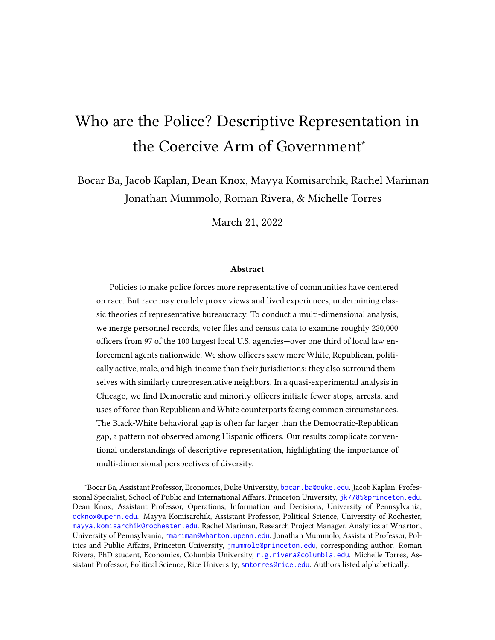# B.2 Bounded Estimates Accounting for Unmatched Officers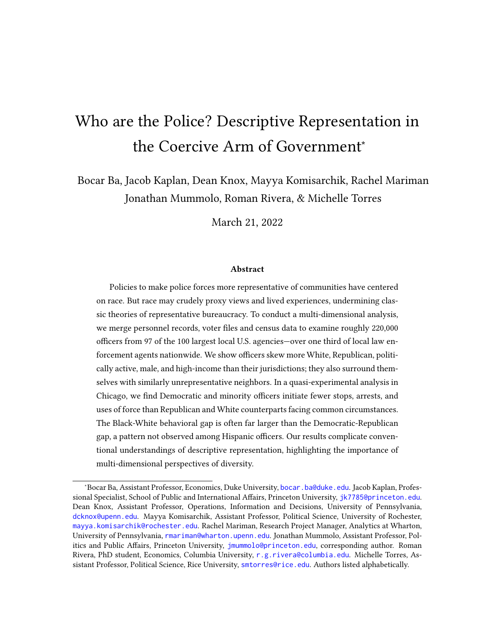| Variable                                                                                                                     | Value               | Officer Lower<br>Bound <sup>%</sup> | Bound <sub>%</sub><br>Officer Upper | Officer %<br>Representative<br>Hypothetical | Difference<br>Lower Bound | Difference<br>Upper Bound |
|------------------------------------------------------------------------------------------------------------------------------|---------------------|-------------------------------------|-------------------------------------|---------------------------------------------|---------------------------|---------------------------|
| Race                                                                                                                         | White               | 46.61                               | 59.69                               | 37.85                                       | $8.76***$                 | $21.84***$                |
|                                                                                                                              | Hispanic            | 19.20                               | 32.28                               | 28.12                                       | $-8.92***$                | $4.16***$                 |
|                                                                                                                              | Black               | 14.91                               | 27.99                               | 21.19                                       | $-6.28***$                | $6.80***$                 |
|                                                                                                                              | Other/Unknown Race  | 1.82                                | 14.90                               | 3.42                                        | $-1.60***$                | $11.48***$                |
|                                                                                                                              | Asian               | 4.39                                | 17.47                               | 9.42                                        | $-5.03***$                | $8.05***$                 |
| Party (Voting Age Pop.)                                                                                                      | Republican          | 32.44                               | 46.49                               | 14.00                                       | $18.44***$                | $32.49***$                |
|                                                                                                                              | Democratic          | 31.03                               | 45.08                               | 43.32                                       | $-12.30***$               | $1.75***$                 |
|                                                                                                                              | Other/Unknown Party | 22.48                               | 36.53                               | 42.92                                       | $-20.44***$               | $-6.39***$                |
| General Turnout, 2020                                                                                                        | Voting Age Pop.     | 69.00                               | 83.16                               | 54.41                                       | $14.59***$                | $28.75***$                |
| Median Age (Years)                                                                                                           |                     | 42.00                               | 45.00                               | 36.87                                       | $6.96***$                 | $8.88***$                 |
| Mean Household Income (\$)                                                                                                   |                     | 111154.59                           | 119875.16                           | 92628.27                                    | $18526.31***$             | 27246.88***               |
| Table B22: Average Officer Traits Relative to Iurisdictions. The table displays from left to right the lowest possible share |                     |                                     |                                     |                                             |                           |                           |

of officers with a given attribute; the largest share of officers with a given attribute; the share of officers who would have the attribute if taken as a random draw from their jurisdictions; and the differences between this hypothetical share and the lower and upper bounds. Lower and upper bounds are computed by assigning hypothetical "best" and "worst" case values (e.g. all or Table B22: Average Officer Traits Relative to Jurisdictions. The table displays, from left to right, the lowest possible share of officers with a given attribute; the largest share of officers with a given attribute; the share of officers who would have the attribute if taken as a random draw from their jurisdictions; and the differences between this hypothetical share and the lower and upper bounds. Lower and upper bounds are computed by assigning hypothetical "best" and "worst" case values (e.g. all or í<br>i  $\ddot{q}$ no Democrats) to officers not observable in any of our data sources. Stars denote  $p < .001$ no Democrats) to officers not observable in any of our data sources. Stars denote  $p < .001$ 's forder  $\cdot$  $\mathbf{a}$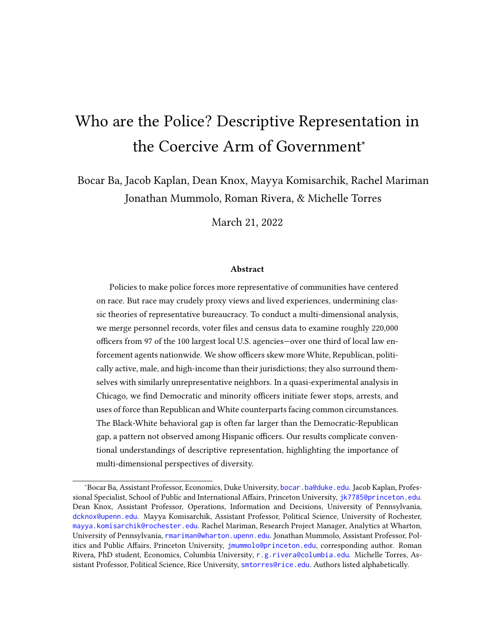

Figure B15: Average Shares of White Officers and White Civilians in the Same Jurisdictions: Bounded Estimates. Blue dots are officer shares from from L2 voter file (i.e. among registered voters). Bounds show the range of possible average values for agencies where covariate data is missing for some share of officers. Red dots are civilian shares from U.S. Census. Vertical blue lines are the pooled officer means under "best" and "worst" case scenarios, assuming all officers not found in L2 do/do not possesses the attribute. Vertical red line is hypothetical officer mean if each officer was randomly drawn from their respective jurisdiction.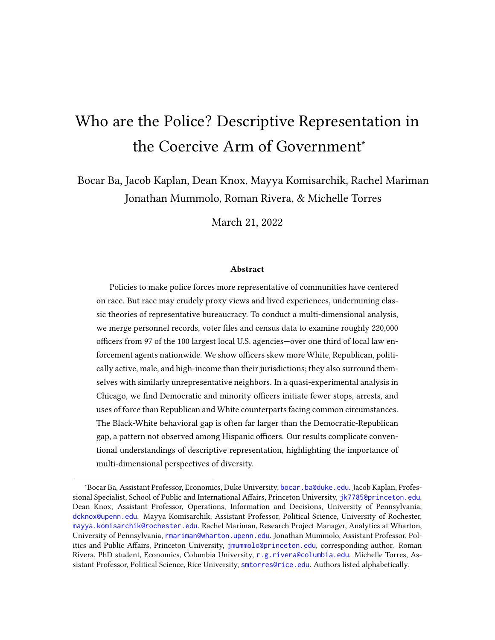

Figure B16: Average Shares of Black Officers and Black Civilians in the Same Jurisdictions: Bounded Estimates. Blue dots are officer shares from from L2 voter file (i.e. among registered voters). Bounds show the range of possible average values for agencies where covariate data is missing for some share of officers. Red dots are civilian shares from U.S. Census. Vertical blue lines are the pooled officer means under "best" and "worst" case scenarios, assuming all officers not found in L2 do/do not possesses the attribute. Vertical red line is hypothetical officer mean if each officers was randomly drawn from their respective jurisdiction.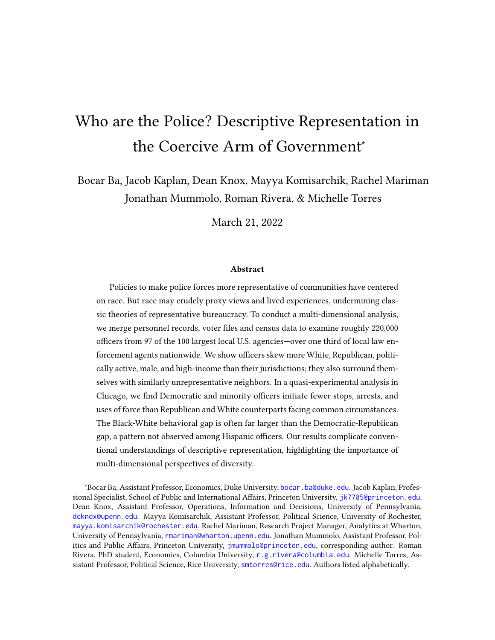

Figure B17: Average Shares of Asian Officers and Asian Civilians in the Same Jurisdictions: Bounded Estimates. Blue dots are officer shares from from L2 voter file (i.e. among registered voters). Bounds show the range of possible average values for agencies where covariate data is missing for some share of officers. Red dots are civilian shares from U.S. Census. Vertical blue lines are the pooled officer means under "best" and "worst" case scenarios, assuming all officers not found in L2 do/do not possesses the attribute. Vertical red line is hypothetical officer mean if each officer was randomly drawn from their respective jurisdiction.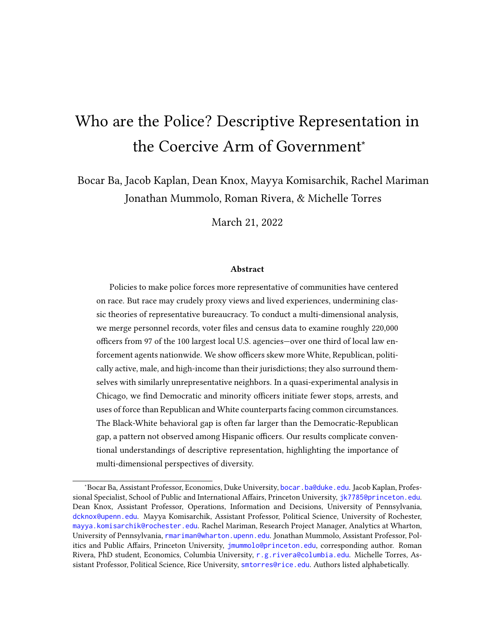

Figure B18: Average Shares of Hispanic Officers and Hispanic Civilians in the Same Jurisdictions: Bounded Estimates. Blue dots are officer shares from from L2 voter file (i.e. among registered voters). Bounds show the range of possible average values for agencies where covariate data is missing for some share of officers. Red dots are civilian shares from U.S. Census. Vertical blue lines are the pooled officer means under "best" and "worst" case scenarios, assuming all officers not found in L2 do/do not possesses the attribute. Vertical red line is hypothetical officer mean if each officer was randomly drawn from their respective jurisdiction.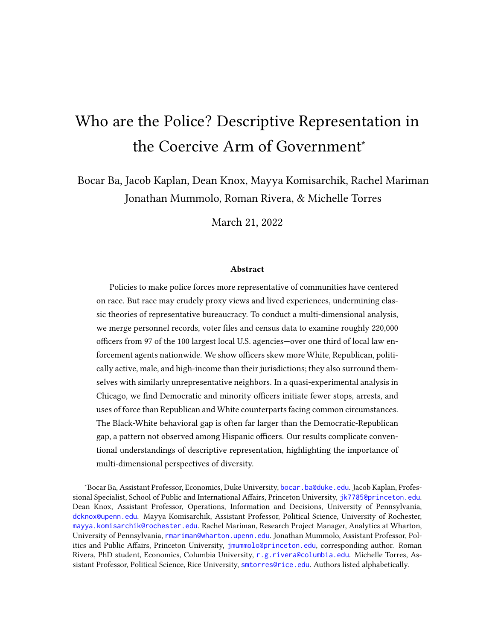

Figure B19: Average Shares of Republicans Among Officers and Civilians in the Same Jurisdictions: Bounded Estimates. Blue dots are officer shares from from L2 voter file (i.e. among registered voters). Bounds show the range of possible average values for agencies where covariate data is missing for some share of officers. Red dots are civilian shares from U.S. Census. Vertical blue lines are the pooled officer means under "best" and "worst" case scenarios, assuming all officers not found in L2 do/do not possesses the attribute. Vertical red line is hypothetical officer mean if each officer was randomly drawn from their respective jurisdiction.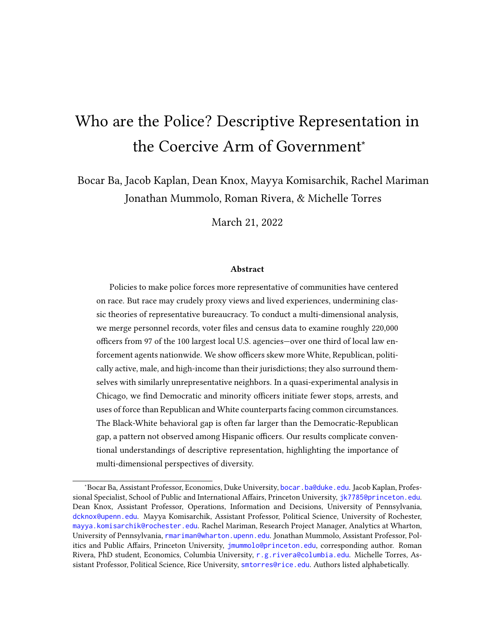

Figure B20: Average Shares of Democrats Among Officers and Civilians in the Same Jurisdictions: Bounded Estimates. Blue dots are officer shares from from L2 voter file (i.e. among registered voters). Bounds show the range of possible average values for agencies where covariate data is missing for some share of officers. Red dots are civilian shares from U.S. Census. Vertical blue lines are the pooled officer means under "best" and "worst" case scenarios, assuming all officers not found in L2 do/do not possesses the attribute. Vertical red line is hypothetical officer mean if each officer was randomly drawn from their respective jurisdiction.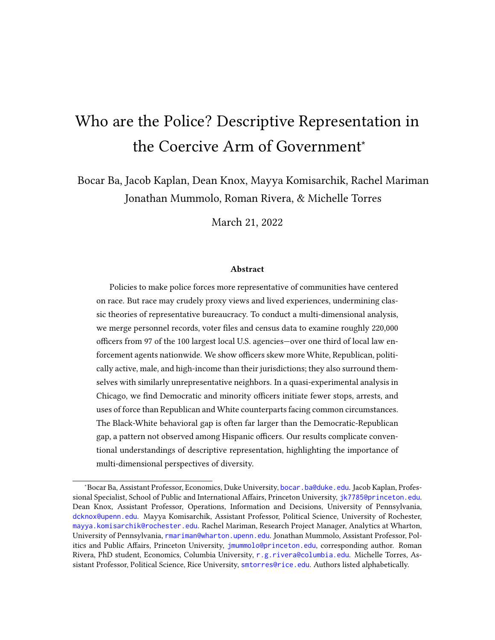

Figure B21: Average Shares of Republicans Among Officers and Civilians in the Same Jurisdictions: Bounded Estimates. Blue dots are officer shares from from L2 voter file (i.e. among registered voters). Bounds show the range of possible average values for agencies where covariate data is missing for some share of officers. Red dots are civilian shares from U.S. Census. Vertical blue lines are the pooled officer means under "best" and "worst" case scenarios, assuming all officers not found in L2 do/do not possesses the attribute. Vertical red line is hypothetical officer mean if each officer was randomly drawn from their respective jurisdiction.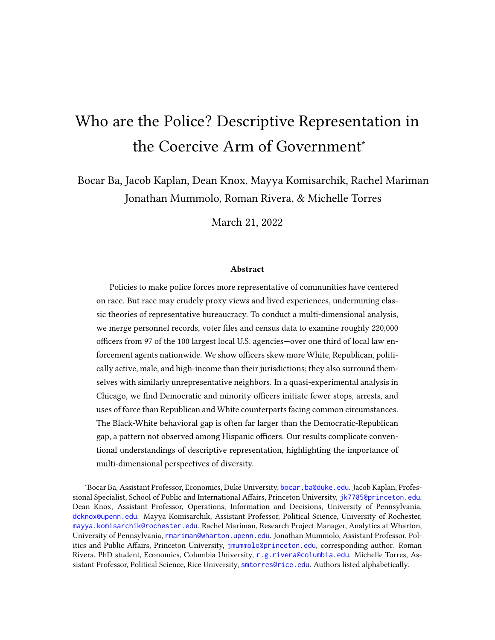

Figure B22: Average Shares of Republican Chicago Officers and Civilians in Officers' Assigned Districts: Sensitivity Analysis. Blue dots are officer shares from from L2 voter file (i.e. among registered voters). Bounds show the range of possible average values accounting for officers where covariate data is missing. Red dots are civilian shares from U.S. Census. Vertical blue lines are the pooled officer means under "best" and "worst" case scenarios, assuming all officers not found in L2 do/do not possesses the attribute. Vertical red line is hypothetical officer mean if each officer was randomly drawn from their respective jurisdiction.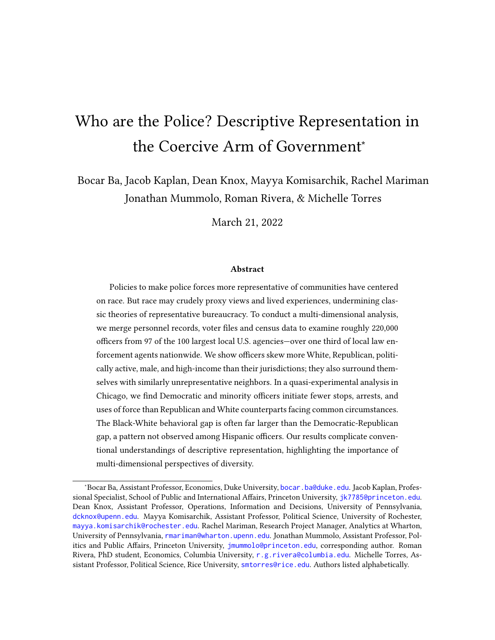

Figure B23: Average Shares of Democratic Chicago Officers and Civilians in Officers' Assigned Districts: Sensitivity Analysis. Blue dots are officer shares from from L2 voter file (i.e. among registered voters). Bounds show the range of possible average values accounting for officers where covariate data is missing. Red dots are civilian shares from U.S. Census. Vertical blue lines are the pooled officer means under "best" and "worst" case scenarios, assuming all officers not found in L2 do/do not possesses the attribute. Vertical red line is hypothetical pooled officer mean if each officer was randomly drawn from their respective jurisdiction.